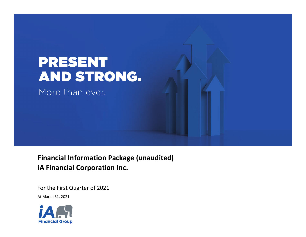

 **Financial Information Package (unaudited) iA Financial Corporation Inc.**

For the First Quarter of 2021

At March 31, 2021

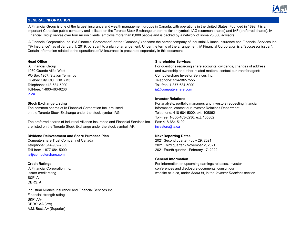

# **GENERAL INFORMATION**

iA Financial Group is one of the largest insurance and wealth management groups in Canada, with operations in the United States. Founded in 1892, it is an important Canadian public company and is listed on the Toronto Stock Exchange under the ticker symbols IAG (common shares) and IAF (preferred shares). iA Financial Group serves over four million clients, employs more than 8,000 people and is backed by a network of some 25,000 advisors.

iA Financial Corporation Inc. ("iA Financial Corporation" or the "Company") became the parent company of Industrial Alliance Insurance and Financial Services Inc. ("iA Insurance") as of January 1, 2019, pursuant to a plan of arrangement. Under the terms of the arrangement, iA Financial Corporation is a "successor issuer". Certain information related to the operations of iA Insurance is presented separately in this document.

Quebec City, QC G1K 7M3 Telephone: 514-982-7555 Telephone: 418-684-5000 Toll-free: 1-877-684-5000 Toll-free: 1-800-463-6236 ia@computershare.com [ia.ca](http://ia.ca)

The common shares of iA Financial Corporation Inc. are listed information, contact our Investor Relations Department: on the Toronto Stock Exchange under the stock symbol IAG. The Stock Stephone: 418-684-5000, ext. 105862

The preferred shares of Industrial Alliance Insurance and Financial Services Inc. Fax: 418-684-5192 are listed on the Toronto Stock Exchange under the stock symbol IAF. investors@ia.ca

# **Dividend Reinvestment and Share Purchase Plan Next Reporting Dates**

Computershare Trust Company of Canada 2021 Second quarter - July 29, 2021 Telephone: 514-982-7555 2021 Third quarter - November 2, 2021 Toll-free: 1-877-684-5000 2021 Fourth quarter - February 17, 2022 ia@computershare.com

S&P: A DBRS: A

Industrial Alliance Insurance and Financial Services Inc. Financial strength rating S&P: AA-DBRS: AA (low) A.M. Best: A+ (Superior)

# **Head Office Shareholder Services**

iA Financial Group **For a Financial Group** For questions regarding share accounts, dividends, changes of address 1080 Grande Allée West and ownership and other related matters, contact our transfer agent: PO Box 1907, Station Terminus Computershare Investor Services Inc.

# **Investor Relations**

**Stock Exchange Listing** For analysts, portfolio managers and investors requesting financial Toll-free: 1-800-463-6236, ext. 105862

# **General information**

**Credit Ratings** For information on upcoming earnings releases, investor iA Financial Corporation Inc. conferences and disclosure documents, consult our Issuer credit rating website at ia.ca, under *About iA*, in the *Investor Relations* section.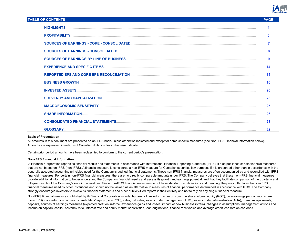

# **TABLE OF CONTENTS PAGE**

| 6  |
|----|
|    |
|    |
| 9  |
| 14 |
| 15 |
| 16 |
| 20 |
| 23 |
| 25 |
| 26 |
| 28 |
| 32 |

## **Basis of Presentation**

All amounts in this document are presented on an IFRS basis unless otherwise indicated and except for some specific measures (see Non-IFRS Financial Information below). Amounts are expressed in millions of Canadian dollars unless otherwise indicated.

Certain prior period amounts have been reclassified to conform to the current period's presentation.

### **Non-IFRS Financial Information**

iA Financial Corporation reports its financial results and statements in accordance with International Financial Reporting Standards (IFRS). It also publishes certain financial measures that are not based on IFRS (non-IFRS). A financial measure is considered a non-IFRS measure for Canadian securities law purposes if it is presented other than in accordance with the generally accepted accounting principles used for the Company's audited financial statements. These non-IFRS financial measures are often accompanied by and reconciled with IFRS financial measures. For certain non-IFRS financial measures, there are no directly comparable amounts under IFRS. The Company believes that these non-IFRS financial measures provide additional information to better understand the Company's financial results and assess its growth and earnings potential, and that they facilitate comparison of the quarterly and full-year results of the Company's ongoing operations. Since non-IFRS financial measures do not have standardized definitions and meaning, they may differ from the non-IFRS financial measures used by other institutions and should not be viewed as an alternative to measures of financial performance determined in accordance with IFRS. The Company strongly encourages investors to review its financial statements and other publicly-filed reports in their entirety and not to rely on any single financial measure.

Non-IFRS financial measures published by iA Financial Corporation include, but are not limited to: return on common shareholders' equity (ROE), core earnings per common share (core EPS), core return on common shareholders' equity (core ROE), sales, net sales, assets under management (AUM), assets under administration (AUA), premium equivalents, deposits, sources of earnings measures (expected profit on in-force, experience gains and losses, impact of new business (strain), changes in assumptions, management actions and income on capital), capital, solvency ratio, interest rate and equity market sensitivities, loan originations, finance receivables and average credit loss rate on car loans.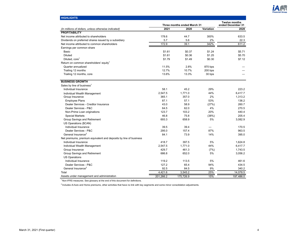

| <b>HIGHLIGHTS</b>                                                 |           |                             |                  |                                           |
|-------------------------------------------------------------------|-----------|-----------------------------|------------------|-------------------------------------------|
|                                                                   |           | Three months ended March 31 |                  | <b>Twelve months</b><br>ended December 31 |
| (In millions of dollars, unless otherwise indicated)              | 2021      | 2020                        | <b>Variation</b> | 2020                                      |
| <b>PROFITABILITY</b>                                              |           |                             |                  |                                           |
| Net income attributed to shareholders                             | 178.6     | 44.7                        | 300%             | 633.5                                     |
| Dividends on preferred shares issued by a subsidiary              | 5.7       | 5.6                         | 2%               | 22.3                                      |
| Net income attributed to common shareholders                      | 172.9     | 39.1                        | 342%             | 611.2                                     |
| Earnings per common share                                         |           |                             |                  |                                           |
| Basic                                                             | \$1.61    | \$0.37                      | \$1.24           | \$5.71                                    |
| <b>Diluted</b>                                                    | \$1.61    | \$0.36                      | \$1.25           | \$5.70                                    |
| Diluted, core <sup>1</sup>                                        | \$1.79    | \$1.49                      | \$0.30           | \$7.12                                    |
| Return on common shareholders' equity <sup>1</sup>                |           |                             |                  |                                           |
| Quarter annualized                                                | 11.5%     | 2.8%                        | 870 bps          |                                           |
| Trailing 12 months                                                | 12.7%     | 10.7%                       | 200 bps          |                                           |
| Trailing 12 months, core                                          | 13.6%     | 13.3%                       | 30 bps           |                                           |
| <b>BUSINESS GROWTH</b>                                            |           |                             |                  |                                           |
| Sales by line of business <sup>1</sup>                            |           |                             |                  |                                           |
| Individual Insurance                                              | 58.1      | 45.2                        | 29%              | 223.2                                     |
| Individual Wealth Management                                      | 2.547.5   | 1.771.0                     | 44%              | 6.417.7                                   |
| Group Insurance                                                   | 365.1     | 357.0                       | 2%               | 1,313.2                                   |
| <b>Employee Plans</b>                                             | 87.1      | 57.1                        | 53%              | 136.2                                     |
| Dealer Services - Creditor Insurance                              | 43.0      | 58.9                        | (27%)            | 260.7                                     |
| Dealer Services - P&C                                             | 64.5      | 62.0                        | 4%               | 270.5                                     |
| Non-Prime Loan originations                                       | 123.7     | 103.2                       | 20%              | 440.4                                     |
| <b>Special Markets</b>                                            | 46.8      | 75.8                        | (38%)            | 205.4                                     |
| Group Savings and Retirement                                      | 693.3     | 658.9                       | 5%               | 3,082.9                                   |
| US Operations (\$CAN)                                             |           |                             |                  |                                           |
| Individual Insurance                                              | 39.5      | 39.4                        |                  | 170.5                                     |
| Dealer Services - P&C                                             | 295.0     | 157.4                       | 87%              | 963.5                                     |
| General Insurance <sup>2</sup>                                    | 84.1      | 73.9                        | 14%              | 395.0                                     |
| Net premiums, premium equivalent and deposits by line of business |           |                             |                  |                                           |
| Individual Insurance                                              | 418.7     | 397.5                       | 5%               | 1,624.8                                   |
| Individual Wealth Management                                      | 2,547.5   | 1.771.0                     | 44%              | 6,417.7                                   |
| Group Insurance                                                   | 429.7     | 461.3                       | (7%)             | 1,743.5                                   |
| Group Savings and Retirement                                      | 686.8     | 652.0                       | 5%               | 3,056.2                                   |
| <b>US Operations</b>                                              |           |                             |                  |                                           |
| Individual Insurance                                              | 119.2     | 113.5                       | 5%               | 461.6                                     |
| Dealer Services - P&C                                             | 127.2     | 65.4                        | 94%              | 434.5                                     |
| General Insurance <sup>2</sup>                                    | 92.5      | 84.5                        | 9%               | 340.2                                     |
| Total                                                             | 4,421.6   | 3,545.2                     | 25%              | 14,078.5                                  |
| Assets under management and administration                        | 201,266.2 | 175,726.9                   | 15%              | 197,486.0                                 |

 $<sup>2</sup>$  Includes iA Auto and Home premiums, other activities that have no link with key segments and some minor consolidation adjustments.</sup>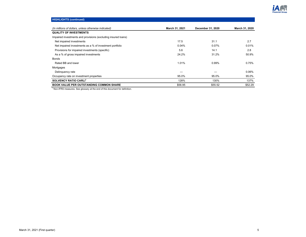

# **HIGHLIGHTS (continued)**

| (In millions of dollars, unless otherwise indicated)          | March 31, 2021 | December 31, 2020 | March 31, 2020 |
|---------------------------------------------------------------|----------------|-------------------|----------------|
| <b>QUALITY OF INVESTMENTS</b>                                 |                |                   |                |
| Impaired investments and provisions (excluding insured loans) |                |                   |                |
| Net impaired investments                                      | 17.5           | 31.1              | 2.7            |
| Net impaired investments as a % of investment portfolio       | 0.04%          | 0.07%             | 0.01%          |
| Provisions for impaired investments (specific)                | 5.6            | 14.1              | 2.8            |
| As a % of gross impaired investments                          | 24.2%          | 31.2%             | 50.9%          |
| <b>Bonds</b>                                                  |                |                   |                |
| Rated BB and lower                                            | 1.01%          | 0.99%             | 0.75%          |
| Mortgages                                                     |                |                   |                |
| Delinguency rate                                              |                |                   | 0.06%          |
| Occupancy rate on investment properties                       | 95.0%          | 95.0%             | 95.0%          |
| SOLVENCY RATIO CARLI <sup>1</sup>                             | 128%           | 130%              | 137%           |
| <b>BOOK VALUE PER OUTSTANDING COMMON SHARE</b>                | \$56.95        | \$55.52           | \$52.29        |

 $1$ Non-IFRS measures. See glossary at the end of this document for definition.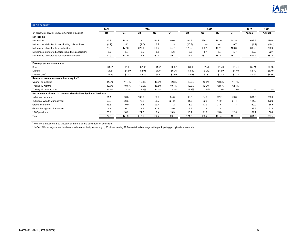| <b>PROFITABILITY</b>                                             |                |        |        |        |        |        |                          |                |        |        |        |
|------------------------------------------------------------------|----------------|--------|--------|--------|--------|--------|--------------------------|----------------|--------|--------|--------|
|                                                                  | 2021           |        | 2020   |        |        |        | 2019                     |                |        | 2020   | 2019   |
| (In millions of dollars, unless otherwise indicated)             | Q <sub>1</sub> | Q4     | Q3     | Q2     | Q1     | Q4     | Q <sub>3</sub>           | Q <sub>2</sub> | Q1     | Annual | Annual |
| Net income                                                       |                |        |        |        |        |        |                          |                |        |        |        |
| Net income                                                       | 173.9          | 172.4  | 219.0  | 194.9  | 46.0   | 165.8  | 189.1                    | 187.0          | 157.5  | 632.3  | 699.4  |
| Net income attributed to participating policyholders             | (4.7)          | (5.2)  | (4.0)  | 6.7    | 1.3    | (10.7) | $\overline{\phantom{m}}$ | (0.1)          | 0.7    | (1.2)  | (10.1) |
| Net income attributed to shareholders                            | 178.6          | 177.6  | 223.0  | 188.2  | 44.7   | 176.5  | 189.1                    | 187.1          | 156.8  | 633.5  | 709.5  |
| Dividends on preferred shares issued by a subsidiary             | 5.7            | 5.7    | 5.5    | 5.5    | 5.6    | 5.3    | 5.4                      | 5.7            | 5.7    | 22.3   | 22.1   |
| Net income attributed to common shareholders                     | 172.9          | 171.9  | 217.5  | 182.7  | 39.1   | 171.2  | 183.7                    | 181.4          | 151.1  | 611.2  | 687.4  |
|                                                                  |                |        |        |        |        |        |                          |                |        |        |        |
| Earnings per common share                                        |                |        |        |        |        |        |                          |                |        |        |        |
| Basic                                                            | \$1.61         | \$1.61 | \$2.03 | \$1.71 | \$0.37 | \$1.60 | \$1.73                   | \$1.70         | \$1.41 | \$5.71 | \$6.43 |
| Diluted                                                          | \$1.61         | \$1.60 | \$2.03 | \$1.71 | \$0.36 | \$1.59 | \$1.72                   | \$1.69         | \$1.40 | \$5.70 | \$6.40 |
| Diluted, core <sup>1</sup>                                       | \$1.79         | \$1.73 | \$2.19 | \$1.71 | \$1.49 | \$1.68 | \$1.82                   | \$1.72         | \$1.33 | \$7.12 | \$6.55 |
| Return on common shareholders' equity <sup>1,2</sup>             |                |        |        |        |        |        |                          |                |        |        |        |
| Quarter annualized                                               | 11.5%          | 11.7%  | 15.1%  | 13.0%  | 2.8%   | 12.5%  | 13.8%                    | 13.8%          | 11.7%  |        |        |
| Trailing 12 months                                               | 12.7%          | 10.6%  | 10.9%  | 10.5%  | 10.7%  | 12.9%  | 12.7%                    | 12.6%          | 12.4%  |        |        |
| Trailing 12 months, core                                         | 13.6%          | 13.3%  | 13.5%  | 13.1%  | 13.3%  | 13.1%  | N/A                      | N/A            | N/A    | -      |        |
| Net income attributed to common shareholders by line of business |                |        |        |        |        |        |                          |                |        |        |        |
| Individual Insurance                                             | 81.1           | 96.8   | 106.6  | 96.4   | 34.8   | 92.7   | 94.3                     | 92.7           | 79.8   | 334.6  | 359.5  |
| Individual Wealth Management                                     | 50.5           | 36.3   | 72.2   | 36.7   | (24.2) | 41.9   | 52.0                     | 44.0           | 34.4   | 121.0  | 172.3  |
| Group Insurance                                                  | 13.5           | 9.9    | 14.4   | 29.4   | 7.2    | 8.9    | 17.9                     | 21.5           | 17.3   | 60.9   | 65.6   |
| Group Savings and Retirement                                     | 7.7            | 10.7   | 3.1    | 11.8   | 8.0    | 9.6    | 7.9                      | 7.4            | 7.1    | 33.6   | 32.0   |
| <b>US Operations</b>                                             | 20.1           | 18.2   | 21.2   | 8.4    | 13.3   | 18.1   | 11.6                     | 15.8           | 12.5   | 61.1   | 58.0   |
| Total                                                            | 172.9          | 171.9  | 217.5  | 182.7  | 39.1   | 171.2  | 183.7                    | 181.4          | 151.1  | 611.2  | 687.4  |
|                                                                  |                |        |        |        |        |        |                          |                |        |        |        |

 $^2$  In Q4-2019, an adjustment has been made retroactively to January 1, 2018 transferring \$7 from retained earnings to the participating policyholders' accounts.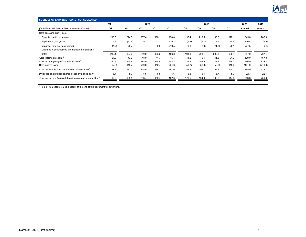

| 2021   |        |        |        |        |        |                |        |        | 2020    | 2019    |
|--------|--------|--------|--------|--------|--------|----------------|--------|--------|---------|---------|
| Q1     | Q4     | Q3     | Q2     | Q1     | Q4     | Q <sub>3</sub> | Q2     | Q1     | Annual  | Annual  |
|        |        |        |        |        |        |                |        |        |         |         |
| 216.5  | 224.3  | 237.4  | 190.1  | 194.0  | 196.4  | 210.5          | 198.0  | 178.1  | 845.8   | 783.0   |
| 1.3    | (21.6) | 5.2    | 12.7   | (26.7) | (5.4)  | (5.1)          | 9.6    | (5.6)  | (30.4)  | (6.5)   |
| (4.7)  | (5.7)  | (1.7)  | (9.6)  | (10.5) | 0.3    | (2.3)          | (1.3)  | (6.1)  | (27.5)  | (9.4)   |
| _      |        |        | –      | –      | –      |                | –      |        |         |         |
| 213.1  | 197.0  | 240.9  | 193.2  | 156.8  | 191.3  | 203.1          | 206.3  | 166.4  | 787.9   | 767.1   |
| 51.8   | 43.9   | 48.0   | 41.7   | 45.4   | 44.2   | 49.4           | 41.8   | 31.9   | 179.0   | 167.3   |
| 264.9  | 240.9  | 288.9  | 234.9  | 202.2  | 235.5  | 252.5          | 248.1  | 198.3  | 966.9   | 934.4   |
| (67.0) | (49.7) | (50.0) | (46.7) | (34.6) | (50.7) | (52.8)         | (59.8) | (48.0) | (181.0) | (211.3) |
| 197.9  | 191.2  | 238.9  | 188.2  | 167.6  | 184.8  | 199.7          | 188.3  | 150.3  | 785.9   | 723.1   |
| 5.7    | 5.7    | 5.5    | 5.5    | 5.6    | 5.3    | 5.4            | 5.7    | 5.7    | 22.3    | 22.1    |
| 192.2  | 185.5  | 233.4  | 182.7  | 162.0  | 179.5  | 194.3          | 182.6  | 144.6  | 763.6   | 701.0   |
|        |        |        |        | 2020   |        |                |        | 2019   |         |         |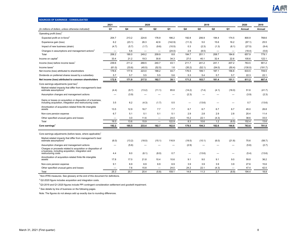

| <b>SOURCES OF EARNINGS - CONSOLIDATED</b>                                                                                                 |                |        |        |                          |         |        |        |                |                |         |         |
|-------------------------------------------------------------------------------------------------------------------------------------------|----------------|--------|--------|--------------------------|---------|--------|--------|----------------|----------------|---------|---------|
|                                                                                                                                           | 2021           |        | 2020   |                          |         |        | 2019   |                |                | 2020    | 2019    |
| (In millions of dollars, unless otherwise indicated)                                                                                      | Q <sub>1</sub> | Q4     | Q3     | Q <sub>2</sub>           | Q1      | Q4     | Q3     | Q <sub>2</sub> | Q <sub>1</sub> | Annual  | Annual  |
| Operating profit (loss) <sup>1</sup>                                                                                                      |                |        |        |                          |         |        |        |                |                |         |         |
| Expected profit on in-force <sup>2</sup>                                                                                                  | 204.7          | 213.2  | 224.6  | 176.9                    | 186.2   | 192.8  | 206.9  | 194.4          | 174.5          | 800.9   | 768.6   |
| Experience gain (loss)                                                                                                                    | 6.2            | (23.1) | 26.3   | 42.6                     | (142.9) | (11.3) | 5.0    | 15.6           | 16.2           | (97.1)  | 25.5    |
| Impact of new business (strain)                                                                                                           | (4.7)          | (5.7)  | (1.7)  | (9.6)                    | (10.5)  | 0.3    | (2.3)  | (1.3)          | (6.1)          | (27.5)  | (9.4)   |
| Changes in assumptions and management actions <sup>3</sup>                                                                                |                | 5.6    |        |                          | (24.0)  | 2.9    | (8.5)  |                |                | (18.4)  | (5.6)   |
| Total                                                                                                                                     | 206.2          | 190.0  | 249.2  | 209.9                    | 8.8     | 184.7  | 201.1  | 208.7          | 184.6          | 657.9   | 779.1   |
| Income on capital                                                                                                                         | 33.4           | 21.2   | 19.3   | 30.8                     | 34.3    | 27.0   | 40.1   | 32.4           | 22.6           | 105.6   | 122.1   |
| Income (loss) before income taxes                                                                                                         | 239.6          | 211.2  | 268.5  | 240.7                    | 43.1    | 211.7  | 241.2  | 241.1          | 207.2          | 763.5   | 901.2   |
| Income taxes                                                                                                                              | (61.0)         | (33.6) | (45.5) | (52.5)                   | 1.6     | (35.2) | (52.1) | (54.0)         | (50.4)         | (130.0) | (191.7) |
| Net income (loss) attributed to shareholders                                                                                              | 178.6          | 177.6  | 223.0  | 188.2                    | 44.7    | 176.5  | 189.1  | 187.1          | 156.8          | 633.5   | 709.5   |
| Dividends on preferred shares issued by a subsidiary                                                                                      | 5.7            | 5.7    | 5.5    | 5.5                      | 5.6     | 5.3    | 5.4    | 5.7            | 5.7            | 22.3    | 22.1    |
| Net income (loss) attributed to common shareholders                                                                                       | 172.9          | 171.9  | 217.5  | 182.7                    | 39.1    | 171.2  | 183.7  | 181.4          | 151.1          | 611.2   | 687.4   |
| Core earnings adjustments (post tax) <sup>1</sup>                                                                                         |                |        |        |                          |         |        |        |                |                |         |         |
| Market-related impacts that differ from management's best<br>estimate assumptions <sup>4</sup>                                            | (4.4)          | (9.7)  | (13.2) | (11.1)                   | 85.6    | (14.2) | (7.4)  | (4.1)          | (16.0)         | 51.6    | (41.7)  |
| Assumption changes and management actions                                                                                                 |                | (3.9)  |        |                          |         | (2.3)  |        |                |                | (3.9)   | (2.3)   |
| Gains or losses on acquisition or disposition of a business,<br>including acquisition, integration and restructuring costs                | 3.5            | 6.2    | (4.3)  | (1.7)                    | 0.5     | -      | (13.6) |                |                | 0.7     | (13.6)  |
| Amortization of acquisition-related finite life intangible<br>assets                                                                      | 13.5           | 12.9   | 16.7   | 7.7                      | 7.7     | 6.7    | 6.7    | 6.7            | 6.7            | 45.0    | 26.8    |
| Non-core pension expense                                                                                                                  | 6.7            | 5.1    | 5.1    | 5.1                      | 5.1     | 2.9    | 2.8    | 2.9            | 2.8            | 20.4    | 11.4    |
| Other specified unusual gains and losses                                                                                                  | –              | 3.0    | 11.6   | $\overline{\phantom{0}}$ | 24.0    | 15.2   | 22.1   | (4.3)          |                | 38.6    | 33.0    |
| Total                                                                                                                                     | 19.3           | 13.6   | 15.9   |                          | 122.9   | 8.3    | 10.6   | 1.2            | (6.5)          | 152.4   | 13.6    |
| Core earnings <sup>1</sup>                                                                                                                | 192.2          | 185.5  | 233.4  | 182.7                    | 162.0   | 179.5  | 194.3  | 182.6          | 144.6          | 763.6   | 701.0   |
| Core earnings adjustments (before taxes, where applicable) <sup>1</sup>                                                                   |                |        |        |                          |         |        |        |                |                |         |         |
| Market-related impacts that differ from management's best<br>estimate assumptions"                                                        | (6.0)          | (13.2) | (18.0) | (15.1)                   | 116.9   | (19.5) | (10.1) | (6.0)          | (21.8)         | 70.6    | (58.7)  |
| Assumption changes and management actions                                                                                                 |                | (5.6)  |        |                          |         | (2.9)  |        |                |                | (5.6)   | (2.7)   |
| Charges or proceeds related to acquisition or disposition of<br>a business, including acquisition, integration and<br>restructuring costs | 4.4            | 8.0    | (6.1)  | (8.0)                    | 0.7     |        | (13.6) |                |                | (5.4)   | (13.6)  |
| Amortization of acquisition-related finite life intangible<br>assets                                                                      | 17.8           | 17.0   | 21.8   | 10.4                     | 10.6    | 9.1    | 9.0    | 9.1            | 9.0            | 59.8    | 36.2    |
| Non-core pension expense                                                                                                                  | 9.1            | 6.9    | 6.9    | 6.9                      | 6.9     | 3.9    | 3.9    | 3.9            | 3.9            | 27.6    | 15.6    |
| Other specified unusual gains and losses                                                                                                  |                | 7.6    | 15.8   |                          | 24.0    | 24.2   | 22.1   | (4.3)          |                | 47.4    | 42.0    |
| Total                                                                                                                                     | 25.3           | 20.7   | 20.4   | (5.8)                    | 159.1   | 14.8   | 11.3   | 2.7            | (8.9)          | 194.4   | 18.8    |

 $2$  Q2-2020 figure includes acquisition and integration costs.

 $3$  Q3-2019 and Q1-2020 figures include PPI contingent consideration settlement and goodwill impairment.

<sup>4</sup> See details by line of business on the following pages.

Note: The figures do not always add up exactly due to rounding differences.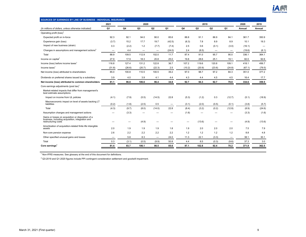

| SOURCES OF EARNINGS BY LINE OF BUSINESS - INDIVIDUAL INSURANCE                                                                |                          |        |                   |                          |                |                |        |        |                          |        |        |
|-------------------------------------------------------------------------------------------------------------------------------|--------------------------|--------|-------------------|--------------------------|----------------|----------------|--------|--------|--------------------------|--------|--------|
|                                                                                                                               | 2021                     |        | 2020              |                          |                |                | 2019   |        |                          | 2020   | 2019   |
| (In millions of dollars, unless otherwise indicated)                                                                          | Q <sub>1</sub>           | Q4     | Q <sub>3</sub>    | Q2                       | Q <sub>1</sub> | Q <sub>4</sub> | Q3     | Q2     | Q1                       | Annual | Annual |
| Operating profit (loss) <sup>1</sup>                                                                                          |                          |        |                   |                          |                |                |        |        |                          |        |        |
| Expected profit on in-force                                                                                                   | 92.3                     | 92.1   | 94.0              | 90.0                     | 85.6           | 88.8           | 91.1   | 86.9   | 84.1                     | 361.7  | 350.9  |
| Experience gain (loss)                                                                                                        | (3.7)                    | 15.2   | 17.7              | 19.7                     | (42.5)         | (6.3)          | 7.8    | 8.9    | 8.9                      | 10.1   | 19.3   |
| Impact of new business (strain)                                                                                               | 0.3                      | (2.2)  | 1.2               | (7.7)                    | (7.4)          | 2.5            | 0.6    | (0.1)  | (3.0)                    | (16.1) | -      |
| Changes in assumptions and management actions <sup>2</sup>                                                                    | -                        | 4.4    | $\qquad \qquad -$ | $\overline{\phantom{0}}$ | (24.0)         | 2.4            | (8.5)  | -      | $\overline{\phantom{0}}$ | (19.6) | (6.1)  |
| Total                                                                                                                         | 88.9                     | 109.5  | 112.9             | 102.0                    | 11.7           | 87.4           | 91.0   | 95.7   | 90.0                     | 336.1  | 364.1  |
| Income on capital                                                                                                             | 27.9                     | 17.9   | 18.3              | 20.8                     | 25.0           | 19.8           | 28.6   | 25.1   | 19.1                     | 82.0   | 92.6   |
| Income (loss) before income taxes <sup>1</sup>                                                                                | 116.8                    | 127.4  | 131.2             | 122.8                    | 36.7           | 107.2          | 119.6  | 120.8  | 109.1                    | 418.1  | 456.7  |
| Income taxes $1$                                                                                                              | (31.8)                   | (26.6) | (20.7)            | (22.3)                   | 2.5            | (10.2)         | (20.9) | (23.6) | (24.8)                   | (67.1) | (79.5) |
| Net income (loss) attributed to shareholders                                                                                  | 85.0                     | 100.8  | 110.5             | 100.5                    | 39.2           | 97.0           | 98.7   | 97.2   | 84.3                     | 351.0  | 377.2  |
| Dividends on preferred shares issued by a subsidiary                                                                          | 3.9                      | 4.0    | 3.9               | 4.1                      | 4.4            | 4.3            | 4.4    | 4.5    | 4.5                      | 16.4   | 17.7   |
| Net income (loss) attributed to common shareholders                                                                           | 81.1                     | 96.8   | 106.6             | 96.4                     | 34.8           | 92.7           | 94.3   | 92.7   | 79.8                     | 334.6  | 359.5  |
| Core earnings adjustments (post tax) <sup>1</sup>                                                                             |                          |        |                   |                          |                |                |        |        |                          |        |        |
| Market-related impacts that differ from management's<br>best estimate assumptions                                             |                          |        |                   |                          |                |                |        |        |                          |        |        |
| Impact on income from UL policies                                                                                             | (4.1)                    | (7.9)  | (5.5)             | (14.5)                   | 22.8           | (5.3)          | (1.2)  | 0.3    | (12.7)                   | (5.1)  | (18.9) |
| Macroeconomic impact on level of assets backing LT<br>liabilities                                                             | (0.2)                    | (1.8)  | (2.5)             | 0.5                      | -              | (3.1)          | (2.0)  | (0.5)  | (0.1)                    | (3.8)  | (5.7)  |
| Total                                                                                                                         | (4.3)                    | (9.7)  | (8.0)             | (14.0)                   | 22.8           | (8.4)          | (3.2)  | (0.2)  | (12.8)                   | (8.9)  | (24.6) |
| Assumption changes and management actions                                                                                     | –                        | (3.3)  |                   |                          |                | (1.6)          |        |        |                          | (3.3)  | (1.6)  |
| Gains or losses on acquisition or disposition of a<br>business, including acquisition, integration and<br>restructuring costs |                          |        | (4.9)             |                          |                |                | (13.6) |        |                          | (4.9)  | (13.6) |
| Amortization of acquisition-related finite life intangible<br>assets                                                          | 2.0                      | 1.9    | 1.9               | 1.9                      | 1.8            | 1.9            | 2.0    | 2.0    | 2.0                      | 7.5    | 7.9    |
| Non-core pension expense                                                                                                      | 2.6                      | 2.2    | 2.2               | 2.2                      | 2.2            | 1.2            | 1.2    | 1.2    | 1.2                      | 8.8    | 4.8    |
| Other specified unusual gains and losses                                                                                      | $\overline{\phantom{m}}$ | 5.8    | 8.3               | $\qquad \qquad$          | 24.0           | 11.3           | 22.1   | (3.3)  | $\overline{\phantom{m}}$ | 38.1   | 30.1   |
| Total                                                                                                                         | 0.3                      | (3.1)  | (0.5)             | (9.9)                    | 50.8           | 4.4            | 8.5    | (0.3)  | (9.6)                    | 37.3   | 3.0    |
| Core earnings <sup>1</sup>                                                                                                    | 81.4                     | 93.7   | 106.1             | 86.5                     | 85.6           | 97.1           | 102.8  | 92.4   | 70.2                     | 371.9  | 362.5  |

 $^2$  Q3-2019 and Q1-2020 figures include PPI contingent consideration settlement and goodwill impairment.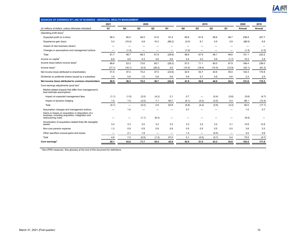

| SOURCES OF EARNINGS BY LINE OF BUSINESS - INDIVIDUAL WEALTH MANAGEMENT                                                        |                |                                  |       |                          |                |        |        |        |        |        |        |
|-------------------------------------------------------------------------------------------------------------------------------|----------------|----------------------------------|-------|--------------------------|----------------|--------|--------|--------|--------|--------|--------|
|                                                                                                                               | 2021           |                                  | 2020  |                          |                |        | 2019   |        |        | 2020   | 2019   |
| (In millions of dollars, unless otherwise indicated)                                                                          | Q <sub>1</sub> | Q4                               | Q3    | Q2                       | Q <sub>1</sub> | Q4     | Q3     | Q2     | Q1     | Annual | Annual |
| Operating profit (loss) <sup>1</sup>                                                                                          |                |                                  |       |                          |                |        |        |        |        |        |        |
| Expected profit on in-force                                                                                                   | 58.3           | 65.4                             | 64.5  | 51.6                     | 57.4           | 60.6   | 61.8   | 58.6   | 46.7   | 238.9  | 227.7  |
| Experience gain (loss)                                                                                                        | 3.4            | (15.4)                           | 4.8   | 10.3                     | (86.2)         | (3.0)  | 6.1    | 0.5    | 2.9    | (86.5) | 6.5    |
| Impact of new business (strain)                                                                                               |                | -                                |       |                          |                | –      | -      |        |        | -      |        |
| Changes in assumptions and management actions                                                                                 | -              | (1.3)                            |       | –                        | -              | (1.0)  |        | -      | -      | (1.3)  | (1.0)  |
| Total                                                                                                                         | 61.7           | 48.7                             | 69.3  | 61.9                     | (28.8)         | 56.6   | 67.9   | 59.1   | 49.6   | 151.1  | 233.2  |
| Income on capital <sup>1</sup>                                                                                                | 6.9            | 4.6                              | 4.3   | 3.8                      | 2.6            | 0.4    | 3.2    | 0.9    | (1.7)  | 15.3   | 2.8    |
| Income (loss) before income taxes <sup>1</sup>                                                                                | 68.6           | 53.3                             | 73.6  | 65.7                     | (26.2)         | 57.0   | 71.1   | 60.0   | 47.9   | 166.4  | 236.0  |
| Income taxes $1$                                                                                                              | (17.1)         | (16.1)                           | (0.4) | (28.2)                   | 2.6            | (14.5) | (18.4) | (15.4) | (12.9) | (42.1) | (61.2) |
| Net income (loss) attributed to shareholders                                                                                  | 51.5           | 37.2                             | 73.2  | 37.5                     | (23.6)         | 42.5   | 52.7   | 44.6   | 35.0   | 124.3  | 174.8  |
| Dividends on preferred shares issued by a subsidiary                                                                          | 1.0            | 0.9                              | 1.0   | 0.8                      | 0.6            | 0.6    | 0.7    | 0.6    | 0.6    | 3.3    | 2.5    |
| Net income (loss) attributed to common shareholders                                                                           | 50.5           | 36.3                             | 72.2  | 36.7                     | (24.2)         | 41.9   | 52.0   | 44.0   | 34.4   | 121.0  | 172.3  |
| Core earnings adjustments (post tax) <sup>1</sup>                                                                             |                |                                  |       |                          |                |        |        |        |        |        |        |
| Market-related impacts that differ from management's<br>best estimate assumptions                                             |                |                                  |       |                          |                |        |        |        |        |        |        |
| Impact on expected management fees                                                                                            | (1.1)          | (1.5)                            | (2.0) | (4.2)                    | 2.1            | 0.7    |        | (0.4)  | (3.6)  | (5.6)  | (4.7)  |
| Impact of dynamic hedging                                                                                                     | 1.0            | 1.5                              | (3.2) | 7.1                      | 60.7           | (5.1)  | (4.2)  | (3.5)  | 0.4    | 66.1   | (12.4) |
| Total                                                                                                                         | (0.1)          | $\overbrace{\phantom{12322111}}$ | (5.2) | 2.9                      | 62.8           | (5.8)  | (4.2)  | (3.9)  | (3.2)  | 60.5   | (17.1) |
| Assumption changes and management actions                                                                                     | -              | 1.0                              |       |                          |                | 0.7    |        |        |        | 1.0    | 0.7    |
| Gains or losses on acquisition or disposition of a<br>business, including acquisition, integration and<br>restructuring costs |                | $\overline{\phantom{0}}$         | (1.1) | (8.3)                    |                |        |        |        |        | (9.4)  |        |
| Amortization of acquisition-related finite life intangible<br>assets                                                          | 3.4            | 3.3                              | 3.0   | 3.2                      | 3.3            | 3.3    | 3.2    | 3.2    | 3.1    | 12.8   | 12.8   |
| Non-core pension expense                                                                                                      | 1.3            | 0.9                              | 0.9   | 0.9                      | 0.9            | 0.5    | 0.5    | 0.5    | 0.5    | 3.6    | 2.0    |
| Other specified unusual gains and losses                                                                                      |                | 2.1                              | 1.9   | $\overline{\phantom{0}}$ | -              | 1.4    |        | (0.5)  |        | 4.0    | 0.9    |
| Total                                                                                                                         | 4.6            | 7.3                              | (0.5) | (1.3)                    | 67.0           | 0.1    | (0.5)  | (0.7)  | 0.4    | 72.5   | (0.7)  |
| Core earnings <sup>1</sup>                                                                                                    | 55.1           | 43.6                             | 71.7  | 35.4                     | 42.8           | 42.0   | 51.5   | 43.3   | 34.8   | 193.5  | 171.6  |
|                                                                                                                               |                |                                  |       |                          |                |        |        |        |        |        |        |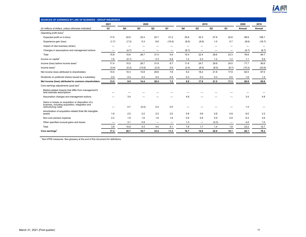

| 2020<br>2019<br>2021<br>2020<br>2019<br>Q4<br>Q <sub>3</sub><br>Q <sub>2</sub><br>Q1<br>Q4<br>Q <sub>3</sub><br>Q2<br>Q <sub>1</sub><br>(In millions of dollars, unless otherwise indicated)<br>Q1<br>Annual<br>Annual<br>Operating profit (loss) <sup>1</sup><br>22.7<br>27.6<br>89.9<br>17.5<br>22.6<br>23.4<br>21.2<br>25.6<br>32.3<br>22.6<br>108.1<br>Expected profit on in-force<br>Experience gain (loss)<br>(1.7)<br>5.3<br>8.8<br>(8.5)<br>(8.6)<br>(7.3)<br>(15.4)<br>(9.9)<br>1.0<br>0.7<br>Impact of new business (strain)<br>–<br>Changes in assumptions and management actions<br>(4.7)<br>(6.7)<br>(4.7)<br>(6.7)<br>$\overline{\phantom{0}}$<br>23.3<br>84.7<br>15.8<br>28.7<br>31.5<br>5.8<br>76.6<br>Total<br>10.6<br>10.4<br>22.4<br>28.6<br>Income on capital <sup>1</sup><br>1.6<br>(0.1)<br>0.3<br>0.9<br>1.2<br>2.3<br>1.2<br>1.2<br>1.1<br>5.9<br>$\qquad \qquad$<br>6.7<br>77.7<br>90.6<br>Income (loss) before income taxes <sup>1</sup><br>17.4<br>10.5<br>28.7<br>31.8<br>11.6<br>24.7<br>29.8<br>24.5<br>Income taxes $1$<br>(15.2)<br>(3.4)<br>(0.2)<br>(13.9)<br>(2.0)<br>0.9<br>(2.4)<br>(6.5)<br>(8.0)<br>(6.7)<br>(23.6)<br>62.5<br>67.0<br>14.0<br>10.3<br>14.8<br>29.8<br>7.6<br>9.2<br>18.2<br>21.8<br>17.8<br>Net income (loss) attributed to shareholders<br>0.4<br>Dividends on preferred shares issued by a subsidiary<br>0.5<br>0.4<br>0.4<br>0.4<br>0.3<br>0.3<br>0.3<br>0.5<br>1.6<br>1.4<br>29.4<br>7.2<br>8.9<br>21.5<br>60.9<br>65.6<br>Net income (loss) attributed to common shareholders<br>13.5<br>9.9<br>17.9<br>17.3<br>14.4<br>Core earnings adjustments (post tax) <sup>1</sup><br>Market-related impacts that differ from management's<br>best estimate assumptions<br>3.4<br>4.8<br>4.8<br>3.4<br>Assumption changes and management actions<br>Gains or losses on acquisition or disposition of a<br>business, including acquisition, integration and<br>0.7<br>(0.2)<br>0.4<br>0.5<br>1.4<br>restructuring costs<br>Amortization of acquisition-related finite life intangible<br>1.6<br>2.0<br>3.3<br>2.0<br>2.0<br>2.0<br>0.8<br>0.8<br>0.8<br>0.9<br>8.0<br>assets<br>1.6<br>1.6<br>3.6<br>2.2<br>1.6<br>1.6<br>0.9<br>0.9<br>0.9<br>0.9<br>6.4<br>Non-core pension expense<br>Other specified unusual gains and losses<br>0.9<br>1.3<br>(0.3)<br>4.0<br>1.0<br>3.1<br>–<br>10.8<br>4.3<br>7.8<br>1.8<br>23.2<br>12.7<br>3.8<br>4.0<br>4.1<br>1.7<br>1.4<br>Total<br>Core earnings <sup>1</sup><br>20.7<br>19.1<br>17.3<br>18.7<br>33.4<br>11.3<br>16.7<br>19.6<br>22.9<br>84.1<br>78.3 | SOURCES OF EARNINGS BY LINE OF BUSINESS - GROUP INSURANCE |  |  |  |  |  |        |
|------------------------------------------------------------------------------------------------------------------------------------------------------------------------------------------------------------------------------------------------------------------------------------------------------------------------------------------------------------------------------------------------------------------------------------------------------------------------------------------------------------------------------------------------------------------------------------------------------------------------------------------------------------------------------------------------------------------------------------------------------------------------------------------------------------------------------------------------------------------------------------------------------------------------------------------------------------------------------------------------------------------------------------------------------------------------------------------------------------------------------------------------------------------------------------------------------------------------------------------------------------------------------------------------------------------------------------------------------------------------------------------------------------------------------------------------------------------------------------------------------------------------------------------------------------------------------------------------------------------------------------------------------------------------------------------------------------------------------------------------------------------------------------------------------------------------------------------------------------------------------------------------------------------------------------------------------------------------------------------------------------------------------------------------------------------------------------------------------------------------------------------------------------------------------------------------------------------------------------------------------------------------------------------------------------------------------------------------------------------------------------------------------------------------------------------------------------------------------------------------------------------------------------------------------|-----------------------------------------------------------|--|--|--|--|--|--------|
|                                                                                                                                                                                                                                                                                                                                                                                                                                                                                                                                                                                                                                                                                                                                                                                                                                                                                                                                                                                                                                                                                                                                                                                                                                                                                                                                                                                                                                                                                                                                                                                                                                                                                                                                                                                                                                                                                                                                                                                                                                                                                                                                                                                                                                                                                                                                                                                                                                                                                                                                                      |                                                           |  |  |  |  |  |        |
|                                                                                                                                                                                                                                                                                                                                                                                                                                                                                                                                                                                                                                                                                                                                                                                                                                                                                                                                                                                                                                                                                                                                                                                                                                                                                                                                                                                                                                                                                                                                                                                                                                                                                                                                                                                                                                                                                                                                                                                                                                                                                                                                                                                                                                                                                                                                                                                                                                                                                                                                                      |                                                           |  |  |  |  |  |        |
|                                                                                                                                                                                                                                                                                                                                                                                                                                                                                                                                                                                                                                                                                                                                                                                                                                                                                                                                                                                                                                                                                                                                                                                                                                                                                                                                                                                                                                                                                                                                                                                                                                                                                                                                                                                                                                                                                                                                                                                                                                                                                                                                                                                                                                                                                                                                                                                                                                                                                                                                                      |                                                           |  |  |  |  |  |        |
|                                                                                                                                                                                                                                                                                                                                                                                                                                                                                                                                                                                                                                                                                                                                                                                                                                                                                                                                                                                                                                                                                                                                                                                                                                                                                                                                                                                                                                                                                                                                                                                                                                                                                                                                                                                                                                                                                                                                                                                                                                                                                                                                                                                                                                                                                                                                                                                                                                                                                                                                                      |                                                           |  |  |  |  |  |        |
|                                                                                                                                                                                                                                                                                                                                                                                                                                                                                                                                                                                                                                                                                                                                                                                                                                                                                                                                                                                                                                                                                                                                                                                                                                                                                                                                                                                                                                                                                                                                                                                                                                                                                                                                                                                                                                                                                                                                                                                                                                                                                                                                                                                                                                                                                                                                                                                                                                                                                                                                                      |                                                           |  |  |  |  |  | (16.7) |
|                                                                                                                                                                                                                                                                                                                                                                                                                                                                                                                                                                                                                                                                                                                                                                                                                                                                                                                                                                                                                                                                                                                                                                                                                                                                                                                                                                                                                                                                                                                                                                                                                                                                                                                                                                                                                                                                                                                                                                                                                                                                                                                                                                                                                                                                                                                                                                                                                                                                                                                                                      |                                                           |  |  |  |  |  |        |
|                                                                                                                                                                                                                                                                                                                                                                                                                                                                                                                                                                                                                                                                                                                                                                                                                                                                                                                                                                                                                                                                                                                                                                                                                                                                                                                                                                                                                                                                                                                                                                                                                                                                                                                                                                                                                                                                                                                                                                                                                                                                                                                                                                                                                                                                                                                                                                                                                                                                                                                                                      |                                                           |  |  |  |  |  |        |
|                                                                                                                                                                                                                                                                                                                                                                                                                                                                                                                                                                                                                                                                                                                                                                                                                                                                                                                                                                                                                                                                                                                                                                                                                                                                                                                                                                                                                                                                                                                                                                                                                                                                                                                                                                                                                                                                                                                                                                                                                                                                                                                                                                                                                                                                                                                                                                                                                                                                                                                                                      |                                                           |  |  |  |  |  |        |
|                                                                                                                                                                                                                                                                                                                                                                                                                                                                                                                                                                                                                                                                                                                                                                                                                                                                                                                                                                                                                                                                                                                                                                                                                                                                                                                                                                                                                                                                                                                                                                                                                                                                                                                                                                                                                                                                                                                                                                                                                                                                                                                                                                                                                                                                                                                                                                                                                                                                                                                                                      |                                                           |  |  |  |  |  |        |
|                                                                                                                                                                                                                                                                                                                                                                                                                                                                                                                                                                                                                                                                                                                                                                                                                                                                                                                                                                                                                                                                                                                                                                                                                                                                                                                                                                                                                                                                                                                                                                                                                                                                                                                                                                                                                                                                                                                                                                                                                                                                                                                                                                                                                                                                                                                                                                                                                                                                                                                                                      |                                                           |  |  |  |  |  |        |
|                                                                                                                                                                                                                                                                                                                                                                                                                                                                                                                                                                                                                                                                                                                                                                                                                                                                                                                                                                                                                                                                                                                                                                                                                                                                                                                                                                                                                                                                                                                                                                                                                                                                                                                                                                                                                                                                                                                                                                                                                                                                                                                                                                                                                                                                                                                                                                                                                                                                                                                                                      |                                                           |  |  |  |  |  |        |
|                                                                                                                                                                                                                                                                                                                                                                                                                                                                                                                                                                                                                                                                                                                                                                                                                                                                                                                                                                                                                                                                                                                                                                                                                                                                                                                                                                                                                                                                                                                                                                                                                                                                                                                                                                                                                                                                                                                                                                                                                                                                                                                                                                                                                                                                                                                                                                                                                                                                                                                                                      |                                                           |  |  |  |  |  |        |
|                                                                                                                                                                                                                                                                                                                                                                                                                                                                                                                                                                                                                                                                                                                                                                                                                                                                                                                                                                                                                                                                                                                                                                                                                                                                                                                                                                                                                                                                                                                                                                                                                                                                                                                                                                                                                                                                                                                                                                                                                                                                                                                                                                                                                                                                                                                                                                                                                                                                                                                                                      |                                                           |  |  |  |  |  |        |
|                                                                                                                                                                                                                                                                                                                                                                                                                                                                                                                                                                                                                                                                                                                                                                                                                                                                                                                                                                                                                                                                                                                                                                                                                                                                                                                                                                                                                                                                                                                                                                                                                                                                                                                                                                                                                                                                                                                                                                                                                                                                                                                                                                                                                                                                                                                                                                                                                                                                                                                                                      |                                                           |  |  |  |  |  |        |
|                                                                                                                                                                                                                                                                                                                                                                                                                                                                                                                                                                                                                                                                                                                                                                                                                                                                                                                                                                                                                                                                                                                                                                                                                                                                                                                                                                                                                                                                                                                                                                                                                                                                                                                                                                                                                                                                                                                                                                                                                                                                                                                                                                                                                                                                                                                                                                                                                                                                                                                                                      |                                                           |  |  |  |  |  |        |
|                                                                                                                                                                                                                                                                                                                                                                                                                                                                                                                                                                                                                                                                                                                                                                                                                                                                                                                                                                                                                                                                                                                                                                                                                                                                                                                                                                                                                                                                                                                                                                                                                                                                                                                                                                                                                                                                                                                                                                                                                                                                                                                                                                                                                                                                                                                                                                                                                                                                                                                                                      |                                                           |  |  |  |  |  |        |
|                                                                                                                                                                                                                                                                                                                                                                                                                                                                                                                                                                                                                                                                                                                                                                                                                                                                                                                                                                                                                                                                                                                                                                                                                                                                                                                                                                                                                                                                                                                                                                                                                                                                                                                                                                                                                                                                                                                                                                                                                                                                                                                                                                                                                                                                                                                                                                                                                                                                                                                                                      |                                                           |  |  |  |  |  |        |
|                                                                                                                                                                                                                                                                                                                                                                                                                                                                                                                                                                                                                                                                                                                                                                                                                                                                                                                                                                                                                                                                                                                                                                                                                                                                                                                                                                                                                                                                                                                                                                                                                                                                                                                                                                                                                                                                                                                                                                                                                                                                                                                                                                                                                                                                                                                                                                                                                                                                                                                                                      |                                                           |  |  |  |  |  |        |
|                                                                                                                                                                                                                                                                                                                                                                                                                                                                                                                                                                                                                                                                                                                                                                                                                                                                                                                                                                                                                                                                                                                                                                                                                                                                                                                                                                                                                                                                                                                                                                                                                                                                                                                                                                                                                                                                                                                                                                                                                                                                                                                                                                                                                                                                                                                                                                                                                                                                                                                                                      |                                                           |  |  |  |  |  |        |
|                                                                                                                                                                                                                                                                                                                                                                                                                                                                                                                                                                                                                                                                                                                                                                                                                                                                                                                                                                                                                                                                                                                                                                                                                                                                                                                                                                                                                                                                                                                                                                                                                                                                                                                                                                                                                                                                                                                                                                                                                                                                                                                                                                                                                                                                                                                                                                                                                                                                                                                                                      |                                                           |  |  |  |  |  |        |
|                                                                                                                                                                                                                                                                                                                                                                                                                                                                                                                                                                                                                                                                                                                                                                                                                                                                                                                                                                                                                                                                                                                                                                                                                                                                                                                                                                                                                                                                                                                                                                                                                                                                                                                                                                                                                                                                                                                                                                                                                                                                                                                                                                                                                                                                                                                                                                                                                                                                                                                                                      |                                                           |  |  |  |  |  |        |
|                                                                                                                                                                                                                                                                                                                                                                                                                                                                                                                                                                                                                                                                                                                                                                                                                                                                                                                                                                                                                                                                                                                                                                                                                                                                                                                                                                                                                                                                                                                                                                                                                                                                                                                                                                                                                                                                                                                                                                                                                                                                                                                                                                                                                                                                                                                                                                                                                                                                                                                                                      |                                                           |  |  |  |  |  |        |
|                                                                                                                                                                                                                                                                                                                                                                                                                                                                                                                                                                                                                                                                                                                                                                                                                                                                                                                                                                                                                                                                                                                                                                                                                                                                                                                                                                                                                                                                                                                                                                                                                                                                                                                                                                                                                                                                                                                                                                                                                                                                                                                                                                                                                                                                                                                                                                                                                                                                                                                                                      |                                                           |  |  |  |  |  |        |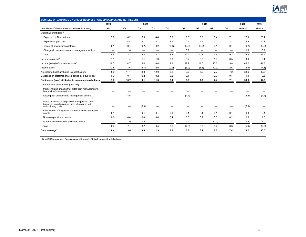

| SOURCES OF EARNINGS BY LINE OF BUSINESS - GROUP SAVINGS AND RETIREMENT                                                        |       |       |                |                          |       |       |                                |       |       |        |        |
|-------------------------------------------------------------------------------------------------------------------------------|-------|-------|----------------|--------------------------|-------|-------|--------------------------------|-------|-------|--------|--------|
|                                                                                                                               | 2021  |       | 2020           |                          |       |       | 2019                           |       |       | 2020   | 2019   |
| (In millions of dollars, unless otherwise indicated)                                                                          | Q1    | Q4    | Q <sub>3</sub> | Q2                       | Q1    | Q4    | Q3                             | Q2    | Q1    | Annual | Annual |
| Operating profit (loss) <sup>1</sup>                                                                                          |       |       |                |                          |       |       |                                |       |       |        |        |
| Expected profit on in-force                                                                                                   | 7.6   | 6.2   | 5.8            | 4.4                      | 5.9   | 6.3   | 6.3                            | 6.4   | 7.1   | 22.3   | 26.1   |
| Experience gain (loss)                                                                                                        | 1.7   | (4.4) | 2.7            | 4.1                      | 2.5   | 0.5   | 4.4                            | 3.1   | 2.1   | 4.9    | 10.1   |
| Impact of new business (strain)                                                                                               | 0.1   | (0.1) | (0.2)          | 0.2                      | (0.1) | (0.5) | (0.6)                          | 0.1   | 0.1   | (0.2)  | (0.9)  |
| Changes in assumptions and management actions                                                                                 | -     | 11.6  | -              | $\overline{\phantom{m}}$ |       | 5.9   | $\qquad \qquad \longleftarrow$ | —     |       | 11.6   | 5.9    |
| Total                                                                                                                         | 9.4   | 13.3  | 8.3            | 8.7                      | 8.3   | 12.2  | 10.1                           | 9.6   | 9.3   | 38.6   | 41.2   |
| Income on capital <sup>1</sup>                                                                                                | 1.1   | 1.4   | 1.1            | 1.3                      | 0.8   | 0.7   | 0.9                            | 1.0   | 0.5   | 4.6    | 3.1    |
| Income (loss) before income taxes <sup>1</sup>                                                                                | 10.5  | 14.7  | 9.4            | 10.0                     | 9.1   | 12.9  | 11.0                           | 10.6  | 9.8   | 43.2   | 44.3   |
| Income taxes <sup>1</sup>                                                                                                     | (2.5) | (3.6) | (6.1)          | 2.0                      | (0.9) | (3.2) | (3.1)                          | (2.9) | (2.6) | (8.6)  | (11.8) |
| Net income (loss) attributed to shareholders                                                                                  | 8.0   | 11.1  | 3.3            | 12.0                     | 8.2   | 9.7   | 7.9                            | 7.7   | 7.2   | 34.6   | 32.5   |
| Dividends on preferred shares issued by a subsidiary                                                                          | 0.3   | 0.4   | 0.2            | 0.2                      | 0.2   | 0.1   |                                | 0.3   | 0.1   | 1.0    | 0.5    |
| Net income (loss) attributed to common shareholders                                                                           | 7.7   | 10.7  | 3.1            | 11.8                     | 8.0   | 9.6   | 7.9                            | 7.4   | 7.1   | 33.6   | 32.0   |
| Core earnings adjustments (post tax) <sup>1</sup>                                                                             |       |       |                |                          |       |       |                                |       |       |        |        |
| Market-related impacts that differ from management's<br>best estimate assumptions                                             |       |       |                |                          |       |       |                                |       |       |        |        |
| Assumption changes and management actions                                                                                     |       | (8.5) |                |                          |       | (4.4) |                                |       |       | (8.5)  | (4.4)  |
| Gains or losses on acquisition or disposition of a<br>business, including acquisition, integration and<br>restructuring costs |       |       | (0.3)          |                          |       |       |                                |       |       | (0.3)  |        |
| Amortization of acquisition-related finite life intangible<br>assets                                                          | 0.1   |       | 0.1            | 0.1                      | 0.1   | 0.1   | 0.1                            | 0.1   | 0.1   | 0.3    | 0.4    |
| Non-core pension expense                                                                                                      | 0.6   | 0.4   | 0.4            | 0.4                      | 0.4   | 0.3   | 0.2                            | 0.3   | 0.2   | 1.6    | 1.0    |
| Other specified unusual gains and losses                                                                                      |       | 1.0   | 0.5            |                          |       | 1.2   | $\overline{\phantom{0}}$       | (0.2) |       | 1.5    | 1.0    |
| Total                                                                                                                         | 0.7   | (7.1) | 0.7            | 0.5                      | 0.5   | (2.8) | 0.3                            | 0.2   | 0.3   | (5.4)  | (2.0)  |
| Core earnings <sup>1</sup>                                                                                                    | 8.4   | 3.6   | 3.8            | 12.3                     | 8.5   | 6.8   | 8.2                            | 7.6   | 7.4   | 28.2   | 30.0   |
|                                                                                                                               |       |       |                |                          |       |       |                                |       |       |        |        |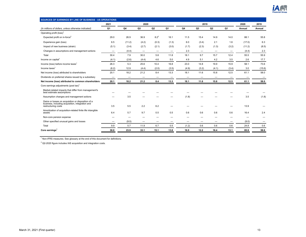

| 2020<br>2019<br>2020<br>2019<br>2021<br>Q1<br>Q4<br>Q <sub>3</sub><br>Q2<br>Q <sub>1</sub><br>Q4<br>Q <sub>3</sub><br>Q2<br>Q <sub>1</sub><br>(In millions of dollars, unless otherwise indicated)<br>Annual<br>Annual<br>Operating profit (loss) <sup>1</sup><br>$8.2^{2}$<br>Expected profit on in-force <sup>2</sup><br>36.9<br>88.1<br>55.8<br>29.0<br>26.9<br>16.1<br>11.5<br>15.4<br>14.9<br>14.0<br>6.3<br>(17.0)<br>6.5<br>(11.2)<br>(4.2)<br>(0.3)<br>6.0<br>2.1<br>1.6<br>Experience gain (loss)<br>(1.3)<br>(3.4)<br>(8.5)<br>(5.1)<br>(2.7)<br>(2.1)<br>(2.3)<br>(1.3)<br>(3.2)<br>(11.2)<br>Impact of new business (strain)<br>(3.4)<br>(3.0)<br>(1.7)<br>Changes in assumptions and management actions<br>(4.4)<br>2.3<br>2.3<br>(4.4)<br>—<br>—<br>$\qquad \qquad \longleftarrow$<br>$\overline{\phantom{0}}$<br>$\overline{\phantom{0}}$<br>-<br>30.4<br>30.0<br>5.8<br>11.8<br>9.7<br>12.4<br>55.5<br>55.9<br>Total<br>7.9<br>18.1<br>15.7<br>Income on capital <sup>1</sup><br>(4.1)<br>(2.6)<br>(4.4)<br>4.6<br>4.9<br>5.1<br>4.2<br>3.5<br>2.6<br>17.7<br>5.0<br>26.3<br>15.9<br>58.1<br>73.6<br>Income (loss) before income taxes <sup>1</sup><br>5.3<br>25.6<br>10.4<br>16.8<br>23.0<br>14.8<br>19.9<br>(15.6)<br>Income taxes $1$<br>(6.2)<br>12.9<br>(4.4)<br>(2.0)<br>(3.5)<br>(4.9)<br>(3.2)<br>(4.1)<br>(3.4)<br>3.0<br>20.1<br>12.5<br>58.0<br>Net income (loss) attributed to shareholders<br>18.2<br>21.2<br>8.4<br>13.3<br>18.1<br>11.6<br>15.8<br>61.1<br>Dividends on preferred shares issued by a subsidiary<br>—<br>$\overline{\phantom{0}}$<br>-<br>$\overline{\phantom{m}}$<br>$\overline{\phantom{0}}$<br>-<br>–<br>-<br>-<br>-<br>Net income (loss) attributed to common shareholders<br>18.2<br>21.2<br>8.4<br>13.3<br>18.1<br>15.8<br>12.5<br>58.0<br>20.1<br>11.6<br>61.1<br>Core earnings adjustments (post tax) <sup>1</sup><br>Market-related impacts that differ from management's<br>best estimate assumptions<br>3.5<br>(1.8)<br>3.5<br>(1.8)<br>Assumption changes and management actions<br>Gains or losses on acquisition or disposition of a<br>business, including acquisition, integration and<br>3.5<br>5.5<br>2.2<br>6.2<br>13.9<br>restructuring costs<br>Amortization of acquisition-related finite life intangible<br>2.4<br>6.4<br>5.7<br>9.7<br>0.5<br>0.5<br>0.6<br>0.6<br>0.6<br>0.6<br>16.4<br>assets<br>Non-core pension expense<br>Other specified unusual gains and losses<br>(9.0)<br>(9.0)<br>0.6<br>9.9<br>5.7<br>6.7<br>0.5<br>(1.2)<br>0.6<br>0.6<br>0.6<br>24.8<br>Total<br>11.9<br>Core earnings <sup>1</sup><br>30.0<br>16.9<br>12.2<br>16.4<br>58.6<br>23.9<br>33.1<br>15.1<br>13.8<br>13.1<br>85.9 | SOURCES OF EARNINGS BY LINE OF BUSINESS - US OPERATIONS |  |  |  |  |  |  |
|---------------------------------------------------------------------------------------------------------------------------------------------------------------------------------------------------------------------------------------------------------------------------------------------------------------------------------------------------------------------------------------------------------------------------------------------------------------------------------------------------------------------------------------------------------------------------------------------------------------------------------------------------------------------------------------------------------------------------------------------------------------------------------------------------------------------------------------------------------------------------------------------------------------------------------------------------------------------------------------------------------------------------------------------------------------------------------------------------------------------------------------------------------------------------------------------------------------------------------------------------------------------------------------------------------------------------------------------------------------------------------------------------------------------------------------------------------------------------------------------------------------------------------------------------------------------------------------------------------------------------------------------------------------------------------------------------------------------------------------------------------------------------------------------------------------------------------------------------------------------------------------------------------------------------------------------------------------------------------------------------------------------------------------------------------------------------------------------------------------------------------------------------------------------------------------------------------------------------------------------------------------------------------------------------------------------------------------------------------------------------------------------------------------------------------------------------------------------------------------------------------------------------------------------------------------------------------------------------------------------------------------------------------------------------------|---------------------------------------------------------|--|--|--|--|--|--|
|                                                                                                                                                                                                                                                                                                                                                                                                                                                                                                                                                                                                                                                                                                                                                                                                                                                                                                                                                                                                                                                                                                                                                                                                                                                                                                                                                                                                                                                                                                                                                                                                                                                                                                                                                                                                                                                                                                                                                                                                                                                                                                                                                                                                                                                                                                                                                                                                                                                                                                                                                                                                                                                                                 |                                                         |  |  |  |  |  |  |
|                                                                                                                                                                                                                                                                                                                                                                                                                                                                                                                                                                                                                                                                                                                                                                                                                                                                                                                                                                                                                                                                                                                                                                                                                                                                                                                                                                                                                                                                                                                                                                                                                                                                                                                                                                                                                                                                                                                                                                                                                                                                                                                                                                                                                                                                                                                                                                                                                                                                                                                                                                                                                                                                                 |                                                         |  |  |  |  |  |  |
|                                                                                                                                                                                                                                                                                                                                                                                                                                                                                                                                                                                                                                                                                                                                                                                                                                                                                                                                                                                                                                                                                                                                                                                                                                                                                                                                                                                                                                                                                                                                                                                                                                                                                                                                                                                                                                                                                                                                                                                                                                                                                                                                                                                                                                                                                                                                                                                                                                                                                                                                                                                                                                                                                 |                                                         |  |  |  |  |  |  |
|                                                                                                                                                                                                                                                                                                                                                                                                                                                                                                                                                                                                                                                                                                                                                                                                                                                                                                                                                                                                                                                                                                                                                                                                                                                                                                                                                                                                                                                                                                                                                                                                                                                                                                                                                                                                                                                                                                                                                                                                                                                                                                                                                                                                                                                                                                                                                                                                                                                                                                                                                                                                                                                                                 |                                                         |  |  |  |  |  |  |
|                                                                                                                                                                                                                                                                                                                                                                                                                                                                                                                                                                                                                                                                                                                                                                                                                                                                                                                                                                                                                                                                                                                                                                                                                                                                                                                                                                                                                                                                                                                                                                                                                                                                                                                                                                                                                                                                                                                                                                                                                                                                                                                                                                                                                                                                                                                                                                                                                                                                                                                                                                                                                                                                                 |                                                         |  |  |  |  |  |  |
|                                                                                                                                                                                                                                                                                                                                                                                                                                                                                                                                                                                                                                                                                                                                                                                                                                                                                                                                                                                                                                                                                                                                                                                                                                                                                                                                                                                                                                                                                                                                                                                                                                                                                                                                                                                                                                                                                                                                                                                                                                                                                                                                                                                                                                                                                                                                                                                                                                                                                                                                                                                                                                                                                 |                                                         |  |  |  |  |  |  |
|                                                                                                                                                                                                                                                                                                                                                                                                                                                                                                                                                                                                                                                                                                                                                                                                                                                                                                                                                                                                                                                                                                                                                                                                                                                                                                                                                                                                                                                                                                                                                                                                                                                                                                                                                                                                                                                                                                                                                                                                                                                                                                                                                                                                                                                                                                                                                                                                                                                                                                                                                                                                                                                                                 |                                                         |  |  |  |  |  |  |
|                                                                                                                                                                                                                                                                                                                                                                                                                                                                                                                                                                                                                                                                                                                                                                                                                                                                                                                                                                                                                                                                                                                                                                                                                                                                                                                                                                                                                                                                                                                                                                                                                                                                                                                                                                                                                                                                                                                                                                                                                                                                                                                                                                                                                                                                                                                                                                                                                                                                                                                                                                                                                                                                                 |                                                         |  |  |  |  |  |  |
|                                                                                                                                                                                                                                                                                                                                                                                                                                                                                                                                                                                                                                                                                                                                                                                                                                                                                                                                                                                                                                                                                                                                                                                                                                                                                                                                                                                                                                                                                                                                                                                                                                                                                                                                                                                                                                                                                                                                                                                                                                                                                                                                                                                                                                                                                                                                                                                                                                                                                                                                                                                                                                                                                 |                                                         |  |  |  |  |  |  |
|                                                                                                                                                                                                                                                                                                                                                                                                                                                                                                                                                                                                                                                                                                                                                                                                                                                                                                                                                                                                                                                                                                                                                                                                                                                                                                                                                                                                                                                                                                                                                                                                                                                                                                                                                                                                                                                                                                                                                                                                                                                                                                                                                                                                                                                                                                                                                                                                                                                                                                                                                                                                                                                                                 |                                                         |  |  |  |  |  |  |
|                                                                                                                                                                                                                                                                                                                                                                                                                                                                                                                                                                                                                                                                                                                                                                                                                                                                                                                                                                                                                                                                                                                                                                                                                                                                                                                                                                                                                                                                                                                                                                                                                                                                                                                                                                                                                                                                                                                                                                                                                                                                                                                                                                                                                                                                                                                                                                                                                                                                                                                                                                                                                                                                                 |                                                         |  |  |  |  |  |  |
|                                                                                                                                                                                                                                                                                                                                                                                                                                                                                                                                                                                                                                                                                                                                                                                                                                                                                                                                                                                                                                                                                                                                                                                                                                                                                                                                                                                                                                                                                                                                                                                                                                                                                                                                                                                                                                                                                                                                                                                                                                                                                                                                                                                                                                                                                                                                                                                                                                                                                                                                                                                                                                                                                 |                                                         |  |  |  |  |  |  |
|                                                                                                                                                                                                                                                                                                                                                                                                                                                                                                                                                                                                                                                                                                                                                                                                                                                                                                                                                                                                                                                                                                                                                                                                                                                                                                                                                                                                                                                                                                                                                                                                                                                                                                                                                                                                                                                                                                                                                                                                                                                                                                                                                                                                                                                                                                                                                                                                                                                                                                                                                                                                                                                                                 |                                                         |  |  |  |  |  |  |
|                                                                                                                                                                                                                                                                                                                                                                                                                                                                                                                                                                                                                                                                                                                                                                                                                                                                                                                                                                                                                                                                                                                                                                                                                                                                                                                                                                                                                                                                                                                                                                                                                                                                                                                                                                                                                                                                                                                                                                                                                                                                                                                                                                                                                                                                                                                                                                                                                                                                                                                                                                                                                                                                                 |                                                         |  |  |  |  |  |  |
|                                                                                                                                                                                                                                                                                                                                                                                                                                                                                                                                                                                                                                                                                                                                                                                                                                                                                                                                                                                                                                                                                                                                                                                                                                                                                                                                                                                                                                                                                                                                                                                                                                                                                                                                                                                                                                                                                                                                                                                                                                                                                                                                                                                                                                                                                                                                                                                                                                                                                                                                                                                                                                                                                 |                                                         |  |  |  |  |  |  |
|                                                                                                                                                                                                                                                                                                                                                                                                                                                                                                                                                                                                                                                                                                                                                                                                                                                                                                                                                                                                                                                                                                                                                                                                                                                                                                                                                                                                                                                                                                                                                                                                                                                                                                                                                                                                                                                                                                                                                                                                                                                                                                                                                                                                                                                                                                                                                                                                                                                                                                                                                                                                                                                                                 |                                                         |  |  |  |  |  |  |
|                                                                                                                                                                                                                                                                                                                                                                                                                                                                                                                                                                                                                                                                                                                                                                                                                                                                                                                                                                                                                                                                                                                                                                                                                                                                                                                                                                                                                                                                                                                                                                                                                                                                                                                                                                                                                                                                                                                                                                                                                                                                                                                                                                                                                                                                                                                                                                                                                                                                                                                                                                                                                                                                                 |                                                         |  |  |  |  |  |  |
|                                                                                                                                                                                                                                                                                                                                                                                                                                                                                                                                                                                                                                                                                                                                                                                                                                                                                                                                                                                                                                                                                                                                                                                                                                                                                                                                                                                                                                                                                                                                                                                                                                                                                                                                                                                                                                                                                                                                                                                                                                                                                                                                                                                                                                                                                                                                                                                                                                                                                                                                                                                                                                                                                 |                                                         |  |  |  |  |  |  |
|                                                                                                                                                                                                                                                                                                                                                                                                                                                                                                                                                                                                                                                                                                                                                                                                                                                                                                                                                                                                                                                                                                                                                                                                                                                                                                                                                                                                                                                                                                                                                                                                                                                                                                                                                                                                                                                                                                                                                                                                                                                                                                                                                                                                                                                                                                                                                                                                                                                                                                                                                                                                                                                                                 |                                                         |  |  |  |  |  |  |
|                                                                                                                                                                                                                                                                                                                                                                                                                                                                                                                                                                                                                                                                                                                                                                                                                                                                                                                                                                                                                                                                                                                                                                                                                                                                                                                                                                                                                                                                                                                                                                                                                                                                                                                                                                                                                                                                                                                                                                                                                                                                                                                                                                                                                                                                                                                                                                                                                                                                                                                                                                                                                                                                                 |                                                         |  |  |  |  |  |  |
|                                                                                                                                                                                                                                                                                                                                                                                                                                                                                                                                                                                                                                                                                                                                                                                                                                                                                                                                                                                                                                                                                                                                                                                                                                                                                                                                                                                                                                                                                                                                                                                                                                                                                                                                                                                                                                                                                                                                                                                                                                                                                                                                                                                                                                                                                                                                                                                                                                                                                                                                                                                                                                                                                 |                                                         |  |  |  |  |  |  |
|                                                                                                                                                                                                                                                                                                                                                                                                                                                                                                                                                                                                                                                                                                                                                                                                                                                                                                                                                                                                                                                                                                                                                                                                                                                                                                                                                                                                                                                                                                                                                                                                                                                                                                                                                                                                                                                                                                                                                                                                                                                                                                                                                                                                                                                                                                                                                                                                                                                                                                                                                                                                                                                                                 |                                                         |  |  |  |  |  |  |
|                                                                                                                                                                                                                                                                                                                                                                                                                                                                                                                                                                                                                                                                                                                                                                                                                                                                                                                                                                                                                                                                                                                                                                                                                                                                                                                                                                                                                                                                                                                                                                                                                                                                                                                                                                                                                                                                                                                                                                                                                                                                                                                                                                                                                                                                                                                                                                                                                                                                                                                                                                                                                                                                                 |                                                         |  |  |  |  |  |  |

 $2$  Q2-2020 figure includes IAS acquisition and integration costs.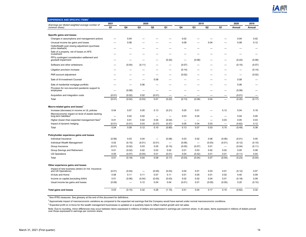

| <b>EXPERIENCE AND SPECIFIC ITEMS</b>                                       |        |                          |                          |                          |                          |                                  |        |                |        |        |        |
|----------------------------------------------------------------------------|--------|--------------------------|--------------------------|--------------------------|--------------------------|----------------------------------|--------|----------------|--------|--------|--------|
| (Earnings per diluted weighted average number of                           | 2021   |                          | 2020                     |                          |                          |                                  | 2019   |                |        | 2020   | 2019   |
| common share)                                                              | Q1     | Q4                       | Q <sub>3</sub>           | Q <sub>2</sub>           | Q1                       | Q4                               | Q3     | Q <sub>2</sub> | Q1     | Annual | Annual |
|                                                                            |        |                          |                          |                          |                          |                                  |        |                |        |        |        |
| Specific gains and losses<br>Changes in assumptions and management actions |        | 0.04                     |                          |                          |                          | 0.02                             |        |                |        | 0.04   | 0.02   |
| Unusual income tax gains and losses                                        |        | 0.08                     |                          |                          |                          | 0.08                             |        | 0.04           |        | 0.08   | 0.12   |
| HollisWealth post closing adjustment (purchase                             |        |                          |                          |                          |                          |                                  |        |                |        |        |        |
| price clawback)                                                            |        |                          |                          |                          |                          |                                  |        |                |        |        |        |
| Sale of a property, net of losses on AFS<br>investment                     |        |                          |                          |                          |                          |                                  |        |                |        |        |        |
| PPI's contingent consideration settlement and                              |        |                          |                          |                          |                          |                                  |        |                |        |        |        |
| goodwill impairment                                                        |        |                          |                          |                          | (0.22)                   | $\overbrace{\phantom{12322111}}$ | (0.08) |                |        | (0.22) | (0.08) |
| Software and other writedowns                                              |        | (0.04)                   | (0.11)                   |                          |                          | (0.07)                           |        |                |        | (0.15) | (0.07) |
| Litigation provision increase                                              |        |                          |                          |                          |                          | (0.14)                           |        |                |        |        | (0.14) |
| PAR account adjustment                                                     |        |                          |                          |                          |                          | (0.02)                           |        |                |        |        | (0.02) |
| Sale of iA Investment Counsel                                              |        |                          | $\overline{\phantom{0}}$ | 0.08                     |                          | -                                |        |                |        | 0.08   |        |
| Sale of residential mortgage portfolio                                     |        |                          | 0.06                     |                          |                          |                                  |        |                |        | 0.06   |        |
| Provision for non-recurrent pandemic support to                            |        |                          |                          |                          |                          |                                  |        |                |        |        |        |
| employees                                                                  |        | (0.08)                   |                          |                          |                          |                                  |        |                |        | (0.08) |        |
| Acquisition and integration costs                                          | (0.01) | (0.02)                   | 0.02                     | (0.01)                   |                          |                                  |        |                |        | (0.01) |        |
| Total                                                                      | (0.01) | (0.02)                   | (0.03)                   | 0.07                     | (0.22)                   | (0.13)                           | (0.08) | 0.04           |        | (0.20) | (0.17) |
| Macro-related gains and losses <sup>2</sup>                                |        |                          |                          |                          |                          |                                  |        |                |        |        |        |
| Increase (decrease) in income on UL policies                               | 0.04   | 0.07                     | 0.05                     | 0.13                     | (0.21)                   | 0.05                             | 0.01   |                | 0.12   | 0.04   | 0.18   |
| Macroeconomic impact on level of assets backing                            |        |                          |                          |                          |                          |                                  |        |                |        |        |        |
| long-term liabilities <sup>3</sup>                                         |        | 0.02                     | 0.02                     | $\overline{\phantom{0}}$ |                          | 0.03                             | 0.02   |                |        | 0.04   | 0.05   |
| Higher (lower) than expected management fees <sup>3</sup>                  | 0.01   | 0.01                     | 0.02                     | 0.04                     | (0.02)                   | $\overbrace{\phantom{12322111}}$ | -      |                | 0.03   | 0.05   | 0.03   |
| Impact of dynamic hedging                                                  | (0.01) | (0.01)                   | 0.03                     | (0.07)                   | (0.57)                   | 0.05                             | 0.04   | 0.03           |        | (0.62) | 0.12   |
| Total                                                                      | 0.04   | 0.09                     | 0.12                     | 0.10                     | (0.80)                   | 0.13                             | 0.07   | 0.03           | 0.15   | (0.49) | 0.38   |
| Policyholder experience gains and losses                                   |        |                          |                          |                          |                          |                                  |        |                |        |        |        |
| Individual Insurance                                                       | (0.06) | 0.03                     | 0.04                     |                          | (0.08)                   | 0.03                             | 0.02   | 0.06           | (0.06) | (0.01) | 0.05   |
| Individual Wealth Management                                               | 0.02   | (0.10)                   | (0.01)                   | (0.01)                   | $\overline{\phantom{0}}$ | (0.06)                           |        | (0.03)         | (0.01) | (0.12) | (0.10) |
| Group Insurance                                                            | (0.01) | (0.02)                   | 0.03                     | 0.05                     | (0.10)                   | (0.05)                           | (0.07) | 0.01           |        | (0.04) | (0.11) |
| Group Savings and Retirement                                               | 0.01   | (0.02)                   | 0.02                     | 0.03                     | 0.02                     | 0.01                             | 0.03   | 0.02           | 0.02   | 0.05   | 0.08   |
| <b>US Operations</b>                                                       | 0.05   | (0.07)                   | (0.04)                   | 0.01                     | (0.01)                   | 0.04                             | (0.02) | 0.01           | 0.01   | (0.11) | 0.04   |
| Total                                                                      | 0.01   | (0.18)                   | 0.04                     | 0.08                     | (0.17)                   | (0.03)                           | (0.04) | 0.07           | (0.04) | (0.23) | (0.04) |
|                                                                            |        |                          |                          |                          |                          |                                  |        |                |        |        |        |
| Other experience gains and losses                                          |        |                          |                          |                          |                          |                                  |        |                |        |        |        |
| Impact of new business (strain) (in Ind. Insurance<br>and US Operations)   | (0.01) | (0.04)                   | -                        | (0.05)                   | (0.03)                   | 0.02                             | 0.01   | 0.03           | 0.01   | (0.12) | 0.07   |
| iA Auto and Home                                                           | 0.08   | 0.11                     | 0.11                     | 0.07                     | 0.11                     | 0.01                             | 0.05   | 0.01           | 0.02   | 0.40   | 0.09   |
| Income on capital (excluding iAAH)                                         | 0.01   | (0.06)                   | (0.04)                   | (0.05)                   | (0.03)                   | 0.02                             | 0.02   | 0.04           | 0.01   | (0.18) | 0.09   |
| Usual income tax gains and losses                                          | (0.09) | $\overline{\phantom{0}}$ | 0.12                     | 0.04                     | 0.04                     | (0.01)                           | 0.01   | (0.05)         | (0.05) | 0.20   | (0.10) |
| <b>Total gains and losses</b>                                              | 0.03   | (0.10)                   | 0.32                     | 0.26                     | (1.10)                   | 0.01                             | 0.04   | 0.17           | 0.10   | (0.62) | 0.32   |
|                                                                            |        |                          |                          |                          |                          |                                  |        |                |        |        |        |

<sup>2</sup> Approximate impact of macroeconomic variations as compared to the expected net earnings that the Company would have earned under normal macroeconomic conditions.

 $^3$  Expected profit on in-force for the wealth management businesses is updated on a quarterly basis to reflect market growth and net sales.

Note: Due to rounding, minor differences may occur between items expressed in millions of dollars and expressed in earnings per common share. In all cases, items expressed in millions of dollars prevail<br>over those expresse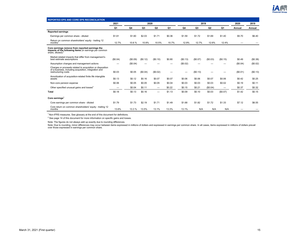

| <b>REPORTED EPS AND CORE EPS RECONCILIATION</b>                                                                                           |                |          |          |                          |        |          |          |                |                          |          |          |
|-------------------------------------------------------------------------------------------------------------------------------------------|----------------|----------|----------|--------------------------|--------|----------|----------|----------------|--------------------------|----------|----------|
|                                                                                                                                           | 2021           |          | 2020     |                          |        |          | 2019     |                |                          | 2020     | 2019     |
|                                                                                                                                           | Q <sub>1</sub> | Q4       | Q3       | Q <sub>2</sub>           | Q1     | Q4       | Q3       | Q <sub>2</sub> | Q1                       | Annual   | Annual   |
| <b>Reported earnings</b>                                                                                                                  |                |          |          |                          |        |          |          |                |                          |          |          |
| Earnings per common share - diluted                                                                                                       | \$1.61         | \$1.60   | \$2.03   | \$1.71                   | \$0.36 | \$1.59   | \$1.72   | \$1.69         | \$1.40                   | \$5.70   | \$6.40   |
| Return on common shareholders' equity - trailing 12<br>months                                                                             | 12.7%          | 10.6%    | 10.9%    | 10.5%                    | 10.7%  | 12.9%    | 12.7%    | 12.6%          | 12.4%                    |          |          |
| Core earnings remove from reported earnings the<br>impacts of the following items (in earnings per common<br>share, diluted);             |                |          |          |                          |        |          |          |                |                          |          |          |
| Market-related impacts that differ from management's<br>best estimate assumptions                                                         | (\$0.04)       | (S0.09)  | (\$0.12) | (\$0.10)                 | \$0.80 | (\$0.13) | (\$0.07) | (\$0.03)       | (\$0.15)                 | \$0.49   | (\$0.38) |
| Assumption changes and management actions                                                                                                 |                | (\$0.04) |          |                          |        | (\$0.02) |          |                |                          | (\$0.04) | (\$0.02) |
| Charges or proceeds related to acquisition or disposition<br>of a business, including acquisition, integration and<br>restructuring costs | \$0.03         | \$0.05   | (\$0.04) | (\$0.02)                 |        |          | (\$0.13) |                |                          | (S0.01)  | (\$0.13) |
| Amortization of acquisition-related finite life intangible<br>assets                                                                      | \$0.13         | \$0.12   | \$0.16   | \$0.07                   | \$0.07 | \$0.06   | \$0.06   | \$0.07         | \$0.06                   | \$0.42   | \$0.25   |
| Non-core pension expense                                                                                                                  | \$0.06         | \$0.05   | \$0.05   | \$0.05                   | \$0.04 | \$0.03   | \$0.03   | \$0.03         | \$0.02                   | \$0.19   | \$0.11   |
| Other specified unusual gains and losses <sup>2</sup>                                                                                     | -              | \$0.04   | \$0.11   | $\overline{\phantom{m}}$ | \$0.22 | \$0.15   | \$0.21   | (\$0.04)       | $\overline{\phantom{m}}$ | \$0.37   | \$0.32   |
| Total                                                                                                                                     | \$0.18         | \$0.13   | \$0.16   | $\overline{\phantom{0}}$ | \$1.13 | \$0.09   | \$0.10   | \$0.03         | (\$0.07)                 | \$1.42   | \$0.15   |
| Core earnings                                                                                                                             |                |          |          |                          |        |          |          |                |                          |          |          |
| Core earnings per common share - diluted                                                                                                  | \$1.79         | \$1.73   | \$2.19   | \$1.71                   | \$1.49 | \$1.68   | \$1.82   | \$1.72         | \$1.33                   | \$7.12   | \$6.55   |
| Core return on common shareholders' equity - trailing 12<br>months                                                                        | 13.6%          | 13.3 %   | 13.5%    | 13.1%                    | 13.3%  | 13.1%    | N/A      | N/A            | N/A                      |          |          |

 $^{2}$  See page 14 of this document for more information on specific gains and losses.

Note: The figures do not always add up exactly due to rounding differences.

Note: Due to rounding, minor differences may occur between items expressed in millions of dollars and expressed in earnings per common share. In all cases, items expressed in millions of dollars prevail<br>over those expresse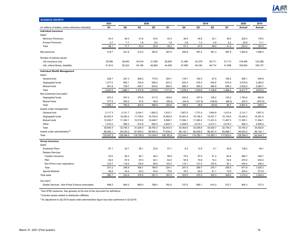

| <b>BUSINESS GROWTH</b>                               |           |           |           |           |           |           |                |                |           |           |           |
|------------------------------------------------------|-----------|-----------|-----------|-----------|-----------|-----------|----------------|----------------|-----------|-----------|-----------|
|                                                      | 2021      |           |           | 2020      |           |           |                | 2019           |           | 2020      | 2019      |
| (In millions of dollars, unless otherwise indicated) | Q1        | Q4        | Q3        | Q2        | Q1        | Q4        | Q <sub>3</sub> | Q <sub>2</sub> | Q1        | Annual    | Annual    |
| <b>Individual Insurance</b>                          |           |           |           |           |           |           |                |                |           |           |           |
| Sales <sup>1</sup>                                   |           |           |           |           |           |           |                |                |           |           |           |
| Minimum Premiums                                     | 54.4      | 64.0      | 51.6      | 43.5      | 43.3      | 48.5      | 45.8           | 43.1           | 39.0      | 202.4     | 176.4     |
| <b>Excess Premiums</b>                               | 3.7       | 7.7       | 1.8       | 9.4       | 1.9       | 2.8       | $1.2$          | 4.9            | 2.2       | 20.8      | 11.1      |
| Total                                                | 58.1      | 71.7      | 53.4      | 52.9      | 45.2      | 51.3      | 47.0           | 48.0           | 41.2      | 223.2     | 187.5     |
| Net premiums                                         | 418.7     | 421.8     | 412.0     | 393.5     | 397.5     | 409.9     | 397.5          | 391.3          | 387.8     | 1,624.8   | 1,586.5   |
| Number of policies issued                            |           |           |           |           |           |           |                |                |           |           |           |
| Life insurance only                                  | 35,590    | 38,400    | 34,519    | 31,558    | 28,929    | 31,485    | 32,379         | 30,711         | 27,713    | 133,406   | 122,288   |
| Life, critical illness, disability                   | 51,814    | 55,224    | 49,156    | 46,965    | 44,558    | 47,995    | 49,160         | 46,714         | 41,858    | 195,903   | 185,727   |
| <b>Individual Wealth Management</b>                  |           |           |           |           |           |           |                |                |           |           |           |
| Sales <sup>1</sup>                                   |           |           |           |           |           |           |                |                |           |           |           |
| General fund                                         | 228.7     | 247.3     | 208.2     | 174.9     | 205.7     | 176.7     | 162.0          | 97.9           | 109.2     | 836.1     | 545.8     |
| Segregated funds                                     | 1,377.0   | 883.1     | 724.9     | 599.3     | 872.3     | 633.4     | 576.4          | 544.8          | 610.9     | 3,079.6   | 2,365.5   |
| Mutual funds                                         | 941.8     | 759.7     | 544.7     | 504.6     | 693.0     | 566.3     | 465.2          | 485.9          | 546.3     | 2,502.0   | 2,063.7   |
| Total                                                | 2,547.5   | 1,890.1   | 1,477.8   | 1,278.8   | 1,771.0   | 1,376.4   | 1,203.6        | 1,128.6        | 1,266.4   | 6,417.7   | 4,975.0   |
| Net investment fund sales <sup>1</sup>               |           |           |           |           |           |           |                |                |           |           |           |
| Segregated funds                                     | 972.3     | 547.2     | 375.9     | 417.0     | 423.8     | 243.6     | 167.8          | 106.2          | 145.2     | 1,763.9   | 662.8     |
| Mutual funds                                         | 377.8     | 245.2     | 47.6      | 49.9      | (99.2)    | (54.4)    | (127.9)        | (136.8)        | (88.5)    | 243.5     | (407.6)   |
| Total                                                | 1,350.1   | 792.4     | 423.5     | 466.9     | 324.6     | 189.2     | 39.9           | (30.6)         | 56.7      | 2,007.4   | 255.2     |
| Assets under management                              |           |           |           |           |           |           |                |                |           |           |           |
| General fund                                         | 2,117.3   | 2,121.7   | 2,034.1   | 1,952.2   | 1,915.1   | 1,807.5   | 1,731.4        | 1,644.9        | 1,613.4   | 2,121.7   | 1,807.5   |
| Segregated funds                                     | 20,423.4  | 19,240.2  | 17,738.0  | 16,754.9  | 14,893.9  | 16,391.9  | 15,748.3       | 15,431.7       | 15,135.6  | 19,240.2  | 16,391.9  |
| Mutual funds                                         | 12,030.7  | 11,393.1  | 10,518.0  | 10,048.7  | 9,908.7   | 11,594.1  | 11,360.2       | 11,431.0       | 11,467.0  | 11,393.1  | 11,594.1  |
| Other                                                | 1,074.0   | 995.3     | 914.8     | 994.5     | 3,825.7   | 4,509.0   | 4,515.7        | 4,513.1        | 4,518.3   | 995.3     | 4,509.0   |
| Total                                                | 35,645.4  | 33,750.3  | 31,204.9  | 29,750.3  | 30,543.4  | 34,302.6  | 33,355.6       | 33,020.7       | 32,734.3  | 33,750.3  | 34,302.6  |
| Assets under administration <sup>2,3</sup>           | 98,292.1  | 94,534.2  | 87,555.0  | 84,594.2  | 77,639.2  | 88,142.1  | 86,426.5       | 86,361.4       | 84,899.1  | 94,534.2  | 88,142.1  |
| Total                                                | 133,937.5 | 128,284.5 | 118,759.9 | 114,344.5 | 108,182.6 | 122,444.7 | 119,782.1      | 119,382.1      | 117,633.4 | 128,284.5 | 122,444.7 |
| <b>Group Insurance</b>                               |           |           |           |           |           |           |                |                |           |           |           |
| Sales <sup>1</sup>                                   |           |           |           |           |           |           |                |                |           |           |           |
| <b>Employee Plans</b>                                | 87.1      | 30.1      | 26.1      | 22.9      | 57.1      | 6.2       | 12.9           | 4.1            | 25.9      | 136.2     | 49.1      |
| <b>Dealers Services</b>                              |           |           |           |           |           |           |                |                |           |           |           |
| <b>Creditor Insurance</b>                            | 43.0      | 65.3      | 90.1      | 46.4      | 58.9      | 75.0      | 97.6           | 91.3           | 64.8      | 260.7     | 328.7     |
| P&C                                                  | 64.5      | 67.4      | 87.0      | 54.1      | 62.0      | 55.9      | 70.6           | 74.3           | 52.6      | 270.5     | 253.4     |
| Non-Prime Loan originations                          | 123.7     | 116.2     | 132.0     | 89.0      | 103.2     | 110.1     | 131.5          | 104.5          | 92.1      | 440.4     | 438.2     |
| Total                                                | 231.2     | 248.9     | 309.1     | 189.5     | 224.1     | 241.0     | 299.7          | 270.1          | 209.5     | 971.6     | 1,020.3   |
| <b>Special Markets</b>                               | 46.8      | 44.4      | 40.3      | 44.9      | 75.8      | 76.3      | 62.9           | 61.1           | 73.6      | 205.4     | 273.9     |
| <b>Total sales</b>                                   | 365.1     | 323.4     | 375.5     | 257.3     | 357.0     | 323.5     | 375.5          | 335.3          | 309.0     | 1,313.2   | 1,343.3   |
| Car loans                                            |           |           |           |           |           |           |                |                |           |           |           |
| Dealer Services - Non-Prime Finance receivables      | 948.2     | 904.3     | 863.0     | 798.5     | 762.5     | 727.0     | 685.1          | 614.3          | 572.7     | 904.3     | 727.0     |

 $2$  Includes assets related to distribution affiliates.

 $^3$  An adjustment to Q2-2019 asset under administration figure has been performed in Q3-2019.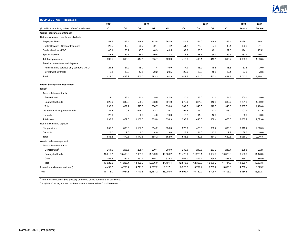

| <b>BUSINESS GROWTH (continued)</b>                        |          |          |          |                |          |          |          |          |          |          |          |
|-----------------------------------------------------------|----------|----------|----------|----------------|----------|----------|----------|----------|----------|----------|----------|
|                                                           | 2021     |          |          | 2020           |          |          |          | 2019     |          | 2020     | 2019     |
| (In millions of dollars, unless otherwise indicated)      | Q1       | Q4       | Q3       | Q <sub>2</sub> | Q1       | Q4       | Q3       | Q2       | Q1       | Annual   | Annual   |
| Group Insurance (continued)                               |          |          |          |                |          |          |          |          |          |          |          |
| Net premiums and premium equivalents                      |          |          |          |                |          |          |          |          |          |          |          |
| <b>Employee Plans</b>                                     | 282.1    | 262.6    | 259.9    | 243.8          | 261.9    | 245.4    | 245.0    | 248.8    | 246.5    | 1.028.2  | 985.7    |
| Dealer Services - Creditor Insurance                      | 28.5     | 46.5     | 73.2     | 32.4           | 41.2     | 54.2     | 75.9     | 67.9     | 43.4     | 193.3    | 241.4    |
| Dealer Services - P&C                                     | 47.1     | 50.2     | 45.5     | 48.9           | 49.5     | 39.2     | 38.6     | 40.1     | 37.3     | 194.1    | 155.2    |
| <b>Special Markets</b>                                    | 41.8     | 39.6     | 35.9     | 40.6           | 71.3     | 71.8     | 58.6     | 56.3     | 69.5     | 187.4    | 256.2    |
| Total net premiums                                        | 399.5    | 398.9    | 414.5    | 365.7          | 423.9    | 410.6    | 418.1    | 413.1    | 396.7    | 1,603.0  | 1,638.5  |
| Premium equivalents and deposits                          |          |          |          |                |          |          |          |          |          |          |          |
| Administrative services only contracts (ASO)              | 24.4     | 21.2     | 18.0     | 7.4            | 16.9     | 17.9     | 16.2     | 18.5     | 18.3     | 63.5     | 70.9     |
| Investment contracts                                      | 5.8      | 18.8     | 17.5     | 20.2           | 20.5     | 20.6     | 20.3     | 15.8     | 22.1     | 77.0     | 78.8     |
| Total                                                     | 429.7    | 438.9    | 450.0    | 393.3          | 461.3    | 449.1    | 454.6    | 447.4    | 437.1    | 1,743.5  | 1,788.2  |
|                                                           |          |          |          |                |          |          |          |          |          |          |          |
| <b>Group Savings and Retirement</b><br>Sales <sup>1</sup> |          |          |          |                |          |          |          |          |          |          |          |
| Accumulation contracts                                    |          |          |          |                |          |          |          |          |          |          |          |
| General fund                                              | 12.0     | 26.4     | 17.5     | 19.9           | 41.9     | 10.7     | 16.0     | 11.7     | 11.6     | 105.7    | 50.0     |
| Segregated funds                                          | 626.9    | 842.8    | 508.3    | 288.8          | 591.9    | 372.0    | 324.5    | 316.8    | 336.7    | 2,231.8  | 1,350.0  |
| Total                                                     | 638.9    | 869.2    | 525.8    | 308.7          | 633.8    | 382.7    | 340.5    | 328.5    | 348.3    | 2,337.5  | 1,400.0  |
| Insured annuities (general fund)                          | 27.4     | 0.8      | 648.2    | 52.3           | 6.1      | 197.3    | 95.0     | 17.3     | 318.0    | 707.4    | 627.6    |
| Deposits                                                  | 27.0     | 9.0      | 6.0      | 4.0            | 19.0     | 13.2     | 11.0     | 12.6     | 9.2      | 38.0     | 46.0     |
| <b>Total sales</b>                                        | 693.3    | 879.0    | 1,180.0  | 365.0          | 658.9    | 593.2    | 446.5    | 358.4    | 675.5    | 3,082.9  | 2,073.6  |
| Net premiums and deposits                                 |          |          |          |                |          |          |          |          |          |          |          |
| Net premiums                                              | 659.8    | 863.5    | 1,167.5  | 354.2          | 633.0    | 573.0    | 428.5    | 338.7    | 660.3    | 3,018.2  | 2,000.5  |
| Deposits                                                  | 27.0     | 9.0      | 6.0      | 4.0            | 19.0     | 13.2     | 11.0     | 12.6     | 9.2      | 38.0     | 46.0     |
| Total                                                     | 686.8    | 872.5    | 1,173.5  | 358.2          | 652.0    | 586.2    | 439.5    | 351.3    | 669.5    | 3,056.2  | 2,046.5  |
| Assets under management                                   |          |          |          |                |          |          |          |          |          |          |          |
| Accumulation contracts                                    |          |          |          |                |          |          |          |          |          |          |          |
| General fund <sup>2</sup>                                 | 254.0    | 298.5    | 295.1    | 290.4          | 289.9    | 232.5    | 240.8    | 233.2    | 233.4    | 298.5    | 232.5    |
| Segregated funds                                          | 13,013.7 | 13,563.8 | 12,381.0 | 11,749.9       | 10,566.2 | 11,476.0 | 11,228.1 | 10,957.0 | 10,623.9 | 13,563.8 | 11,476.0 |
| Other                                                     | 354.5    | 364.1    | 352.9    | 355.7          | 335.3    | 865.0    | 899.1    | 896.5    | 887.6    | 364.1    | 865.0    |
| Total                                                     | 13,622.2 | 14,226.4 | 13,029.0 | 12,396.0       | 11,191.4 | 12,573.5 | 12,368.0 | 12,086.7 | 11,744.9 | 14,226.4 | 12,573.5 |
| Insured annuities (general fund)                          | 4,495.8  | 4,758.4  | 4,711.6  | 4,067.2        | 3,817.1  | 3,929.2  | 3,791.2  | 3,709.7  | 3,658.3  | 4,758.4  | 3,929.2  |
| Total                                                     | 18,118.0 | 18,984.8 | 17,740.6 | 16,463.2       | 15,008.5 | 16,502.7 | 16,159.2 | 15,796.4 | 15,403.2 | 18,984.8 | 16,502.7 |
|                                                           |          |          |          |                |          |          |          |          |          |          |          |

 $2$  In Q3-2020 an adjustment has been made to better reflect Q2-2020 results.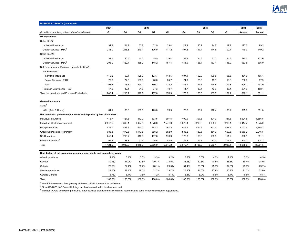

| <b>BUSINESS GROWTH (continued)</b>                                       |         |         |         |                  |         |         |         |                |         |          |          |
|--------------------------------------------------------------------------|---------|---------|---------|------------------|---------|---------|---------|----------------|---------|----------|----------|
|                                                                          | 2021    |         | 2020    |                  |         |         | 2019    |                |         | 2020     | 2019     |
| (In millions of dollars, unless otherwise indicated)                     | Q1      | Q4      | Q3      | $_{\mathbf{Q2}}$ | Q1      | Q4      | Q3      | Q <sub>2</sub> | Q1      | Annual   | Annual   |
| <b>US Operations</b>                                                     |         |         |         |                  |         |         |         |                |         |          |          |
| Sales $(SUS)^{1}$                                                        |         |         |         |                  |         |         |         |                |         |          |          |
| Individual Insurance                                                     | 31.2    | 31.2    | 33.7    | 32.9             | 29.4    | 29.4    | 25.9    | 24.7           | 19.2    | 127.2    | 99.2     |
| Dealer Services - P&C <sup>2</sup>                                       | 233.0   | 245.8   | 249.1   | 106.9            | 117.2   | 107.6   | 117.4   | 114.5          | 109.7   | 719.0    | 449.2    |
| Sales (\$CAN) <sup>1</sup>                                               |         |         |         |                  |         |         |         |                |         |          |          |
| Individual Insurance                                                     | 39.5    | 40.6    | 45.0    | 45.5             | 39.4    | 38.8    | 34.3    | 33.1           | 25.4    | 170.5    | 131.6    |
| Dealer Services - P&C <sup>2</sup>                                       | 295.0   | 322.7   | 335.2   | 148.2            | 157.4   | 141.9   | 155.1   | 153.1          | 145.9   | 963.5    | 596.0    |
| Net Premiums and Premium Equivalents (\$CAN)                             |         |         |         |                  |         |         |         |                |         |          |          |
| <b>Net Premiums</b>                                                      |         |         |         |                  |         |         |         |                |         |          |          |
| Individual Insurance                                                     | 119.2   | 99.1    | 125.3   | 123.7            | 113.5   | 107.1   | 102.0   | 100.5          | 95.5    | 461.6    | 405.1    |
| Dealer Services - P&C <sup>2</sup>                                       | 79.6    | 77.5    | 103.8   | 26.6             | 24.7    | 24.0    | 25.5    | 19.1           | 19.3    | 232.6    | 87.9     |
| Total                                                                    | 198.8   | 176.6   | 229.1   | 150.3            | 138.2   | 131.1   | 127.5   | 119.6          | 114.8   | 694.2    | 493.0    |
| Premium Equivalents - P&C                                                | 47.6    | 42.1    | 81.8    | 37.3             | 40.7    | 44.7    | 33.1    | 43.9           | 36.4    | 201.9    | 158.1    |
| Total Net premiums and Premium Equivalents                               | 246.4   | 218.7   | 310.9   | 187.6            | 178.9   | 175.8   | 160.6   | 163.5          | 151.2   | 896.1    | 651.1    |
| <b>General Insurance</b>                                                 |         |         |         |                  |         |         |         |                |         |          |          |
| Sales <sup>1</sup>                                                       |         |         |         |                  |         |         |         |                |         |          |          |
| iAAH (Auto & Home)                                                       | 84.1    | 86.3    | 109.8   | 125.0            | 73.9    | 76.2    | 96.2    | 112.4          | 66.2    | 395.0    | 351.0    |
| Net premiums, premium equivalents and deposits by line of business       |         |         |         |                  |         |         |         |                |         |          |          |
| Individual Insurance                                                     | 418.7   | 421.8   | 412.0   | 393.5            | 397.5   | 409.9   | 397.5   | 391.3          | 387.8   | 1,624.8  | 1,586.5  |
| Individual Wealth Management                                             | 2,547.5 | 1,890.1 | 1,477.8 | 1,278.8          | 1,771.0 | 1,376.4 | 1,203.6 | 1,128.6        | 1,266.4 | 6,417.7  | 4,975.0  |
| Group Insurance                                                          | 429.7   | 438.9   | 450.0   | 393.3            | 461.3   | 449.1   | 454.6   | 447.4          | 437.1   | 1,743.5  | 1,788.2  |
| Group Savings and Retirement                                             | 686.8   | 872.5   | 1,173.5 | 358.2            | 652.0   | 586.2   | 439.5   | 351.3          | 669.5   | 3,056.2  | 2,046.5  |
| <b>US Operations</b>                                                     | 246.4   | 218.7   | 310.9   | 187.6            | 178.9   | 175.8   | 160.6   | 163.5          | 151.2   | 896.1    | 651.1    |
| General Insurance <sup>3</sup>                                           | 92.5    | 88.8    | 91.4    | 75.5             | 84.5    | 82.3    | 79.5    | 77.3           | 75.1    | 340.2    | 314.2    |
| Total                                                                    | 4,421.6 | 3,930.8 | 3,915.6 | 2,686.9          | 3,545.2 | 3,079.7 | 2,735.3 | 2,559.4        | 2,987.1 | 14,078.5 | 11,361.5 |
| Distribution of net premiums, premium equivalents and deposits by region |         |         |         |                  |         |         |         |                |         |          |          |
| Atlantic provinces                                                       | 4.1%    | 3.1%    | 3.5%    | 3.3%             | 3.2%    | 3.2%    | 3.6%    | 4.0%           | 7.1%    | 3.3%     | 4.5%     |
| Quebec                                                                   | 40.1%   | 47.0%   | 32.5%   | 39.7%            | 38.5%   | 36.2%   | 40.3%   | 40.8%          | 35.3%   | 39.4%    | 38.0%    |
| Ontario                                                                  | 25.5%   | 22.4%   | 38.2%   | 28.1%            | 29.5%   | 31.4%   | 28.6%   | 25.8%          | 32.3%   | 29.6%    | 29.7%    |
| Western provinces                                                        | 24.6%   | 22.1%   | 18.3%   | 21.7%            | 23.7%   | 23.4%   | 21.5%   | 22.9%          | 20.2%   | 21.2%    | 22.0%    |
| Outside Canada                                                           | 5.7%    | 5.4%    | 7.5%    | 7.2%             | 5.1%    | 5.8%    | 6.0%    | 6.5%           | 5.1%    | 6.5%     | 5.8%     |
| Total                                                                    | 100.0%  | 100.0%  | 100.0%  | 100.0%           | 100.0%  | 100.0%  | 100.0%  | 100.0%         | 100.0%  | 100.0%   | 100.0%   |

 $<sup>1</sup>$  Non-IFRS measures. See glossary at the end of this document for definitions.</sup>

 $^2$  Since Q3-2020, IAS Parent Holdings inc. has been added to this business unit.

 $^3$  Includes iA Auto and Home premiums, other activities that have no link with key segments and some minor consolidation adjustments.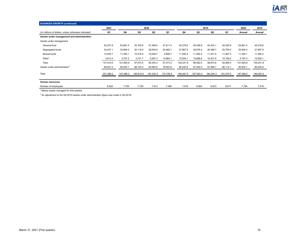

| <b>BUSINESS GROWTH (continued)</b>                   |           |           |           |                |           |           |           |           |           |           |           |
|------------------------------------------------------|-----------|-----------|-----------|----------------|-----------|-----------|-----------|-----------|-----------|-----------|-----------|
|                                                      | 2021      |           |           | 2020           |           |           |           | 2019      |           | 2020      | 2019      |
| (In millions of dollars, unless otherwise indicated) | Q1        | Q4        | Q3        | Q <sub>2</sub> | Q1        | Q4        | Q3        | Q2        | Q1        | Annual    | Annual    |
| Assets under management and administration           |           |           |           |                |           |           |           |           |           |           |           |
| Assets under management                              |           |           |           |                |           |           |           |           |           |           |           |
| General fund                                         | 52,237.8  | 53,661.5  | 52,705.8  | 51,499.5       | 47,811.4  | 45,279.6  | 45,458.8  | 43,432.1  | 42,530.9  | 53,661.5  | 45,279.6  |
| Segregated funds                                     | 33,437.1  | 32,804.0  | 30,119.0  | 28,504.8       | 25,460.1  | 27,867.9  | 26,976.4  | 26,388.7  | 25,759.5  | 32,804.0  | 27,867.9  |
| Mutual funds                                         | 12,030.7  | 11,393.1  | 10,518.0  | 10,048.7       | 9,908.7   | 11,594.2  | 11,360.2  | 11,431.0  | 11,467.0  | 11,393.1  | 11,594.2  |
| Other <sup>1</sup>                                   | 3,913.4   | 3,797.3   | 3,731.7   | 5,287.3        | 13,893.1  | 15,500.1  | 15,666.6  | 15,421.8  | 15,199.0  | 3,797.3   | 15,500.1  |
| Total                                                | 101,619.0 | 101,655.9 | 97,074.5  | 95,340.3       | 97,073.3  | 100,241.8 | 99,462.0  | 96,673.6  | 94,956.4  | 101,655.9 | 100,241.8 |
| Assets under administration <sup>2</sup>             | 99,647.2  | 95,830.1  | 88,745.4  | 85,682.6       | 78,653.6  | 89,245.8  | 87,592.0  | 87,566.7  | 86,114.1  | 95,830.1  | 89,245.8  |
| Total                                                | 201,266.2 | 197,486.0 | 185,819.9 | 181,022.9      | 175,726.9 | 189,487.6 | 187,054.0 | 184,240.3 | 181,070.5 | 197,486.0 | 189,487.6 |
|                                                      |           |           |           |                |           |           |           |           |           |           |           |
| Human resources                                      |           |           |           |                |           |           |           |           |           |           |           |
| Number of employees<br>$\sim$ $\sim$                 | 8,020     | 7,794     | 7,740     | 7,613          | 7,495     | 7,018     | 6,904     | 6,873     | 6,917     | 7,794     | 7,018     |

<sup>1</sup> Mainly assets managed for third parties.

 $^{\rm 2}$  An adjustment to the Q2-2019 assets under administration figure was made in Q3-2019.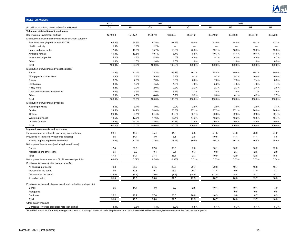

| <b>INVESTED ASSETS</b>                                                |                          |                          |                          |                          |                          |                          |                          |                          |                          |
|-----------------------------------------------------------------------|--------------------------|--------------------------|--------------------------|--------------------------|--------------------------|--------------------------|--------------------------|--------------------------|--------------------------|
|                                                                       | 2021                     |                          | 2020                     |                          |                          |                          | 2019                     |                          |                          |
| (In millions of dollars, unless otherwise indicated)                  | Q1                       | Q4                       | Q3                       | Q2                       | Q1                       | Q4                       | Q3                       | Q <sub>2</sub>           | Q1                       |
| Value and distribution of investments                                 |                          |                          |                          |                          |                          |                          |                          |                          |                          |
| Book value of investment portfolio                                    | 42,498.8                 | 45,147.1                 | 44,687.0                 | 43,308.0                 | 41,561.2                 | 39,919.2                 | 39,856.8                 | 37,987.9                 | 36,572.6                 |
| Distribution of investments by financial instrument category          |                          |                          |                          |                          |                          |                          |                          |                          |                          |
| Fair value through profit or loss (FVTPL)                             | 64.3%                    | 66.9%                    | 67.5%                    | 67.4%                    | 65.0%                    | 63.9%                    | 64.5%                    | 65.1%                    | 63.3%                    |
| Held to maturity                                                      | 1.0%                     | 1.1%                     | 1.2%                     | $\overline{\phantom{0}}$ | $\overline{\phantom{0}}$ |                          | $\overline{\phantom{0}}$ | $\overline{\phantom{0}}$ | $\overline{\phantom{0}}$ |
| Loans and receivables                                                 | 17.4%                    | 16.3%                    | 15.7%                    | 18.3%                    | 20.3%                    | 19.1%                    | 18.9%                    | 19.2%                    | 19.5%                    |
| Available for sale                                                    | 11.9%                    | 10.5%                    | 10.1%                    | 8.7%                     | 8.8%                     | 10.7%                    | 11.1%                    | 10.1%                    | 11.6%                    |
| Investment properties                                                 | 4.4%                     | 4.2%                     | 4.5%                     | 4.6%                     | 4.9%                     | 5.2%                     | 4.5%                     | 4.6%                     | 4.7%                     |
| Other                                                                 | 1.0%                     | 1.0%                     | 1.0%                     | 1.0%                     | 1.0%                     | 1.1%                     | 1.0%                     | 1.0%                     | 0.9%                     |
| Total                                                                 | 100.0%                   | 100.0%                   | 100.0%                   | 100.0%                   | 100.0%                   | 100.0%                   | 100.0%                   | 100.0%                   | 100.0%                   |
| Distribution of investments by asset category                         |                          |                          |                          |                          |                          |                          |                          |                          |                          |
| Bonds                                                                 | 71.9%                    | 71.1%                    | 72.2%                    | 69.1%                    | 66.7%                    | 68.8%                    | 69.6%                    | 69.1%                    | 69.0%                    |
| Mortgages and other loans                                             | 6.8%                     | 6.2%                     | 5.9%                     | 8.7%                     | 9.2%                     | 9.7%                     | 9.7%                     | 10.0%                    | 10.0%                    |
| <b>Stocks</b>                                                         | 8.2%                     | 7.3%                     | 7.0%                     | 6.8%                     | 6.6%                     | 7.6%                     | 7.3%                     | 7.4%                     | 8.5%                     |
| Real estate                                                           | 4.4%                     | 4.2%                     | 4.5%                     | 4.6%                     | 4.9%                     | 5.2%                     | 4.5%                     | 4.6%                     | 4.7%                     |
| Policy loans                                                          | 2.2%                     | 2.0%                     | 2.0%                     | 2.2%                     | 2.2%                     | 2.3%                     | 2.3%                     | 2.4%                     | 2.6%                     |
| Cash and short-term investments                                       | 3.2%                     | 4.3%                     | 4.0%                     | 3.4%                     | 7.2%                     | 2.8%                     | 2.5%                     | 2.3%                     | 2.5%                     |
| Other                                                                 | 3.3%                     | 4.9%                     | 4.4%                     | 5.2%                     | 3.2%                     | 3.6%                     | 4.1%                     | 4.2%                     | 2.7%                     |
| Total                                                                 | 100.0%                   | 100.0%                   | 100.0%                   | 100.0%                   | 100.0%                   | 100.0%                   | 100.0%                   | 100.0%                   | 100.0%                   |
| Distribution of investments by region                                 |                          |                          |                          |                          |                          |                          |                          |                          |                          |
| Atlantic provinces                                                    | 3.3%                     | 3.1%                     | 3.0%                     | 2.9%                     | 2.9%                     | 2.9%                     | 3.0%                     | 2.9%                     | 3.1%                     |
| Quebec                                                                | 24.5%                    | 24.7%                    | 24.4%                    | 26.8%                    | 27.1%                    | 27.3%                    | 27.1%                    | 26.9%                    | 26.8%                    |
| Ontario                                                               | 29.8%                    | 30.4%                    | 31.4%                    | 30.0%                    | 30.1%                    | 30.8%                    | 32.3%                    | 32.8%                    | 32.4%                    |
| Western provinces                                                     | 18.5%                    | 17.8%                    | 17.6%                    | 17.7%                    | 17.3%                    | 18.2%                    | 18.2%                    | 18.5%                    | 18.7%                    |
| Outside Canada                                                        | 23.9%                    | 24.0%                    | 23.6%                    | 22.6%                    | 22.6%                    | 20.8%                    | 19.4%                    | 18.9%                    | 19.0%                    |
| Total                                                                 | 100.0%                   | 100.0%                   | 100.0%                   | 100.0%                   | 100.0%                   | 100.0%                   | 100.0%                   | 100.0%                   | 100.0%                   |
| Impaired investments and provisions                                   |                          |                          |                          |                          |                          |                          |                          |                          |                          |
| Gross impaired investments (excluding insured loans)                  | 23.1                     | 45.2                     | 45.4                     | 44.5                     | 5.5                      | 21.5                     | 24.0                     | 23.9                     | 24.2                     |
| Provisions for impaired investments (specific)                        | 5.6                      | 14.1                     | 8.0                      | 8.1                      | 2.8                      | 10.5                     | 11.1                     | 11.1                     | 8.6                      |
| As a % of gross impaired investments                                  | 24.2%                    | 31.2%                    | 17.6%                    | 18.2%                    | 50.9%                    | 49.1%                    | 46.3%                    | 46.4%                    | 35.5%                    |
| Net impaired investments (excluding insured loans)                    |                          |                          |                          |                          |                          |                          |                          |                          |                          |
| <b>Bonds</b>                                                          | 17.4                     | 30.8                     | 37.0                     | 36.0                     | 2.0                      | 10.1                     | 10.2                     | 10.2                     | 12.8                     |
| Mortgages and other loans                                             | 0.1                      | 0.3                      | 0.4                      | 0.4                      | 0.7                      | 0.8                      | 2.7                      | 2.6                      | 2.8                      |
| Total                                                                 | 17.5                     | 31.1                     | 37.4                     | 36.4                     | 2.7                      | 10.9                     | 12.9                     | 12.8                     | 15.6                     |
| Net impaired investments as a % of investment portfolio               | 0.04%                    | 0.07%                    | 0.08%                    | 0.08%                    | 0.01%                    | 0.03%                    | 0.03%                    | 0.03%                    | 0.04%                    |
| Provisions for losses (collective and specific)                       |                          |                          |                          |                          |                          |                          |                          |                          |                          |
| At beginning of period                                                | 40.8                     | 35.0                     | 31.5                     | 22.5                     | 20.7                     | 20.8                     | 19.7                     | 16.8                     | 16.7                     |
| Increase for the period                                               | 9.6                      | 12.5                     | 9.1                      | 16.2                     | 20.7                     | 11.4                     | 9.5                      | 11.0                     | 8.3                      |
| Decrease for the period                                               | (18.6)                   | (6.7)                    | (5.6)                    | (7.2)                    | (18.9)                   | (11.5)                   | (8.4)                    | (8.1)                    | (8.2)                    |
| At end of period                                                      | 31.8                     | 40.8                     | 35.0                     | 31.5                     | 22.5                     | 20.7                     | 20.8                     | 19.7                     | 16.8                     |
|                                                                       |                          |                          |                          |                          |                          |                          |                          |                          |                          |
| Provisions for losses by type of investment (collective and specific) |                          |                          |                          |                          |                          |                          |                          |                          |                          |
| <b>Bonds</b>                                                          | 5.6                      | 14.1                     | 8.0                      | 8.0                      | 2.5                      | 10.4                     | 10.4                     | 10.4                     | 7.9                      |
| Mortgages                                                             | $\overline{\phantom{a}}$ | $\overline{\phantom{a}}$ | $\overline{\phantom{0}}$ | $\overline{\phantom{0}}$ | $\overline{\phantom{a}}$ | $\overline{\phantom{0}}$ | 0.6                      | 0.6                      | 0.6                      |
| Car loans                                                             | 26.2                     | 26.7                     | 27.0                     | 23.5                     | 20.0                     | 10.3                     | 9.8                      | 8.7                      | 8.3                      |
| Total                                                                 | 31.8                     | 40.8                     | 35.0                     | 31.5                     | 22.5                     | 20.7                     | 20.8                     | 19.7                     | 16.8                     |
| Other quality measure                                                 |                          |                          |                          |                          |                          |                          |                          |                          |                          |
| Car loans - Average credit loss rate (non-prime)                      | 3.0%                     | 3.6%                     | 4.3%                     | 5.0%                     | 5.5%                     | 5.4%                     | 5.3%                     | 5.4%                     | 5.3%                     |

<sup>1</sup>Non-IFRS measure. Quarterly average credit loss on a trailing 12 months basis. Represents total credit losses divided by the average finance receivables over the same period.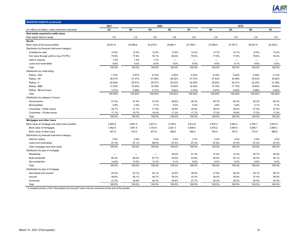

| <b>INVESTED ASSETS (continued)</b>                   |          |                          |          |              |                          |                          |                |                   |                          |
|------------------------------------------------------|----------|--------------------------|----------|--------------|--------------------------|--------------------------|----------------|-------------------|--------------------------|
|                                                      | 2021     |                          | 2020     |              |                          |                          | 2019           |                   |                          |
| (In millions of dollars, unless otherwise indicated) | Q1       | Q4                       | Q3       | $\mathsf Q2$ | Q1                       | Q4                       | Q <sub>3</sub> | Q2                | Q1                       |
| Real estate acquired to settle loans                 |          |                          |          |              |                          |                          |                |                   |                          |
| Real estate held for resale                          | 0.5      | 0.5                      | 0.6      | 0.6          | 0.6                      | 0.6                      | 0.6            | 0.6               | 0.6                      |
| <b>Bonds</b>                                         |          |                          |          |              |                          |                          |                |                   |                          |
| Book value of the bond portfolio                     | 30,541.8 | 32,098.6                 | 32,279.0 | 29,964.1     | 27,708.3                 | 27,508.5                 | 27,767.3       | 26,291.8          | 25,229.3                 |
| Distribution by financial instrument category        |          |                          |          |              |                          |                          |                |                   |                          |
| Available for sale                                   | 14.0%    | 12.5%                    | 12.2%    | 10.9%        | 12.0%                    | 13.7%                    | 14.1%          | 12.8%             | 15.0%                    |
| Fair value through profit or loss (FVTPL)            | 75.9%    | 77.8%                    | 78.1%    | 80.6%        | 79.0%                    | 77.8%                    | 77.8%          | 78.6%             | 76.4%                    |
| Held to maturity                                     | 1.5%     | 1.5%                     | 1.7%     |              | $\overline{\phantom{0}}$ | $\overline{\phantom{m}}$ |                | $\qquad \qquad -$ | $\overline{\phantom{m}}$ |
| Loans and receivables                                | 8.6%     | 8.2%                     | 8.0%     | 8.5%         | 9.0%                     | 8.5%                     | 8.1%           | 8.6%              | 8.6%                     |
| Total                                                | 100.0%   | 100.0%                   | 100.0%   | 100.0%       | 100.0%                   | 100.0%                   | 100.0%         | 100.0%            | 100.0%                   |
| Distribution by credit rating                        |          |                          |          |              |                          |                          |                |                   |                          |
| Rating - AAA                                         | 7.74%    | 5.97%                    | 6.10%    | 4.05%        | 5.03%                    | 6.78%                    | 5.54%          | 4.56%             | 6.14%                    |
| Rating - AA                                          | 45.07%   | 47.27%                   | 47.08%   | 48.32%       | 47.47%                   | 47.62%                   | 34.48%         | 35.53%            | 34.82%                   |
| Rating - A                                           | 28.93%   | 29.47%                   | 29.27%   | 30.20%       | 30.55%                   | 28.94%                   | 42.01%         | 42.25%            | 41.28%                   |
| Rating - BBB                                         | 17.25%   | 16.30%                   | 16.78%   | 16.60%       | 16.20%                   | 15.79%                   | 17.15%         | 16.80%            | 16.84%                   |
| Rating - BB and lower                                | 1.01%    | 0.99%                    | 0.77%    | 0.83%        | 0.75%                    | 0.87%                    | 0.82%          | 0.86%             | 0.92%                    |
| Total                                                | 100.00%  | 100.00%                  | 100.00%  | 100.00%      | 100.00%                  | 100.00%                  | 100.00%        | 100.00%           | 100.00%                  |
| Distribution by category of issuer                   |          |                          |          |              |                          |                          |                |                   |                          |
| Governments                                          | 47.4%    | 47.4%                    | 47.4%    | 46.8%        | 46.5%                    | 49.7%                    | 50.4%          | 50.2%             | 50.4%                    |
| Municipalities                                       | 4.8%     | 4.8%                     | 4.7%     | 5.0%         | 5.0%                     | 4.8%                     | 4.8%           | 5.1%              | 5.1%                     |
| Corporates - Public issues                           | 30.7%    | 31.1%                    | 31.5%    | 30.9%        | 30.8%                    | 28.2%                    | 28.2%          | 27.5%             | 27.0%                    |
| Corporates - Private issues                          | 17.1%    | 16.7%                    | 16.4%    | 17.3%        | 17.7%                    | 17.3%                    | 16.6%          | 17.2%             | 17.5%                    |
| Total                                                | 100.0%   | 100.0%                   | 100.0%   | 100.0%       | 100.0%                   | 100.0%                   | 100.0%         | 100.0%            | 100.0%                   |
| Mortgages and other loans                            |          |                          |          |              |                          |                          |                |                   |                          |
| Book value of mortgage and other loans portfolio     | 2,900.8  | 2,801.5                  | 2,631.5  | 3,749.3      | 3,814.8                  | 3,870.2                  | 3,853.4        | 3,795.7           | 3,670.9                  |
| Book value of mortgages                              | 1,952.9  | 1,891.5                  | 1,753.9  | 2,921.3      | 3,006.6                  | 3,076.2                  | 3,085.9        | 3,080.7           | 2,984.3                  |
| Book value of other loans                            | 947.9    | 910.0                    | 877.6    | 828.0        | 808.2                    | 794.0                    | 767.5          | 715.0             | 686.6                    |
| Distribution by financial instrument category        |          |                          |          |              |                          |                          |                |                   |                          |
| Held for trading                                     | 2.6%     | 2.9%                     | 3.5%     | 2.5%         | 2.7%                     | 2.4%                     | 2.5%           | 2.6%              | 2.5%                     |
| Loans and receivables                                | 97.4%    | 97.1%                    | 96.5%    | 97.5%        | 97.3%                    | 97.6%                    | 97.5%          | 97.4%             | 97.5%                    |
| Total mortgages and other loans                      | 100.0%   | 100.0%                   | 100.0%   | 100.0%       | 100.0%                   | 100.0%                   | 100.0%         | 100.0%            | 100.0%                   |
| Distribution by type of mortgage                     |          |                          |          |              |                          |                          |                |                   |                          |
| Residential                                          |          | $\overline{\phantom{m}}$ |          | 38.0%        | 37.3%                    | 37.0%                    | 37.4%          | 36.7%             | 36.5%                    |
| Multi-residential                                    | 85.4%    | 86.0%                    | 87.7%    | 53.9%        | 53.8%                    | 54.6%                    | 54.1%          | 54.5%             | 55.1%                    |
| Non-residential                                      | 14.6%    | 14.0%                    | 12.3%    | 8.1%         | 8.9%                     | 8.4%                     | 8.5%           | 8.8%              | 8.4%                     |
| Total                                                | 100.0%   | 100.0%                   | 100.0%   | 100.0%       | 100.0%                   | 100.0%                   | 100.0%         | 100.0%            | 100.0%                   |
| Distribution by type of mortgage                     |          |                          |          |              |                          |                          |                |                   |                          |
| Securitized and insured                              | 24.4%    | 23.1%                    | 24.1%    | 34.9%        | 38.0%                    | 37.8%                    | 39.2%          | 38.1%             | 39.7%                    |
| Insured                                              | 48.6%    | 50.1%                    | 49.7%    | 38.3%        | 34.3%                    | 36.0%                    | 35.8%          | 37.4%             | 36.9%                    |
| Uninsured                                            | 27.0%    | 26.8%                    | 26.2%    | 26.8%        | 27.7%                    | 26.2%                    | 25.0%          | 24.5%             | 23.4%                    |
| Total                                                | 100.0%   | 100.0%                   | 100.0%   | 100.0%       | 100.0%                   | 100.0%                   | 100.0%         | 100.0%            | 100.0%                   |

1 A marginal portion of the "Securitized and insured" loans may be uninsured at the end of the quarter.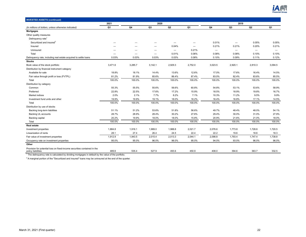

|                                                                                                                                                                                                      | 2021    |         | 2020           |                                  | 2019                     |                          |                          |                          |         |
|------------------------------------------------------------------------------------------------------------------------------------------------------------------------------------------------------|---------|---------|----------------|----------------------------------|--------------------------|--------------------------|--------------------------|--------------------------|---------|
| (In millions of dollars, unless otherwise indicated)                                                                                                                                                 | Q1      | Q4      | Q <sub>3</sub> | $_{\mathbf{Q2}}$                 | Q1                       | Q4                       | Q3                       | Q2                       | Q1      |
| <b>Mortgages</b>                                                                                                                                                                                     |         |         |                |                                  |                          |                          |                          |                          |         |
| Other quality measures                                                                                                                                                                               |         |         |                |                                  |                          |                          |                          |                          |         |
| Delinquency rate <sup>1</sup>                                                                                                                                                                        |         |         |                |                                  |                          |                          |                          |                          |         |
| Securitized and insured <sup>2</sup>                                                                                                                                                                 | -       | –       | -              | $\overline{\phantom{0}}$         | -                        | 0.01%                    |                          | 0.05%                    | 0.05%   |
| Insured                                                                                                                                                                                              |         |         | -              | 0.04%                            | $\overline{\phantom{0}}$ | 0.21%                    | 0.21%                    | 0.20%                    | 0.21%   |
| Uninsured                                                                                                                                                                                            |         |         | -              | $\overbrace{\phantom{12322111}}$ | 0.21%                    | $\overline{\phantom{m}}$ | $\overline{\phantom{m}}$ | $\overline{\phantom{m}}$ |         |
| Total                                                                                                                                                                                                | -       | —       |                | 0.01%                            | 0.06%                    | 0.08%                    | 0.08%                    | 0.10%                    | 0.10%   |
| Delinquency rate, including real estate acquired to settle loans                                                                                                                                     | 0.03%   | 0.03%   | 0.03%          | 0.03%                            | 0.08%                    | 0.10%                    | 0.09%                    | 0.11%                    | 0.12%   |
| <b>Stocks</b>                                                                                                                                                                                        |         |         |                |                                  |                          |                          |                          |                          |         |
| Book value of the stock portfolio                                                                                                                                                                    | 3,471.6 | 3,285.7 | 3,142.1        | 2,929.3                          | 2,752.0                  | 3,023.5                  | 2,920.1                  | 2,810.3                  | 3,094.5 |
| Distribution by financial instrument category                                                                                                                                                        |         |         |                |                                  |                          |                          |                          |                          |         |
| Available for sale                                                                                                                                                                                   | 18.8%   | 18.1%   | 14.4%          | 13.6%                            | 12.6%                    | 17.0%                    | 17.6%                    | 16.4%                    | 14.5%   |
| Fair value through profit or loss (FVTPL)                                                                                                                                                            | 81.2%   | 81.9%   | 85.6%          | 86.4%                            | 87.4%                    | 83.0%                    | 82.4%                    | 83.6%                    | 85.5%   |
| Total                                                                                                                                                                                                | 100.0%  | 100.0%  | 100.0%         | 100.0%                           | 100.0%                   | 100.0%                   | 100.0%                   | 100.0%                   | 100.0%  |
| Distribution by category                                                                                                                                                                             |         |         |                |                                  |                          |                          |                          |                          |         |
| Common                                                                                                                                                                                               | 55.3%   | 55.5%   | 55.6%          | 56.6%                            | 60.8%                    | 54.8%                    | 53.1%                    | 53.6%                    | 58.9%   |
| Preferred                                                                                                                                                                                            | 22.8%   | 22.5%   | 17.6%          | 17.2%                            | 15.9%                    | 18.5%                    | 18.9%                    | 19.8%                    | 16.7%   |
| Market indices                                                                                                                                                                                       | 2.0%    | 2.1%    | 7.7%           | 8.2%                             | 7.1%                     | 10.3%                    | 11.2%                    | 9.5%                     | 9.9%    |
| Investment fund units and other                                                                                                                                                                      | 19.9%   | 19.9%   | 19.1%          | 18.0%                            | 16.2%                    | 16.4%                    | 16.8%                    | 17.1%                    | 14.5%   |
| Total                                                                                                                                                                                                | 100.0%  | 100.0%  | 100.0%         | 100.0%                           | 100.0%                   | 100.0%                   | 100.0%                   | 100.0%                   | 100.0%  |
| Distribution by use of stocks                                                                                                                                                                        |         |         |                |                                  |                          |                          |                          |                          |         |
| Backing long-term liabilities                                                                                                                                                                        | 51.1%   | 51.2%   | 53.6%          | 51.8%                            | 56.6%                    | 49.7%                    | 48.4%                    | 48.0%                    | 54.1%   |
| <b>Backing UL accounts</b>                                                                                                                                                                           | 28.7%   | 28.9%   | 28.4%          | 30.2%                            | 27.6%                    | 29.4%                    | 30.0%                    | 31.0%                    | 27.9%   |
| Backing capital                                                                                                                                                                                      | 20.2%   | 19.9%   | 18.0%          | 18.0%                            | 15.8%                    | 20.9%                    | 21.6%                    | 21.0%                    | 18.0%   |
| Total                                                                                                                                                                                                | 100.0%  | 100.0%  | 100.0%         | 100.0%                           | 100.0%                   | 100.0%                   | 100.0%                   | 100.0%                   | 100.0%  |
| <b>Real estate</b>                                                                                                                                                                                   |         |         |                |                                  |                          |                          |                          |                          |         |
| Investment properties                                                                                                                                                                                | 1,884.8 | 1,916.1 | 1,989.0        | 1,988.8                          | 2,021.7                  | 2,076.6                  | 1,773.8                  | 1,728.8                  | 1,720.5 |
| Linearization of rents                                                                                                                                                                               | 28.1    | 27.4    | 26.4           | 24.5                             | 22.4                     | 22.2                     | 19.6                     | 18.6                     | 18.3    |
| Fair value of investment properties                                                                                                                                                                  | 1,912.9 | 1,943.5 | 2,015.4        | 2,013.3                          | 2,044.1                  | 2,098.8                  | 1,793.4                  | 1,747.4                  | 1,738.8 |
| Occupancy rate on investment properties                                                                                                                                                              | 95.0%   | 95.0%   | 96.0%          | 96.0%                            | 95.0%                    | 94.0%                    | 93.0%                    | 96.0%                    | 96.0%   |
| Other                                                                                                                                                                                                |         |         |                |                                  |                          |                          |                          |                          |         |
| Provision for potential loss on fixed-income securities contained in the<br>policy liabilities<br>The delinguency rate is calculated by dividing mortgages in default by the value of the portfolio. | 489.8   | 535.4   | 527.9          | 493.6                            | 450.9                    | 408.0                    | 394.6                    | 363.7                    | 332.5   |

 $^2$  A marginal portion of the "Securitized and insured" loans may be uninsured at the end of the quarter.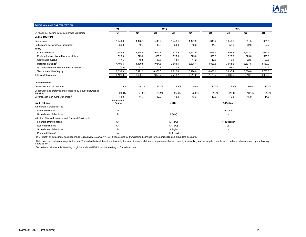

| <b>SOLVENCY AND CAPITALIZATION</b>                                          |                      |         |         |             |         |         |               |         |         |
|-----------------------------------------------------------------------------|----------------------|---------|---------|-------------|---------|---------|---------------|---------|---------|
|                                                                             | 2021                 |         | 2020    |             |         |         | 2019          |         |         |
| (In millions of dollars, unless otherwise indicated)                        | Q1                   | Q4      | Q3      | Q2          | Q1      | Q4      | Q3            | Q2      | Q1      |
| <b>Capital structure</b>                                                    |                      |         |         |             |         |         |               |         |         |
| <b>Debentures</b>                                                           | 1,449.3              | 1,448.7 | 1,448.2 | 1,448.1     | 1,447.9 | 1,049.7 | 1,049.5       | 651.5   | 901.5   |
| Participating policyholders' accounts <sup>1</sup>                          | 36.0                 | 40.7    | 46.0    | 50.0        | 43.3    | 41.9    | 52.6          | 52.6    | 52.7    |
| Equity                                                                      |                      |         |         |             |         |         |               |         |         |
| Common shares                                                               | 1,689.5              | 1,674.5 | 1,672.8 | 1,671.9     | 1,671.9 | 1,666.5 | 1,652.3       | 1,632.3 | 1,634.5 |
| Preferred shares issued by a subsidiary                                     | 525.0                | 525.0   | 525.0   | 525.0       | 525.0   | 525.0   | 525.0         | 525.0   | 525.0   |
| Contributed surplus                                                         | 17.5                 | 18.8    | 18.5    | 18.1        | 17.2    | 17.5    | 19.1          | 22.5    | 22.5    |
| Retained earnings <sup>1</sup>                                              | 4,405.5              | 4,170.5 | 4,034.5 | 3,884.1     | 3,878.4 | 3,823.5 | 3,651.5       | 3,534.5 | 3,467.0 |
| Accumulated other comprehensive income                                      | (1.5)                | 82.5    | 105.7   | 121.5       | 27.5    | 55.6    | 89.5          | 91.7    | 84.8    |
| Total shareholders' equity                                                  | 6,636.0              | 6,471.3 | 6,356.5 | 6,220.6     | 6,120.0 | 6,088.1 | 5,937.4       | 5,806.0 | 5,733.8 |
| Total capital structure                                                     | 8,121.3              | 7,960.7 | 7,850.7 | 7,718.7     | 7,611.2 | 7,179.7 | 7,039.5       | 6,510.1 | 6,688.0 |
| Debt measures                                                               |                      |         |         |             |         |         |               |         |         |
| Debentures/capital structure                                                | 17.8%                | 18.2%   | 18.4%   | 18.8%       | 19.0%   | 14.6%   | 14.9%         | 10.0%   | 13.5%   |
| Debentures and preferred shares issued by a subsidiary/capital<br>structure | 24.3%                | 24.8%   | 25.1%   | 25.6%       | 25.9%   | 21.9%   | 22.4%         | 18.1%   | 21.3%   |
| Coverage ratio (in number of times) <sup>2</sup>                            | 14.0                 | 11.7    | 12.0    | 12.4        | 13.3    | 16.6    | 16.8          | 15.9    | 14.8    |
| <b>Credit ratings</b>                                                       | Standard &<br>Poor's |         |         | <b>DBRS</b> |         |         | A.M. Best     |         |         |
| iA Financial Corporation Inc.                                               |                      |         |         |             |         |         |               |         |         |
| Issuer credit rating                                                        | Α                    |         |         | A           |         |         | not rated     |         |         |
| Subordinated debentures                                                     | А-                   |         |         | A (low)     |         |         | a             |         |         |
| Industrial Alliance Insurance and Financial Services Inc.                   |                      |         |         |             |         |         |               |         |         |
| Financial strength rating                                                   | AA-                  |         |         | AA (low)    |         |         | A+ (Superior) |         |         |
| Issuer credit rating                                                        | AA-                  |         |         | AA (low)    |         |         | aa-           |         |         |
| Subordinated debentures                                                     | $A+$                 |         |         | A (high)    |         |         | a             |         |         |
| Preferred Shares <sup>3</sup>                                               | Α                    |         |         | Pfd-1 (low) |         |         | а-            |         |         |

<sup>1</sup> In Q4 2019, an adjustment has been made retroactively to January 1, 2018 transferring \$7 from retained earnings to the participating policyholders' accounts.

<sup>2</sup> Calculated by dividing earnings for the past 12 months (before interest and taxes) by the sum of interest, dividends on preferred shares issued by a subsidiary and redemption premiums on preferred shares issued by a su

<sup>3</sup> For preferred shares: A is the rating on global scale and P-1 (Low) is the rating on Canadian scale.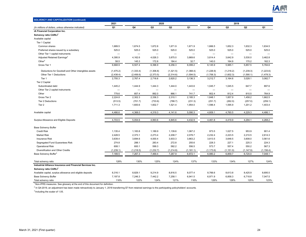

| <b>SOLVENCY AND CAPITALIZATION (continued)</b>             |                          |                          |                          |                          |                          |                          |                          |                          |                          |
|------------------------------------------------------------|--------------------------|--------------------------|--------------------------|--------------------------|--------------------------|--------------------------|--------------------------|--------------------------|--------------------------|
|                                                            | 2021<br>2020             |                          |                          |                          |                          |                          | 2019                     |                          |                          |
| (In millions of dollars, unless otherwise indicated)       | Q1                       | Q4                       | Q3                       | Q2                       | Q1                       | Q4                       | Q3                       | Q2                       | Q1                       |
| iA Financial Corporation Inc.                              |                          |                          |                          |                          |                          |                          |                          |                          |                          |
| Solvency ratio CARLI <sup>1</sup>                          |                          |                          |                          |                          |                          |                          |                          |                          |                          |
| Available capital                                          |                          |                          |                          |                          |                          |                          |                          |                          |                          |
| Tier 1 Capital:                                            |                          |                          |                          |                          |                          |                          |                          |                          |                          |
| Common shares                                              | 1,689.5                  | 1,674.5                  | 1,672.8                  | 1,671.9                  | 1,671.9                  | 1,666.5                  | 1,652.3                  | 1,632.3                  | 1,634.5                  |
| Preferred shares issued by a subsidiary                    | 525.0                    | 525.0                    | 525.0                    | 525.0                    | 525.0                    | 525.0                    | 525.0                    | 525.0                    | 525.0                    |
| Other Tier 1 capital instruments                           | $\overline{\phantom{0}}$ | $\overline{\phantom{0}}$ | $\overline{\phantom{0}}$ | $\overline{\phantom{0}}$ | $\overline{\phantom{0}}$ |                          | $\overline{\phantom{0}}$ |                          | $\overline{\phantom{0}}$ |
| Adjusted Retained Earnings <sup>2</sup>                    | 4,395.9                  | 4,162.6                  | 4,026.3                  | 3,875.0                  | 3,869.6                  | 3,814.4                  | 3,642.9                  | 3,530.0                  | 3,462.8                  |
| Other $2$                                                  | 58.5                     | 145.3                    | 172.8                    | 184.4                    | 32.7                     | 140.0                    | 164.9                    | 170.2                    | 162.3                    |
| Gross Tier 1                                               | 6,668.9                  | 6,507.4                  | 6,396.9                  | 6,256.3                  | 6,099.2                  | 6,145.9                  | 5,985.1                  | 5,857.5                  | 5,784.6                  |
| Deductions for Goodwill and Other intangibles assets       | (1,475.2)                | (1, 333.4)               | (1,306.8)                | (1,321.5)                | (1,368.4)                | (1,226.9)                | (1,218.2)                | (1, 239.3)               | (1,223.6)                |
| Other Tier 1 Deductions                                    | (2, 438.4)               | (2,406.6)                | (2,373.5)                | (2,314.6)                | (1,594.5)                | (1,706.3)                | (1,602.3)                | (1,590.1)                | (1, 478.3)               |
| Tier 1                                                     | 2,755.3                  | 2,767.4                  | 2,716.6                  | 2,620.2                  | 3,136.3                  | 3,212.7                  | 3,164.6                  | 3,028.1                  | 3,082.7                  |
| Tier 2 Capital                                             |                          |                          |                          |                          |                          |                          |                          |                          |                          |
| Subordinated debt                                          | 1,445.2                  | 1,444.9                  | 1,444.3                  | 1,444.0                  | 1,443.6                  | 1,045.7                  | 1,045.5                  | 647.7                    | 897.6                    |
| Other Tier 2 capital instruments                           |                          |                          | -                        |                          |                          | $\overline{\phantom{0}}$ |                          | $\overline{\phantom{0}}$ |                          |
| Other                                                      | 779.6                    | 857.4                    | 892.0                    | 866.1                    | 741.7                    | 802.4                    | 812.4                    | 810.5                    | 764.9                    |
| Gross Tier 2                                               | 2,224.8                  | 2,302.3                  | 2,336.3                  | 2,310.1                  | 2,185.3                  | 1,848.1                  | 1,857.9                  | 1,458.2                  | 1,662.5                  |
| <b>Tier 2 Deductions</b>                                   | (513.5)                  | (701.7)                  | (733.6)                  | (788.7)                  | (231.3)                  | (251.7)                  | (262.0)                  | (257.0)                  | (259.1)                  |
| Tier <sub>2</sub>                                          | 1,711.3                  | 1,600.6                  | 1,602.7                  | 1,521.4                  | 1,954.0                  | 1,596.4                  | 1,595.9                  | 1,201.2                  | 1,403.4                  |
| Available capital                                          | 4,466.6                  | 4,368.0                  | 4,319.3                  | 4,141.6                  | 5,090.3                  | 4,809.1                  | 4,760.5                  | 4,229.3                  | 4,486.1                  |
| Surplus Allowance and Eligible Deposits                    | 4,703.5                  | 5,054.6                  | 4,993.6                  | 4,845.6                  | 4,432.9                  | 4,461.8                  | 4,419.9                  | 4,294.1                  | 4,268.2                  |
| <b>Base Solvency Buffer</b>                                |                          |                          |                          |                          |                          |                          |                          |                          |                          |
| <b>Credit Risk</b>                                         | 1,135.4                  | 1,183.8                  | 1,189.9                  | 1,139.6                  | 1,067.2                  | 973.5                    | 1,027.5                  | 953.9                    | 901.4                    |
| <b>Market Risk</b>                                         | 2,428.5                  | 2,373.1                  | 2,273.4                  | 2,208.7                  | 2,078.7                  | 2,232.4                  | 2,223.5                  | 2,210.5                  | 2,614.3                  |
| <b>Insurance Risk</b>                                      | 3,639.4                  | 3,694.6                  | 4,000.4                  | 3,933.3                  | 3,863.2                  | 3,813.5                  | 3,648.5                  | 3,608.0                  | 3,561.6                  |
| Segregated Fund Guarantees Risk                            | 274.8                    | 288.1                    | 283.4                    | 272.8                    | 255.6                    | 228.3                    | 227.1                    | 225.3                    | 224.3                    |
| <b>Operational Risk</b>                                    | 608.1                    | 600.1                    | 599.3                    | 582.2                    | 556.5                    | 573.7                    | 557.4                    | 550.2                    | 567.3                    |
| Diversification and Other Credits                          | (1,239.1)                | (1,218.5)                | (1, 232.7)               | (1,214.8)                | (1, 181.1)               | (1, 173.6)               | (1, 151.0)               | (1, 147.9)               | (1, 156.4)               |
| Base Solvency Buffer <sup>3</sup>                          | 7,189.5                  | 7,267.3                  | 7,469.4                  | 7,267.9                  | 6,972.1                  | 6,980.2                  | 6,859.7                  | 6,720.0                  | 7,048.1                  |
| Total solvency ratio                                       | 128%                     | 130%                     | 125%                     | 124%                     | 137%                     | 133%                     | 134%                     | 127%                     | 124%                     |
| Industrial Alliance Insurance and Financial Services Inc.  |                          |                          |                          |                          |                          |                          |                          |                          |                          |
| Solvency ratio CARLI <sup>1</sup>                          |                          |                          |                          |                          |                          |                          |                          |                          |                          |
| Available capital, surplus allowance and eligible deposits | 8,316.1                  | 8,829.1                  | 9,214.9                  | 8,816.5                  | 8,077.4                  | 8,766.6                  | 8,613.8                  | 8,425.9                  | 8,695.5                  |
| <b>Base Solvency Buffer</b>                                | 7,197.8                  | 7,246.3                  | 7,442.2                  | 7,258.1                  | 6,941.5                  | 6,971.9                  | 6,858.3                  | 6,718.8                  | 7,047.5                  |
| Total solvency ratio                                       | 116%                     | 122%                     | 124%                     | 121%                     | 116%                     | 126%                     | 126%                     | 125%                     | 123%                     |

 $^2$  In Q4-2019, an adjustment has been made retroactively to January 1, 2018 transferring \$7 from retained earnings to the participating policyholders' accounts.

 $3$  Including the scalar of 1.05.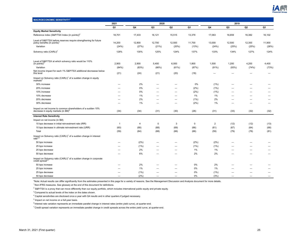

| <b>MACROECONOMIC SENSITIVITY<sup>1</sup></b>                                                                   |                |        |                          |                          |           |                |                |                |        |
|----------------------------------------------------------------------------------------------------------------|----------------|--------|--------------------------|--------------------------|-----------|----------------|----------------|----------------|--------|
|                                                                                                                | 2021           |        | 2020                     |                          |           |                | 2019           |                |        |
|                                                                                                                | Q1             | Q4     | Q3                       | Q <sub>2</sub>           | Q1        | Q4             | Q <sub>3</sub> | Q <sub>2</sub> | Q1     |
| <b>Equity Market Sensitivity</b>                                                                               |                |        |                          |                          |           |                |                |                |        |
| Reference index (S&P/TSX Index (in points)) <sup>2</sup>                                                       | 18,701         | 17,433 | 16,121                   | 15,515                   | 13,379    | 17,063         | 16,659         | 16,382         | 16,102 |
| Level of S&P/TSX before reserves require strengthening for future<br>policy benefits (in points)               | 14,200         | 12,800 | 12,700                   | 12,500                   | 11,700    | 13,000         | 12,500         | 12,300         | 11,900 |
| Variation                                                                                                      | (24%)          | (27%)  | (21%)                    | (20%)                    | (13%)     | (24%)          | (25%)          | (25%)          | (26%)  |
| Solvency ratio (CARLI) <sup>1</sup>                                                                            | 128%           | 130%   | 125%                     | 124%                     | 137%      | 133%           | 134%           | 127%           | 124%   |
| Level of S&P/TSX at which solvency ratio would be 110%<br>$(in points)^2$                                      | 2,900          | 2,900  | 5,400                    | 6,000                    | 1,800     | 1,500          | 1,200          | 4,200          | 4,400  |
| Variation                                                                                                      | (84%)          | (83%)  | (66%)                    | (61%)                    | (87%)     | (91%)          | (93%)          | (74%)          | (73%)  |
| Net income impact for each 1% S&P/TSX additional decreasse below<br>this level                                 | (21)           | (24)   | (21)                     | (20)                     | (18)      |                |                |                |        |
| Impact on Solvency ratio (CARLI) <sup>1</sup> of a sudden change in equity<br>markets <sup>4</sup>             |                |        |                          |                          |           |                |                |                |        |
| 30% increase                                                                                                   | -              | 2%     | $\overline{\phantom{0}}$ | -                        | 0%        | (1%)           | -              | -              | —      |
| 20% increase                                                                                                   |                | 0%     |                          |                          | (2%)      | (1%)           |                |                |        |
| 10% increase                                                                                                   | -              | 0%     | -                        | -                        | (2%)      | (1%)           | -              | -              | –      |
| 10% decrease                                                                                                   | -              | 1%     |                          | -                        | $1\%$     | 1%             | -              |                |        |
| 20% decrease                                                                                                   | -              | 2%     | -                        | -                        | (1%)      | 2%             | -              |                | —      |
| 30% decrease                                                                                                   | -              | 1%     | -                        | -                        | (2%)      | 1%             | -              | -              | -      |
| Impact on net income to common shareholders of a sudden 10% decrease in equity markets (in $$M$ ) <sup>5</sup> | (34)           | (34)   | (31)                     | (30)                     | (26)      | (31)           | (33)           | (32)           | (32)   |
| <b>Interest Rate Sensitivity</b>                                                                               |                |        |                          |                          |           |                |                |                |        |
| Impact on net income (in \$M)                                                                                  |                |        |                          |                          |           |                |                |                |        |
| 10 bps decrease in initial reinvestment rate (IRR)                                                             | $\overline{1}$ | 4      | $\mathbf 0$              | 3                        | $\pmb{0}$ | $\overline{2}$ | (12)           | (12)           | (13)   |
| 10 bps decrease in ultimate reinvestment rate (URR)                                                            | (60)           | (68)   | (68)                     | (69)                     | (66)      | (61)           | (67)           | (64)           | (68)   |
| Total                                                                                                          | (59)           | (64)   | (68)                     | (66)                     | (66)      | (59)           | (79)           | (76)           | (81)   |
| Impact on Solvency ratio (CARLI) <sup>1</sup> of a sudden change in interest<br>rate <sup>4,6</sup>            |                |        |                          |                          |           |                |                |                |        |
| 50 bps increase                                                                                                | -              | (2%)   |                          |                          | (2%)      | (2%)           |                |                |        |
| 25 bps increase                                                                                                | -              | (1%)   | -                        | -                        | (1%)      | (1%)           | -              |                |        |
| 25 bps decrease                                                                                                | -              | 2%     |                          | -                        | $1\%$     | 1%             | -              |                |        |
| 50 bps decrease                                                                                                |                | 6%     |                          | -                        | 2%        | 2%             | -              |                |        |
| Impact on Solvency ratio (CARLI) <sup>1</sup> of a sudden change in corporate credit spread <sup>4,7</sup>     |                |        |                          |                          |           |                |                |                |        |
| 50 bps increase                                                                                                | -              | 2%     | -                        | -                        | 0%        | 2%             | -              |                |        |
| 25 bps increase                                                                                                |                | 1%     |                          |                          | 0%        | 1%             |                |                |        |
| 25 bps decrease                                                                                                | -              | (1%)   |                          | -                        | 0%        | (1%)           |                |                | —      |
| 50 bps decrease                                                                                                | -              | (2%)   | $\overline{\phantom{0}}$ | $\overline{\phantom{0}}$ | 0%        | (3%)           | -              |                | —      |

\*Note: Actual results can differ significantly from the estimates presented in this page for a variety of reasons. See the Management Discussion and Analysis document for more details.

 $1$ Non-IFRS measures. See glossary at the end of this document for definitions.

 $^2$  S&P/TSX is a proxy that can move differently than our equity portfolio, which includes international public equity and private equity.

 $3$  Compared to actual levels of the index on the dates shown.

 $\rm ^4$  Capital sensitivities are disclosed once a year with Q4 results and in other quarters if judged necessary.

 $<sup>5</sup>$  Impact on net income on a full-year basis.</sup>

 $6$ Interest rate variation represents an immediate parallel change in interest rates (entire yield curve), at quarter-end.

 $^7$  Credit spread variation represents an immediate parallel change in credit spreads across the entire yield curve, at quarter-end.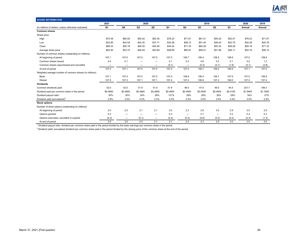

| <b>SHARE INFORMATION</b>                               |          |                                           |                          |                          |          |                   |                |          |          |          |          |
|--------------------------------------------------------|----------|-------------------------------------------|--------------------------|--------------------------|----------|-------------------|----------------|----------|----------|----------|----------|
|                                                        | 2021     |                                           | 2020                     |                          |          |                   | 2019           |          |          | 2020     | 2019     |
| (In millions of dollars, unless otherwise indicated)   | Q1       | Q4                                        | Q3                       | Q2                       | Q1       | Q4                | Q <sub>3</sub> | Q2       | Q1       | Annual   | Annual   |
| <b>Common shares</b>                                   |          |                                           |                          |                          |          |                   |                |          |          |          |          |
| Share price                                            |          |                                           |                          |                          |          |                   |                |          |          |          |          |
| High                                                   | \$70.36  | \$60.50                                   | \$50.42                  | \$50.30                  | \$76.23  | \$71.81           | \$61.51        | \$54.20  | \$52.07  | \$76.23  | \$71.81  |
| Low                                                    | \$53.95  | \$44.54                                   | \$42.35                  | \$37.71                  | \$30.38  | \$58.15           | \$51.45        | \$49.42  | \$42.79  | \$30.38  | \$42.79  |
| Close                                                  | \$68.33  | \$55.18                                   | \$46.35                  | \$45.46                  | \$44.24  | \$71.33           | \$60.29        | \$53.34  | \$49.28  | \$55.18  | \$71.33  |
| Average share price                                    | \$63.50  | \$53.75                                   | \$46.49                  | \$43.69                  | \$58.85  | \$65.87           | \$56.01        | \$51.96  | \$49.11  | \$50.18  | \$56.15  |
| Number of common shares outstanding (in millions)      |          |                                           |                          |                          |          |                   |                |          |          |          |          |
| At beginning of period                                 | 107.1    | 107.0                                     | 107.0                    | 107.0                    | 107.0    | 106.7             | 106.4          | 106.9    | 108.6    | 107.0    | 108.6    |
| Common shares issued                                   | 0.2      | 0.1                                       |                          | $\overline{\phantom{m}}$ | 0.1      | 0.3               | 0.6            | 0.2      | 0.1      | 0.2      | 1.2      |
| Common shares repurchased and cancelled                | -        | $\overline{\phantom{m}}$                  | $\overline{\phantom{0}}$ | $\qquad \qquad -$        | (0.1)    | $\qquad \qquad -$ | (0.3)          | (0.7)    | (1.8)    | (0.1)    | (2.8)    |
| At end of period                                       | 107.3    | 107.1                                     | 107.0                    | 107.0                    | 107.0    | 107.0             | 106.7          | 106.4    | 106.9    | 107.1    | 107.0    |
| Weighted average number of common shares (in millions) |          |                                           |                          |                          |          |                   |                |          |          |          |          |
| Basic                                                  | 107.1    | 107.0                                     | 107.0                    | 107.0                    | 107.0    | 106.8             | 106.4          | 106.7    | 107.6    | 107.0    | 106.9    |
| Diluted                                                | 107.5    | 107.3                                     | 107.1                    | 107.1                    | 107.4    | 107.4             | 106.9          | 107.2    | 108.0    | 107.2    | 107.4    |
| <b>Dividends</b>                                       |          |                                           |                          |                          |          |                   |                |          |          |          |          |
| Common dividends paid                                  | 52.0     | 52.0                                      | 51.9                     | 51.9                     | 51.9     | 48.0              | 47.8           | 48.0     | 44.5     | 207.7    | 188.3    |
| Dividend paid per common share in the period           | \$0.4850 | \$0.4850                                  | \$0.4850                 | \$0.4850                 | \$0.4850 | \$0.4500          | \$0.4500       | \$0.4500 | \$0.4150 | \$1,9400 | \$1.7650 |
| Dividend payout ratio <sup>1</sup>                     | 30%      | 30%                                       | 24%                      | 28%                      | 131%     | 28%               | 26%            | 26%      | 29%      | 34%      | 27%      |
| Dividend yield (annualized) $^2$                       | 2.8%     | 3.5%                                      | 4.2%                     | 4.3%                     | 4.4%     | 2.5%              | 3.0%           | 3.4%     | 3.4%     | 3.5%     | 2.5%     |
| <b>Stock options</b>                                   |          |                                           |                          |                          |          |                   |                |          |          |          |          |
| Number of stock options outstanding (in millions)      |          |                                           |                          |                          |          |                   |                |          |          |          |          |
| At beginning of period                                 | 2.0      | 2.0                                       | 2.1                      | 2.1                      | 2.0      | 2.3               | 2.8            | 3.0      | 2.9      | 2.0      | 2.9      |
| Options granted                                        | 0.3      | $\qquad \qquad \qquad$                    |                          | $\overline{\phantom{0}}$ | 0.3      |                   | 0.1            | —        | 0.3      | 0.3      | 0.3      |
| Options exercised, cancelled or expired                | (0.3)    | $\qquad \qquad \overline{\qquad \qquad }$ | (0.1)                    | $\overline{\phantom{m}}$ | (0.2)    | (0.3)             | (0.6)          | (0.2)    | (0.2)    | (0.3)    | (1.3)    |
| At end of period                                       | 2.0      | 2.0                                       | 2.0                      | 2.1                      | 2.1      | 2.0               | 2.3            | 2.8      | 3.0      | 2.0      | 2.0      |

 $^1$  Dividend payout ratio: dividend per common share paid in the period divided by the basic earnings per common share in the period.

<sup>2</sup> Dividend yield: annualized dividend per common share paid in the period divided by the closing price of the common share at the end of the period.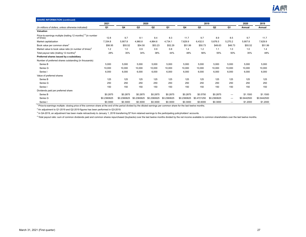

| <b>SHARE INFORMATION (continued)</b>                                                   |             |             |             |                |             |             |             |                |                                |             |             |
|----------------------------------------------------------------------------------------|-------------|-------------|-------------|----------------|-------------|-------------|-------------|----------------|--------------------------------|-------------|-------------|
|                                                                                        | 2021        | 2020        |             |                |             |             | 2019        | 2020           | 2019                           |             |             |
| (In millions of dollars, unless otherwise indicated)                                   | Q1          | Q4          | Q3          | Q <sub>2</sub> | Q1          | Q4          | Q3          | Q <sub>2</sub> | Q1                             | Annual      | Annual      |
| Valuation                                                                              |             |             |             |                |             |             |             |                |                                |             |             |
| Price-to-earnings multiple (trailing 12 months) <sup>1,2</sup> (in number<br>of times) | 12.8        | 9.7         | 8.1         | 8.4            | 8.3         | 11.7        | 9.7         | 8.9            | 8.5                            | 9.7         | 11.7        |
| Market capitalization                                                                  | 7,334.8     | 5,907.8     | 4,960.8     | 4,864.6        | 4,734.1     | 7,629.9     | 6,432.0     | 5,676.5        | 5,270.2                        | 5,907.8     | 7,629.9     |
| Book value per common share <sup>3</sup>                                               | \$56.95     | \$55.52     | \$54.50     | \$53.23        | \$52.29     | \$51.99     | \$50.73     | \$49.63        | \$48.73                        | \$55.52     | \$51.99     |
| Market value to book value ratio (in number of times) <sup>3</sup>                     | 1.2         | 1.0         | 0.9         | 0.9            | 0.8         | 1.4         | 1.2         | 1.1            | 1.0                            | 1.0         | 1.4         |
| Total payout ratio (trailing 12 months) <sup>4</sup>                                   | 28%         | 35%         | 34%         | 38%            | 44%         | 48%         | 56%         | 55%            | 50%                            | 35%         | 48%         |
| Preferred shares issued by a subsidiary                                                |             |             |             |                |             |             |             |                |                                |             |             |
| Number of preferred shares outstanding (in thousands)                                  |             |             |             |                |             |             |             |                |                                |             |             |
| Series B                                                                               | 5,000       | 5,000       | 5,000       | 5,000          | 5,000       | 5,000       | 5,000       | 5,000          | 5,000                          | 5,000       | 5,000       |
| Series G                                                                               | 10,000      | 10,000      | 10,000      | 10,000         | 10,000      | 10,000      | 10,000      | 10,000         | 10,000                         | 10,000      | 10,000      |
| Series I                                                                               | 6,000       | 6,000       | 6,000       | 6,000          | 6,000       | 6,000       | 6,000       | 6,000          | 6,000                          | 6,000       | 6,000       |
| Value of preferred shares                                                              |             |             |             |                |             |             |             |                |                                |             |             |
| Series B                                                                               | 125         | 125         | 125         | 125            | 125         | 125         | 125         | 125            | 125                            | 125         | 125         |
| Series G                                                                               | 250         | 250         | 250         | 250            | 250         | 250         | 250         | 250            | 250                            | 250         | 250         |
| Series I                                                                               | 150         | 150         | 150         | 150            | 150         | 150         | 150         | 150            | 150                            | 150         | 150         |
| Dividends paid per preferred share                                                     |             |             |             |                |             |             |             |                |                                |             |             |
| Series B                                                                               | \$0.2875    | \$0.2875    | \$0.2875    | \$0.2875       | \$0.2875    | \$0.2875    | \$0.5750    | \$0.2875       | $\qquad \qquad \longleftarrow$ | \$1.1500    | \$1.1500    |
| Series G                                                                               | \$0.2360625 | \$0.2360625 | \$0.2360625 | \$0.2360625    | \$0.2360625 | \$0.2360625 | \$0.4721250 | \$0.2360625    | $\qquad \qquad \longleftarrow$ | \$0.9442500 | \$0.9442500 |
| Series I                                                                               | \$0.3000    | \$0.3000    | \$0.3000    | \$0.3000       | \$0.3000    | \$0.3000    | \$0.6000    | \$0.3000       | $\overline{\phantom{0}}$       | \$1.2000    | \$1.2000    |

<sup>1</sup> Price-to-earnings multiple: closing price of the common share at the end of the period divided by the diluted earnings per common share for the last twelve months.

 $^2$  An adjustment to Q1-2019 and Q2-2019 figures has been performed in Q3-2019.

 $^3$  In Q4-2019, an adjustment has been made retroactively to January 1, 2018 transferring \$7 from retained earnings to the participating policyholders' accounts.

<sup>4</sup> Total payout ratio: sum of common dividends paid and common shares repurchased (buybacks) over the last twelve months divided by the net income available to common shareholders over the last twelve months.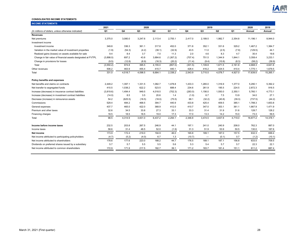

### **CONSOLIDATED INCOME STATEMENTS**

| 2020<br>2019<br>2021<br>2020<br>2019<br>Q1<br>Q4<br>Q <sub>3</sub><br>Q2<br>Q1<br>Q4<br>Q <sub>3</sub><br>Q2<br>Q <sub>1</sub><br>Annual<br>Annual<br>3,375.0<br>3,080.0<br>3,247.6<br>2,113.4<br>2,755.1<br>1,982.7<br>11.196.1<br>2,417.0<br>2,189.5<br>2,354.8<br>8,944.0<br>Investment income<br>349.8<br>336.3<br>361.1<br>317.8<br>452.0<br>371.8<br>352.1<br>331.6<br>329.2<br>1.467.2<br>1,384.7<br>Investment income<br>44.1<br>Variation in the market value of investment properties<br>(1.9)<br>(4.2)<br>(32.9)<br>43.5<br>11.0<br>(7.9)<br>(54.3)<br>(38.1)<br>(2.5)<br>(129.5)<br>9.4<br>8.4<br>3.7<br>7.0<br>2.0<br>4.6<br>8.3<br>4.7<br>30.4<br>19.6<br>Realized gains (losses) on assets available for sale<br>11.3<br>697.2<br>Change in fair value of financial assets designated at FVTPL<br>(3,898.0)<br>43.8<br>3,884.6<br>(1,267.2)<br>(707.4)<br>751.5<br>1,344.9<br>1,844.1<br>3,358.4<br>3,233.1<br>(8.9)<br>(10.8)<br>(58.2)<br>(39.9)<br>Change in provisions for losses<br>(9.5)<br>(12.8)<br>(16.3)<br>(20.2)<br>(9.4)<br>(8.3)<br>(11.4)<br>974.8<br>(857.0)<br>1,109.8<br>4,668.3<br>4,641.6<br>Total<br>(3,550.2)<br>395.5<br>4,155.0<br>(301.5)<br>1,671.5<br>2,161.8<br>463.9<br>455.4<br>Other revenues<br>506.2<br>415.7<br>440.1<br>428.4<br>416.2<br>424.5<br>410.4<br>1,775.1<br>1,679.5<br>2,338.2<br>15,265.1<br>331.0<br>4,518.7<br>4,098.5<br>6,684.1<br>2,543.9<br>3,715.5<br>4,078.7<br>4,927.0<br>17,639.5<br>Total<br>2,449.2<br>1,397.1<br>1,331.5<br>1,082.7<br>1,478.8<br>1,433.3<br>1,265.0<br>1,316.9<br>1,377.0<br>5,290.1<br>5,392.2<br>622.2<br>688.4<br>2,872.3<br>916.5<br>410.5<br>1,038.2<br>523.5<br>234.6<br>261.9<br>195.5<br>224.5<br>(3,819.6)<br>949.5<br>(702.3)<br>1,156.0<br>1,550.0<br>2,350.1<br>5,760.1<br>4,773.1<br>1,494.4<br>4,018.5<br>(283.0)<br>8.5<br>34.0<br>27.1<br>(14.0)<br>3.5<br>20.6<br>1.4<br>6.7<br>7.5<br>13.9<br>(1.0)<br>54.2<br>(44.2)<br>(625.5)<br>(18.5)<br>(18.0)<br>(75.5)<br>68.1<br>(32.2)<br>(40.8)<br>(39.3)<br>(737.5)<br>425.4<br>1,653.8<br>529.4<br>484.2<br>468.5<br>394.7<br>440.9<br>433.8<br>409.5<br>385.1<br>1,788.3<br>437.7<br>465.0<br>422.0<br>368.9<br>412.0<br>347.0<br>353.1<br>361.1<br>1,471.9<br>410.7<br>1,667.9<br>128.7<br>128.2<br>32.6<br>34.5<br>33.8<br>27.3<br>33.1<br>33.3<br>31.4<br>31.9<br>31.6<br>Premium and other taxes<br>18.5<br>18.5<br>19.0<br>17.0<br>59.5<br>18.5<br>17.3<br>13.3<br>14.2<br>15.0<br>73.3<br>98.5<br>2,294.1<br>3,474.5<br>16,877.2<br>14,378.1<br>4,314.9<br>3,831.0<br>6,437.2<br>2,346.8<br>3,837.8<br>4,719.0<br>Total<br>203.8<br>762.3<br>232.5<br>267.5<br>246.9<br>44.1<br>197.1<br>241.0<br>240.9<br>208.0<br>887.0<br>31.4<br>48.5<br>52.0<br>51.9<br>53.9<br>187.6<br>58.6<br>(1.9)<br>31.3<br>50.5<br>130.0<br>173.9<br>46.0<br>157.5<br>632.3<br>172.4<br>219.0<br>194.9<br>165.8<br>189.1<br>187.0<br>699.4<br>(4.7)<br>(5.2)<br>(4.0)<br>6.7<br>1.3<br>(10.7)<br>(0.1)<br>0.7<br>(1.2)<br>(10.1)<br>$\overline{\phantom{m}}$<br>177.6<br>44.7<br>187.1<br>633.5<br>709.5<br>178.6<br>223.0<br>188.2<br>176.5<br>189.1<br>156.8<br>5.7<br>5.7<br>5.5<br>5.5<br>5.6<br>5.4<br>5.7<br>5.7<br>22.3<br>22.1<br>5.3<br>172.9<br>171.9<br>217.5<br>182.7<br>39.1<br>183.7<br>181.4<br>687.4<br>171.2<br>151.1<br>611.2 | <b>INCOME STATEMENTS</b>                               |  |  |  |  |  |  |
|-----------------------------------------------------------------------------------------------------------------------------------------------------------------------------------------------------------------------------------------------------------------------------------------------------------------------------------------------------------------------------------------------------------------------------------------------------------------------------------------------------------------------------------------------------------------------------------------------------------------------------------------------------------------------------------------------------------------------------------------------------------------------------------------------------------------------------------------------------------------------------------------------------------------------------------------------------------------------------------------------------------------------------------------------------------------------------------------------------------------------------------------------------------------------------------------------------------------------------------------------------------------------------------------------------------------------------------------------------------------------------------------------------------------------------------------------------------------------------------------------------------------------------------------------------------------------------------------------------------------------------------------------------------------------------------------------------------------------------------------------------------------------------------------------------------------------------------------------------------------------------------------------------------------------------------------------------------------------------------------------------------------------------------------------------------------------------------------------------------------------------------------------------------------------------------------------------------------------------------------------------------------------------------------------------------------------------------------------------------------------------------------------------------------------------------------------------------------------------------------------------------------------------------------------------------------------------------------------------------------------------------------------------------------------------------------------------------------------------------------------------------------------------------------------------------------------------------------------------------------------------------------------------------------------------------------------------------------------------------------------------------------------------------------------------------------------------------------------------------------------------------------------------------------------------------------------------------------------------------------------------------------------------------------------|--------------------------------------------------------|--|--|--|--|--|--|
|                                                                                                                                                                                                                                                                                                                                                                                                                                                                                                                                                                                                                                                                                                                                                                                                                                                                                                                                                                                                                                                                                                                                                                                                                                                                                                                                                                                                                                                                                                                                                                                                                                                                                                                                                                                                                                                                                                                                                                                                                                                                                                                                                                                                                                                                                                                                                                                                                                                                                                                                                                                                                                                                                                                                                                                                                                                                                                                                                                                                                                                                                                                                                                                                                                                                                               |                                                        |  |  |  |  |  |  |
|                                                                                                                                                                                                                                                                                                                                                                                                                                                                                                                                                                                                                                                                                                                                                                                                                                                                                                                                                                                                                                                                                                                                                                                                                                                                                                                                                                                                                                                                                                                                                                                                                                                                                                                                                                                                                                                                                                                                                                                                                                                                                                                                                                                                                                                                                                                                                                                                                                                                                                                                                                                                                                                                                                                                                                                                                                                                                                                                                                                                                                                                                                                                                                                                                                                                                               | (In millions of dollars, unless otherwise indicated)   |  |  |  |  |  |  |
|                                                                                                                                                                                                                                                                                                                                                                                                                                                                                                                                                                                                                                                                                                                                                                                                                                                                                                                                                                                                                                                                                                                                                                                                                                                                                                                                                                                                                                                                                                                                                                                                                                                                                                                                                                                                                                                                                                                                                                                                                                                                                                                                                                                                                                                                                                                                                                                                                                                                                                                                                                                                                                                                                                                                                                                                                                                                                                                                                                                                                                                                                                                                                                                                                                                                                               | <b>Revenues</b>                                        |  |  |  |  |  |  |
|                                                                                                                                                                                                                                                                                                                                                                                                                                                                                                                                                                                                                                                                                                                                                                                                                                                                                                                                                                                                                                                                                                                                                                                                                                                                                                                                                                                                                                                                                                                                                                                                                                                                                                                                                                                                                                                                                                                                                                                                                                                                                                                                                                                                                                                                                                                                                                                                                                                                                                                                                                                                                                                                                                                                                                                                                                                                                                                                                                                                                                                                                                                                                                                                                                                                                               | Net premiums                                           |  |  |  |  |  |  |
|                                                                                                                                                                                                                                                                                                                                                                                                                                                                                                                                                                                                                                                                                                                                                                                                                                                                                                                                                                                                                                                                                                                                                                                                                                                                                                                                                                                                                                                                                                                                                                                                                                                                                                                                                                                                                                                                                                                                                                                                                                                                                                                                                                                                                                                                                                                                                                                                                                                                                                                                                                                                                                                                                                                                                                                                                                                                                                                                                                                                                                                                                                                                                                                                                                                                                               |                                                        |  |  |  |  |  |  |
|                                                                                                                                                                                                                                                                                                                                                                                                                                                                                                                                                                                                                                                                                                                                                                                                                                                                                                                                                                                                                                                                                                                                                                                                                                                                                                                                                                                                                                                                                                                                                                                                                                                                                                                                                                                                                                                                                                                                                                                                                                                                                                                                                                                                                                                                                                                                                                                                                                                                                                                                                                                                                                                                                                                                                                                                                                                                                                                                                                                                                                                                                                                                                                                                                                                                                               |                                                        |  |  |  |  |  |  |
|                                                                                                                                                                                                                                                                                                                                                                                                                                                                                                                                                                                                                                                                                                                                                                                                                                                                                                                                                                                                                                                                                                                                                                                                                                                                                                                                                                                                                                                                                                                                                                                                                                                                                                                                                                                                                                                                                                                                                                                                                                                                                                                                                                                                                                                                                                                                                                                                                                                                                                                                                                                                                                                                                                                                                                                                                                                                                                                                                                                                                                                                                                                                                                                                                                                                                               |                                                        |  |  |  |  |  |  |
|                                                                                                                                                                                                                                                                                                                                                                                                                                                                                                                                                                                                                                                                                                                                                                                                                                                                                                                                                                                                                                                                                                                                                                                                                                                                                                                                                                                                                                                                                                                                                                                                                                                                                                                                                                                                                                                                                                                                                                                                                                                                                                                                                                                                                                                                                                                                                                                                                                                                                                                                                                                                                                                                                                                                                                                                                                                                                                                                                                                                                                                                                                                                                                                                                                                                                               |                                                        |  |  |  |  |  |  |
|                                                                                                                                                                                                                                                                                                                                                                                                                                                                                                                                                                                                                                                                                                                                                                                                                                                                                                                                                                                                                                                                                                                                                                                                                                                                                                                                                                                                                                                                                                                                                                                                                                                                                                                                                                                                                                                                                                                                                                                                                                                                                                                                                                                                                                                                                                                                                                                                                                                                                                                                                                                                                                                                                                                                                                                                                                                                                                                                                                                                                                                                                                                                                                                                                                                                                               |                                                        |  |  |  |  |  |  |
|                                                                                                                                                                                                                                                                                                                                                                                                                                                                                                                                                                                                                                                                                                                                                                                                                                                                                                                                                                                                                                                                                                                                                                                                                                                                                                                                                                                                                                                                                                                                                                                                                                                                                                                                                                                                                                                                                                                                                                                                                                                                                                                                                                                                                                                                                                                                                                                                                                                                                                                                                                                                                                                                                                                                                                                                                                                                                                                                                                                                                                                                                                                                                                                                                                                                                               |                                                        |  |  |  |  |  |  |
|                                                                                                                                                                                                                                                                                                                                                                                                                                                                                                                                                                                                                                                                                                                                                                                                                                                                                                                                                                                                                                                                                                                                                                                                                                                                                                                                                                                                                                                                                                                                                                                                                                                                                                                                                                                                                                                                                                                                                                                                                                                                                                                                                                                                                                                                                                                                                                                                                                                                                                                                                                                                                                                                                                                                                                                                                                                                                                                                                                                                                                                                                                                                                                                                                                                                                               |                                                        |  |  |  |  |  |  |
|                                                                                                                                                                                                                                                                                                                                                                                                                                                                                                                                                                                                                                                                                                                                                                                                                                                                                                                                                                                                                                                                                                                                                                                                                                                                                                                                                                                                                                                                                                                                                                                                                                                                                                                                                                                                                                                                                                                                                                                                                                                                                                                                                                                                                                                                                                                                                                                                                                                                                                                                                                                                                                                                                                                                                                                                                                                                                                                                                                                                                                                                                                                                                                                                                                                                                               |                                                        |  |  |  |  |  |  |
|                                                                                                                                                                                                                                                                                                                                                                                                                                                                                                                                                                                                                                                                                                                                                                                                                                                                                                                                                                                                                                                                                                                                                                                                                                                                                                                                                                                                                                                                                                                                                                                                                                                                                                                                                                                                                                                                                                                                                                                                                                                                                                                                                                                                                                                                                                                                                                                                                                                                                                                                                                                                                                                                                                                                                                                                                                                                                                                                                                                                                                                                                                                                                                                                                                                                                               |                                                        |  |  |  |  |  |  |
|                                                                                                                                                                                                                                                                                                                                                                                                                                                                                                                                                                                                                                                                                                                                                                                                                                                                                                                                                                                                                                                                                                                                                                                                                                                                                                                                                                                                                                                                                                                                                                                                                                                                                                                                                                                                                                                                                                                                                                                                                                                                                                                                                                                                                                                                                                                                                                                                                                                                                                                                                                                                                                                                                                                                                                                                                                                                                                                                                                                                                                                                                                                                                                                                                                                                                               | Policy benefits and expenses                           |  |  |  |  |  |  |
|                                                                                                                                                                                                                                                                                                                                                                                                                                                                                                                                                                                                                                                                                                                                                                                                                                                                                                                                                                                                                                                                                                                                                                                                                                                                                                                                                                                                                                                                                                                                                                                                                                                                                                                                                                                                                                                                                                                                                                                                                                                                                                                                                                                                                                                                                                                                                                                                                                                                                                                                                                                                                                                                                                                                                                                                                                                                                                                                                                                                                                                                                                                                                                                                                                                                                               | Net benefits and claims on contracts                   |  |  |  |  |  |  |
|                                                                                                                                                                                                                                                                                                                                                                                                                                                                                                                                                                                                                                                                                                                                                                                                                                                                                                                                                                                                                                                                                                                                                                                                                                                                                                                                                                                                                                                                                                                                                                                                                                                                                                                                                                                                                                                                                                                                                                                                                                                                                                                                                                                                                                                                                                                                                                                                                                                                                                                                                                                                                                                                                                                                                                                                                                                                                                                                                                                                                                                                                                                                                                                                                                                                                               | Net transfer to segregated funds                       |  |  |  |  |  |  |
|                                                                                                                                                                                                                                                                                                                                                                                                                                                                                                                                                                                                                                                                                                                                                                                                                                                                                                                                                                                                                                                                                                                                                                                                                                                                                                                                                                                                                                                                                                                                                                                                                                                                                                                                                                                                                                                                                                                                                                                                                                                                                                                                                                                                                                                                                                                                                                                                                                                                                                                                                                                                                                                                                                                                                                                                                                                                                                                                                                                                                                                                                                                                                                                                                                                                                               | Increase (decrease) in insurance contract liabilities  |  |  |  |  |  |  |
|                                                                                                                                                                                                                                                                                                                                                                                                                                                                                                                                                                                                                                                                                                                                                                                                                                                                                                                                                                                                                                                                                                                                                                                                                                                                                                                                                                                                                                                                                                                                                                                                                                                                                                                                                                                                                                                                                                                                                                                                                                                                                                                                                                                                                                                                                                                                                                                                                                                                                                                                                                                                                                                                                                                                                                                                                                                                                                                                                                                                                                                                                                                                                                                                                                                                                               | Increase (decrease) in investment contract liabilities |  |  |  |  |  |  |
|                                                                                                                                                                                                                                                                                                                                                                                                                                                                                                                                                                                                                                                                                                                                                                                                                                                                                                                                                                                                                                                                                                                                                                                                                                                                                                                                                                                                                                                                                                                                                                                                                                                                                                                                                                                                                                                                                                                                                                                                                                                                                                                                                                                                                                                                                                                                                                                                                                                                                                                                                                                                                                                                                                                                                                                                                                                                                                                                                                                                                                                                                                                                                                                                                                                                                               | Decrease (increase) in reinsurance assets              |  |  |  |  |  |  |
|                                                                                                                                                                                                                                                                                                                                                                                                                                                                                                                                                                                                                                                                                                                                                                                                                                                                                                                                                                                                                                                                                                                                                                                                                                                                                                                                                                                                                                                                                                                                                                                                                                                                                                                                                                                                                                                                                                                                                                                                                                                                                                                                                                                                                                                                                                                                                                                                                                                                                                                                                                                                                                                                                                                                                                                                                                                                                                                                                                                                                                                                                                                                                                                                                                                                                               | Commissions                                            |  |  |  |  |  |  |
|                                                                                                                                                                                                                                                                                                                                                                                                                                                                                                                                                                                                                                                                                                                                                                                                                                                                                                                                                                                                                                                                                                                                                                                                                                                                                                                                                                                                                                                                                                                                                                                                                                                                                                                                                                                                                                                                                                                                                                                                                                                                                                                                                                                                                                                                                                                                                                                                                                                                                                                                                                                                                                                                                                                                                                                                                                                                                                                                                                                                                                                                                                                                                                                                                                                                                               | General expenses                                       |  |  |  |  |  |  |
|                                                                                                                                                                                                                                                                                                                                                                                                                                                                                                                                                                                                                                                                                                                                                                                                                                                                                                                                                                                                                                                                                                                                                                                                                                                                                                                                                                                                                                                                                                                                                                                                                                                                                                                                                                                                                                                                                                                                                                                                                                                                                                                                                                                                                                                                                                                                                                                                                                                                                                                                                                                                                                                                                                                                                                                                                                                                                                                                                                                                                                                                                                                                                                                                                                                                                               |                                                        |  |  |  |  |  |  |
|                                                                                                                                                                                                                                                                                                                                                                                                                                                                                                                                                                                                                                                                                                                                                                                                                                                                                                                                                                                                                                                                                                                                                                                                                                                                                                                                                                                                                                                                                                                                                                                                                                                                                                                                                                                                                                                                                                                                                                                                                                                                                                                                                                                                                                                                                                                                                                                                                                                                                                                                                                                                                                                                                                                                                                                                                                                                                                                                                                                                                                                                                                                                                                                                                                                                                               | Financing charges                                      |  |  |  |  |  |  |
|                                                                                                                                                                                                                                                                                                                                                                                                                                                                                                                                                                                                                                                                                                                                                                                                                                                                                                                                                                                                                                                                                                                                                                                                                                                                                                                                                                                                                                                                                                                                                                                                                                                                                                                                                                                                                                                                                                                                                                                                                                                                                                                                                                                                                                                                                                                                                                                                                                                                                                                                                                                                                                                                                                                                                                                                                                                                                                                                                                                                                                                                                                                                                                                                                                                                                               |                                                        |  |  |  |  |  |  |
|                                                                                                                                                                                                                                                                                                                                                                                                                                                                                                                                                                                                                                                                                                                                                                                                                                                                                                                                                                                                                                                                                                                                                                                                                                                                                                                                                                                                                                                                                                                                                                                                                                                                                                                                                                                                                                                                                                                                                                                                                                                                                                                                                                                                                                                                                                                                                                                                                                                                                                                                                                                                                                                                                                                                                                                                                                                                                                                                                                                                                                                                                                                                                                                                                                                                                               | Income before income taxes                             |  |  |  |  |  |  |
|                                                                                                                                                                                                                                                                                                                                                                                                                                                                                                                                                                                                                                                                                                                                                                                                                                                                                                                                                                                                                                                                                                                                                                                                                                                                                                                                                                                                                                                                                                                                                                                                                                                                                                                                                                                                                                                                                                                                                                                                                                                                                                                                                                                                                                                                                                                                                                                                                                                                                                                                                                                                                                                                                                                                                                                                                                                                                                                                                                                                                                                                                                                                                                                                                                                                                               | Income taxes                                           |  |  |  |  |  |  |
|                                                                                                                                                                                                                                                                                                                                                                                                                                                                                                                                                                                                                                                                                                                                                                                                                                                                                                                                                                                                                                                                                                                                                                                                                                                                                                                                                                                                                                                                                                                                                                                                                                                                                                                                                                                                                                                                                                                                                                                                                                                                                                                                                                                                                                                                                                                                                                                                                                                                                                                                                                                                                                                                                                                                                                                                                                                                                                                                                                                                                                                                                                                                                                                                                                                                                               | Net income                                             |  |  |  |  |  |  |
|                                                                                                                                                                                                                                                                                                                                                                                                                                                                                                                                                                                                                                                                                                                                                                                                                                                                                                                                                                                                                                                                                                                                                                                                                                                                                                                                                                                                                                                                                                                                                                                                                                                                                                                                                                                                                                                                                                                                                                                                                                                                                                                                                                                                                                                                                                                                                                                                                                                                                                                                                                                                                                                                                                                                                                                                                                                                                                                                                                                                                                                                                                                                                                                                                                                                                               | Net income attributed to participating policyholders   |  |  |  |  |  |  |
|                                                                                                                                                                                                                                                                                                                                                                                                                                                                                                                                                                                                                                                                                                                                                                                                                                                                                                                                                                                                                                                                                                                                                                                                                                                                                                                                                                                                                                                                                                                                                                                                                                                                                                                                                                                                                                                                                                                                                                                                                                                                                                                                                                                                                                                                                                                                                                                                                                                                                                                                                                                                                                                                                                                                                                                                                                                                                                                                                                                                                                                                                                                                                                                                                                                                                               | Net income attributed to shareholders                  |  |  |  |  |  |  |
|                                                                                                                                                                                                                                                                                                                                                                                                                                                                                                                                                                                                                                                                                                                                                                                                                                                                                                                                                                                                                                                                                                                                                                                                                                                                                                                                                                                                                                                                                                                                                                                                                                                                                                                                                                                                                                                                                                                                                                                                                                                                                                                                                                                                                                                                                                                                                                                                                                                                                                                                                                                                                                                                                                                                                                                                                                                                                                                                                                                                                                                                                                                                                                                                                                                                                               | Dividends on preferred shares issued by a subsidiary   |  |  |  |  |  |  |
|                                                                                                                                                                                                                                                                                                                                                                                                                                                                                                                                                                                                                                                                                                                                                                                                                                                                                                                                                                                                                                                                                                                                                                                                                                                                                                                                                                                                                                                                                                                                                                                                                                                                                                                                                                                                                                                                                                                                                                                                                                                                                                                                                                                                                                                                                                                                                                                                                                                                                                                                                                                                                                                                                                                                                                                                                                                                                                                                                                                                                                                                                                                                                                                                                                                                                               | Net income attributed to common shareholders           |  |  |  |  |  |  |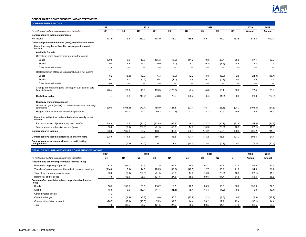

#### **CONSOLIDATED COMPREHENSIVE INCOME STATEMENTS**

| <b>COMPREHENSIVE INCOME</b>                                                   |                |                          |                          |                |                                  |                          |                          |                |                          |                          |                          |
|-------------------------------------------------------------------------------|----------------|--------------------------|--------------------------|----------------|----------------------------------|--------------------------|--------------------------|----------------|--------------------------|--------------------------|--------------------------|
|                                                                               | 2021           |                          | 2020                     |                |                                  |                          | 2019                     |                |                          | 2020                     | 2019                     |
| (In millions of dollars, unless otherwise indicated)                          | Q <sub>1</sub> | Q <sub>4</sub>           | Q <sub>3</sub>           | Q <sub>2</sub> | Q <sub>1</sub>                   | Q <sub>4</sub>           | Q <sub>3</sub>           | Q <sub>2</sub> | Q <sub>1</sub>           | Annual                   | Annual                   |
| <b>Comprehensive income statements</b>                                        |                |                          |                          |                |                                  |                          |                          |                |                          |                          |                          |
| Net income                                                                    | 173.9          | 172.4                    | 219.0                    | 194.9          | 46.0                             | 165.8                    | 189.1                    | 187.0          | 157.5                    | 632.3                    | 699.4                    |
| Other comprehensive income (loss), net of income taxes                        |                |                          |                          |                |                                  |                          |                          |                |                          |                          |                          |
| Items that may be reclassified subsequently to net<br>income                  |                |                          |                          |                |                                  |                          |                          |                |                          |                          |                          |
| <b>Available for sale</b>                                                     |                |                          |                          |                |                                  |                          |                          |                |                          |                          |                          |
| Unrealized gains (losses) arising during the period                           |                |                          |                          |                |                                  |                          |                          |                |                          |                          |                          |
| <b>Bonds</b>                                                                  | (70.9)         | 10.9                     | 16.8                     | 105.3          | (45.9)                           | (11.2)                   | (0.8)                    | 28.7           | 65.5                     | 87.1                     | 82.2                     |
| <b>Stocks</b>                                                                 | 9.8            | 15.3                     | 29.2                     | 39.9           | (72.0)                           | 5.2                      | (0.3)                    | (8.6)          | 4.6                      | 12.4                     | 0.9                      |
| Other invested assets                                                         | (2.8)          |                          |                          | -              |                                  | $\overline{\phantom{0}}$ |                          |                | -                        |                          |                          |
| Reclassification of losses (gains) included in net income                     |                |                          |                          |                |                                  |                          |                          |                |                          |                          |                          |
| <b>Bonds</b>                                                                  | (6.2)          | (8.8)                    | (2.0)                    | (6.3)          | (6.9)                            | (2.2)                    | (3.8)                    | (6.9)          | (2.5)                    | (24.0)                   | (15.4)                   |
| <b>Stocks</b>                                                                 | 0.1            | 2.7                      | (0.2)                    | 0.4            | (1.0)                            | 0.8                      | 0.1                      | (0.1)          | 0.4                      | 1.9                      | 1.2                      |
| Other invested assets                                                         | (0.4)          | $\overline{\phantom{0}}$ |                          | —              | $\overbrace{\phantom{12322111}}$ | $\overline{\phantom{0}}$ |                          |                | $\overline{\phantom{0}}$ | $\overline{\phantom{0}}$ | $\overline{\phantom{0}}$ |
| Change in unrealized gains (losses) on available for sale<br>financial assets | (70.4)         | 20.1                     | 43.8                     | 139.3          | (125.8)                          | (7.4)                    | (4.8)                    | 13.1           | 68.0                     | 77.4                     | 68.9                     |
| Cash flow hedge                                                               |                | 0.3                      | (10.2)                   | (48.6)         | 79.5                             | (20.7)                   | (0.4)                    | (1.0)          | (0.8)                    | 21.0                     | (22.9)                   |
| <b>Currency translation account</b>                                           |                |                          |                          |                |                                  |                          |                          |                |                          |                          |                          |
| Unrealized gains (losses) on currency translation in foreign<br>operations    | (30.8)         | (103.6)                  | (72.4)                   | (55.9)         | 128.4                            | (27.1)                   | 16.1                     | (26.1)         | (24.7)                   | (103.5)                  | (61.8)                   |
| Hedges of net investment in foreign operations                                | 17.2           | 60.0                     | 23.0                     | 59.2           | (110.2)                          | 21.3                     | (13.1)                   | 20.9           | 19.8                     | 32.0                     | 48.9                     |
| Items that will not be reclassified subsequently to net<br>income             |                |                          |                          |                |                                  |                          |                          |                |                          |                          |                          |
| Remeasurement of post-employment benefits                                     | 114.0          | 17.1                     | (14.5)                   | (125.5)        | 68.9                             | 48.5                     | (12.7)                   | (35.2)         | (21.8)                   | (54.0)                   | (21.2)                   |
| Total other comprehensive income (loss)                                       | 30.0           | (6.1)                    | (30.3)                   | (31.5)         | 40.8                             | 14.6                     | (14.9)                   | (28.3)         | 40.5                     | (27.1)                   | 11.9                     |
| <b>Comprehensive income</b>                                                   | 203.9          | 166.3                    | 188.7                    | 163.4          | 86.8                             | 180.4                    | 174.2                    | 158.7          | 198.0                    | 605.2                    | 711.3                    |
| Comprehensive income attributed to shareholders                               | 208.6          | 171.5                    | 192.7                    | 156.7          | 85.5                             | 191.1                    | 174.2                    | 158.8          | 197.3                    | 606.4                    | 721.4                    |
| Comprehensive income attributed to participating                              |                |                          |                          |                |                                  |                          |                          |                |                          |                          |                          |
| policyholders                                                                 | (4.7)          | (5.2)                    | (4.0)                    | 6.7            | 1.3                              | (10.7)                   | $\overline{\phantom{a}}$ | (0.1)          | 0.7                      | (1.2)                    | (10.1)                   |
| DETAIL OF ACCUMULATED OTHER COMPREHENSIVE INCOME                              |                |                          |                          |                |                                  |                          |                          |                |                          |                          |                          |
|                                                                               | 2021           |                          | 2020                     |                |                                  |                          | 2019                     |                |                          | 2020                     | 2019                     |
| (In millions of dollars, unless otherwise indicated)                          | Q1             | Q4                       | Q3                       | Q <sub>2</sub> | Q1                               | Q4                       | Q3                       | Q <sub>2</sub> | Q1                       | Annual                   | Annual                   |
| Accumulated other comprehensive income (loss)                                 |                |                          |                          |                |                                  |                          |                          |                |                          |                          |                          |
| Balance at beginning of period                                                | 82.5           | 105.7                    | 121.5                    | 27.5           | 55.6                             | 89.5                     | 91.7                     | 84.8           | 22.5                     | 55.6                     | 22.5                     |
| Transfer of post-employment benefits to retained earnings                     | (114.0)        | (17.1)                   | 14.5                     | 125.5          | (68.9)                           | (48.5)                   | 12.7                     | 35.2           | 21.8                     | 54.0                     | 21.2                     |
| Total other comprehensive income                                              | 30.0           | (6.1)                    | (30.3)                   | (31.5)         | 40.8                             | 14.6                     | (14.9)                   | (28.3)         | 40.5                     | (27.1)                   | 11.9                     |
| Balance at end of period                                                      | (1.5)          | 82.5                     | 105.7                    | 121.5          | 27.5                             | 55.6                     | 89.5                     | 91.7           | 84.8                     | 82.5                     | 55.6                     |
| Sources of accumulated other comprehensive income<br>(loss)                   |                |                          |                          |                |                                  |                          |                          |                |                          |                          |                          |
| <b>Bonds</b>                                                                  | 58.5           | 135.6                    | 133.5                    | 118.7          | 19.7                             | 72.5                     | 85.9                     | 90.5           | 68.7                     | 135.6                    | 72.5                     |
| <b>Stocks</b>                                                                 | 15.8           | 5.9                      | (12.1)                   | (41.1)         | (81.4)                           | (8.4)                    | (14.4)                   | (14.2)         | (5.5)                    | 5.9                      | (8.4)                    |
| Other invested assets                                                         | (3.2)          | $\overline{\phantom{a}}$ | $\overline{\phantom{0}}$ |                |                                  | $\overline{\phantom{a}}$ |                          | $\equiv$       |                          | $\overline{\phantom{0}}$ |                          |
| Cash-flow hedge                                                               | (1.9)          | (1.9)                    | (2.2)                    | 8.0            | 56.6                             | (22.9)                   | (2.2)                    | (1.8)          | (0.8)                    | (1.9)                    | (22.9)                   |
| Currency translation account                                                  | (70.7)         | (57.1)                   | (13.5)                   | 35.9           | 32.6                             | 14.4                     | 20.2                     | 17.2           | 22.4                     | (57.1)                   | 14.4                     |
| Total                                                                         | (1.5)          | 82.5                     | 105.7                    | 121.5          | 27.5                             | 55.6                     | 89.5                     | 91.7           | 84.8                     | 82.5                     | 55.6                     |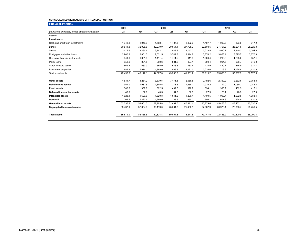

### **CONSOLIDATED STATEMENTS OF FINANCIAL POSITION**

| <b>FINANCIAL POSITION</b>                            |          |          |          |                |          |          |          |          |          |
|------------------------------------------------------|----------|----------|----------|----------------|----------|----------|----------|----------|----------|
|                                                      | 2021     |          | 2020     |                |          |          | 2019     |          |          |
| (In millions of dollars, unless otherwise indicated) | Q1       | Q4       | Q3       | Q <sub>2</sub> | Q1       | Q4       | Q3       | Q2       | Q1       |
| <b>Assets</b>                                        |          |          |          |                |          |          |          |          |          |
| <b>Investments</b>                                   |          |          |          |                |          |          |          |          |          |
| Cash and short-term investments                      | 1,343.3  | 1,948.9  | 1,768.4  | 1,487.3        | 2,992.0  | 1,107.7  | 1,009.6  | 873.5    | 917.2    |
| <b>Bonds</b>                                         | 30,541.8 | 32,098.6 | 32,279.0 | 29,964.1       | 27,708.3 | 27,508.5 | 27,767.3 | 26,291.8 | 25,229.3 |
| <b>Stocks</b>                                        | 3,471.6  | 3,285.7  | 3,142.1  | 2,929.3        | 2,752.0  | 3,023.5  | 2,920.1  | 2,810.3  | 3,094.5  |
| Mortgages and other loans                            | 2,900.8  | 2,801.5  | 2,631.5  | 3,749.3        | 3,814.8  | 3,870.2  | 3,853.4  | 3,795.7  | 3,670.9  |
| Derivative financial instruments                     | 841.0    | 1,651.8  | 1,411.4  | 1,711.5        | 911.9    | 1,003.4  | 1,208.0  | 1,205.2  | 657.1    |
| Policy loans                                         | 953.0    | 881.5    | 900.6    | 931.2          | 927.1    | 900.4    | 904.5    | 906.7    | 946.0    |
| Other invested assets                                | 562.5    | 563.0    | 565.0    | 546.5          | 433.4    | 428.9    | 420.1    | 375.9    | 337.1    |
| Investment properties                                | 1,884.8  | 1,916.1  | 1,989.0  | 1,988.8        | 2,021.7  | 2,076.6  | 1,773.8  | 1,728.8  | 1,720.5  |
| <b>Total investments</b>                             | 42,498.8 | 45,147.1 | 44,687.0 | 43,308.0       | 41,561.2 | 39,919.2 | 39,856.8 | 37,987.9 | 36,572.6 |
| Other assets                                         | 4,531.7  | 3,261.2  | 3,339.5  | 3,471.3        | 2,666.8  | 2,192.6  | 2,359.2  | 2,232.6  | 2,758.8  |
| <b>Reinsurance assets</b>                            | 1.957.0  | 1.981.5  | 1,345.5  | 1,273.5        | 1,258.1  | 1,030.2  | 1,112.0  | 1,059.2  | 1,042.3  |
| <b>Fixed assets</b>                                  | 380.2    | 389.8    | 392.5    | 402.6          | 398.9    | 394.1    | 396.7    | 402.5    | 415.1    |
| Deferred income tax assets                           | 40.9     | 37.6     | 40.5     | 64.3           | 66.3     | 27.9     | 28.1     | 28.5     | 27.9     |
| Intangible assets                                    | 1,628.1  | 1,620.6  | 1,620.8  | 1,641.2        | 1,200.1  | 1.109.5  | 1,098.7  | 1,092.5  | 1,083.4  |
| Goodwill                                             | 1,201.1  | 1,223.7  | 1,280.0  | 1,338.6        | 660.0    | 606.1    | 607.3    | 628.9    | 630.8    |
| <b>General fund assets</b>                           | 52,237.8 | 53,661.5 | 52,705.8 | 51,499.5       | 47,811.4 | 45,279.6 | 45,458.8 | 43,432.1 | 42,530.9 |
| Segregated funds net assets                          | 33,437.1 | 32,804.0 | 30,119.0 | 28,504.8       | 25,460.1 | 27,867.9 | 26,976.4 | 26,388.7 | 25,759.5 |
| <b>Total assets</b>                                  | 85,674.9 | 86,465.5 | 82,824.8 | 80,004.3       | 73,271.5 | 73,147.5 | 72,435.2 | 69,820.8 | 68,290.4 |
|                                                      |          |          |          |                |          |          |          |          |          |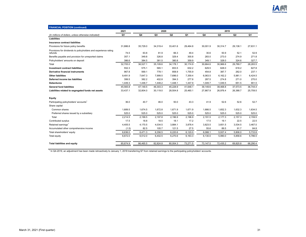

| <b>FINANCIAL POSITION (continued)</b>                                      |          |          |          |                |          |          |                |                |          |
|----------------------------------------------------------------------------|----------|----------|----------|----------------|----------|----------|----------------|----------------|----------|
|                                                                            | 2021     |          | 2020     |                |          | 2019     |                |                |          |
| (In millions of dollars, unless otherwise indicated)                       | Q1       | Q4       | Q3       | Q <sub>2</sub> | Q1       | Q4       | Q <sub>3</sub> | Q <sub>2</sub> | Q1       |
| Liabilities                                                                |          |          |          |                |          |          |                |                |          |
| Insurance contract liabilities                                             |          |          |          |                |          |          |                |                |          |
| Provisions for future policy benefits                                      | 31,886.8 | 35,729.0 | 34,319.4 | 33,401.6       | 29,464.8 | 30,001.9 | 30,314.7       | 29,138.1       | 27,631.1 |
| Provisions for dividends to policyholders and experience rating<br>refunds | 74.5     | 63.8     | 81.9     | 66.3           | 49.4     | 30.6     | 50.9           | 52.1           | 52.9     |
| Benefits payable and provision for unreported claims                       | 357.1    | 349.8    | 326.8    | 329.4          | 300.8    | 283.0    | 273.0          | 274.9          | 271.8    |
| Policyholders' amounts on deposit                                          | 386.6    | 384.5    | 381.5    | 380.8          | 359.9    | 349.1    | 328.0          | 324.6          | 327.7    |
| Total                                                                      | 32.705.0 | 36,527.1 | 35.109.6 | 34.178.1       | 30.174.9 | 30,664.6 | 30.966.6       | 29.789.7       | 28,283.5 |
| <b>Investment contract liabilities</b>                                     | 552.3    | 575.1    | 565.1    | 653.5          | 632.2    | 629.5    | 628.0          | 618.2          | 627.8    |
| <b>Derivative financial instruments</b>                                    | 967.8    | 569.1    | 778.1    | 858.9          | 1,755.9  | 454.8    | 387.7          | 262.0          | 237.1    |
| <b>Other liabilities</b>                                                   | 9,491.9  | 7,647.3  | 7,999.5  | 7,696.0        | 7,359.4  | 6,063.5  | 6,162.2        | 5,981.1        | 6,424.5  |
| Deferred income tax liabilities                                            | 399.5    | 382.2    | 402.8    | 394.3          | 277.8    | 287.5    | 274.8          | 271.0          | 270.0    |
| <b>Debentures</b>                                                          | 1,449.3  | 1.448.7  | 1,448.2  | 1,448.1        | 1,447.9  | 1,049.7  | 1,049.5        | 651.5          | 901.5    |
| <b>General fund liabilities</b>                                            | 45,565.8 | 47,149.5 | 46,303.3 | 45,228.9       | 41,648.1 | 39,149.6 | 39,468.8       | 37,573.5       | 36,744.4 |
| Liabilities related to segregated funds net assets                         | 33,437.1 | 32,804.0 | 30,119.0 | 28,504.8       | 25,460.1 | 27,867.9 | 26,976.4       | 26,388.7       | 25,759.5 |
| Equity                                                                     |          |          |          |                |          |          |                |                |          |
| Participating policyholders' accounts <sup>1</sup>                         | 36.0     | 40.7     | 46.0     | 50.0           | 43.3     | 41.9     | 52.6           | 52.6           | 52.7     |
| Share capital                                                              |          |          |          |                |          |          |                |                |          |
| Common shares                                                              | 1.689.5  | 1,674.5  | 1,672.8  | 1,671.9        | 1,671.9  | 1,666.5  | 1,652.3        | 1,632.3        | 1,634.5  |
| Preferred shares issued by a subsidiary                                    | 525.0    | 525.0    | 525.0    | 525.0          | 525.0    | 525.0    | 525.0          | 525.0          | 525.0    |
| Total                                                                      | 2,214.5  | 2,199.5  | 2,197.8  | 2,196.9        | 2,196.9  | 2,191.5  | 2,177.3        | 2,157.3        | 2,159.5  |
| Contributed surplus                                                        | 17.5     | 18.8     | 18.5     | 18.1           | 17.2     | 17.5     | 19.1           | 22.5           | 22.5     |
| Retained earnings <sup>1</sup>                                             | 4,405.5  | 4,170.5  | 4,034.5  | 3,884.1        | 3,878.4  | 3,823.5  | 3,651.5        | 3,534.5        | 3,467.0  |
| Accumulated other comprehensive income                                     | (1.5)    | 82.5     | 105.7    | 121.5          | 27.5     | 55.6     | 89.5           | 91.7           | 84.8     |
| Total shareholders' equity                                                 | 6,636.0  | 6,471.3  | 6,356.5  | 6,220.6        | 6,120.0  | 6,088.1  | 5,937.4        | 5,806.0        | 5,733.8  |
| Total equity                                                               | 6,672.0  | 6,512.0  | 6,402.5  | 6,270.6        | 6,163.3  | 6,130.0  | 5,990.0        | 5,858.6        | 5,786.5  |
| <b>Total liabilities and equity</b>                                        | 85,674.9 | 86,465.5 | 82,824.8 | 80,004.3       | 73,271.5 | 73,147.5 | 72,435.2       | 69,820.8       | 68,290.4 |

<sup>1</sup> In Q4-2019, an adjustment has been made retroactively to January 1, 2018 transferring \$7 from retained earnings to the participating policyholders' accounts.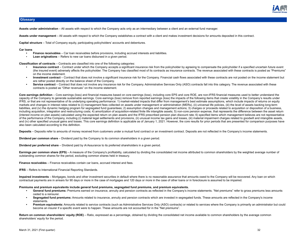

### **Glossary**

**Assets under administration** – All assets with respect to which the Company acts only as an intermediary between a client and an external fund manager.

**Assets under management** – All assets with respect to which the Company establishes a contract with a client and makes investment decisions for amounts deposited in this contract.

**Capital structure** – Total of Company equity, participating policyholders' accounts and debentures.

**Car loans**

- **• Finance receivables**  Car loan receivables before provisions, including accrued interests and liabilities.
- **Loan originations** Refers to new car loans disbursed in a given period.

**Classification of contracts** – Contracts are classified into one of the following categories:

- **Insurance contract** Contract under which the Company accepts a significant insurance risk from the policyholder by agreeing to compensate the policyholder if a specified uncertain future event (the insured event) adversely affects the policyholder. The Company has classified most of its contracts as insurance contracts. The revenue associated with these contracts is posted as "Premiums" on the income statement.
- **• Investment contract** Contract that does not involve a significant insurance risk for the Company. Financial cash flows associated with these contracts are not posted on the income statement but are rather posted directly on the balance sheet of the Company.
- **Service contract** Contract that does not involve any insurance risk for the Company. Administrative Services Only (ASO) contracts fall into this category. The revenue associated with these contracts is posted as "Other revenues" on the income statement.

Core earnings definition – Core earnings (loss) and financial measures based on core earnings (loss), including core EPS and core ROE, are non-IFRS financial measures used to better understand the capacity of the Company to generate sustainable earnings. Core earnings (loss) remove from reported earnings (loss) the impacts of the following items that create volatility in the Company's results under IFRS, or that are not representative of its underlying operating performance: 1) market-related impacts that differ from management's best estimate assumptions, which include impacts of returns on equity markets and changes in interest rates related to (i) management fees collected on assets under management or administration (MERs), (ii) universal life policies, (iii) the level of assets backing long-term liabilities, and (iv) the dynamic hedging program for segregated fund guarantees; 2) assumption changes and management actions; 3) charges or proceeds related to acquisition or disposition of a business, including acquisition, integration and restructuring costs; 4) amortization of acquisition-related finite life intangible assets; 5) non-core pension expense, that represents the difference between the asset return (interest income on plan assets) calculated using the expected return on plan assets and the IFRS prescribed pension plan discount rate; 6) specified items which management believes are not representative of the performance of the Company, including (i) material legal settlements and provisions, (ii) unusual income tax gains and losses, (iii) material impairment charges related to goodwill and intangible assets, and (iv) other specified unusual gains and losses. This core earnings definition is applicable as of January 1, 2021. However, the core results for prior periods that are presented for comparison purposes have also been calculated according to this definition.

Deposits – Deposits refer to amounts of money received from customers under a mutual fund contract or an investment contract. Deposits are not reflected in the Company's income statements.

**Dividend per common share** – Dividend paid by the Company to its common shareholders in a given period.

**Dividend per preferred share** – Dividend paid by iA Assurance to its preferred shareholders in a given period.

Earnings per common share (EPS) – A measure of the Company's profitability, calculated by dividing the consolidated net income attributed to common shareholders by the weighted average number of outstanding common shares for the period, excluding common shares held in treasury.

**Finance receivables** – Finance receivables contain car loans, accrued interest and fees.

**IFRS** – Refers to International Financial Reporting Standards.

**Impaired investments** – Mortgages, bonds and other investment securities in default where there is no reasonable assurance that amounts owed to the Company will be recovered. Any loan on which contractual payments are in arrears for 90 days or more in the case of mortgages and 120 days or more in the case of other loans or in foreclosure is assumed to be impaired.

#### **Premiums and premium equivalents include general fund premiums, segregated fund premiums, and premium equivalents.**

- **• General fund premiums:** Premiums earned on insurance, annuity and pension contracts as reflected in the Company's income statements. "Net premiums" refer to gross premiums less amounts ceded to a reinsurer.
- **• Segregated fund premiums:** Amounts related to insurance, annuity and pension contracts which are invested in segregated funds. These amounts are reflected in the Company's income statements.
- **• Premium equivalents:** Amounts related to service contracts (such as Administrative Services Only (ASO) contracts) or related to services where the Company is primarily an administrator but could become an insurer if a specific event were to happen. These amounts are not accounted for in the "Net premiums".

Return on common shareholders' equity (ROE) – Ratio, expressed as a percentage, obtained by dividing the consolidated net income available to common shareholders by the average common shareholders' equity for the period.